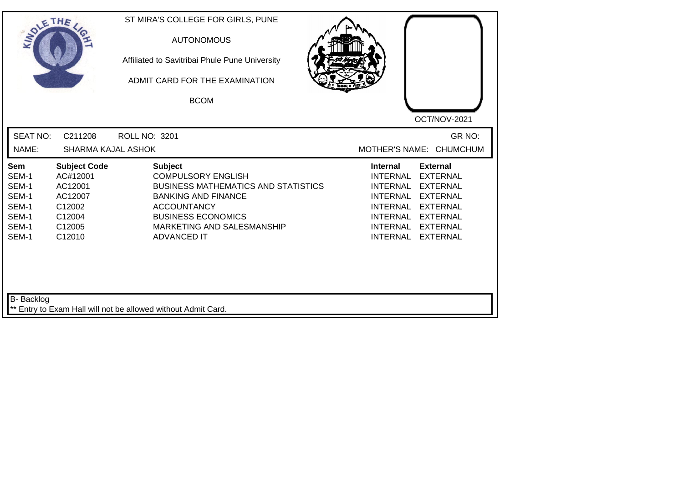| SOLETHE .                                                          |                                                                                               | ST MIRA'S COLLEGE FOR GIRLS, PUNE<br><b>AUTONOMOUS</b><br>Affiliated to Savitribai Phule Pune University<br>ADMIT CARD FOR THE EXAMINATION<br><b>BCOM</b>                                                                      |                                                                                                                                        |                                                                                                                                                      |
|--------------------------------------------------------------------|-----------------------------------------------------------------------------------------------|--------------------------------------------------------------------------------------------------------------------------------------------------------------------------------------------------------------------------------|----------------------------------------------------------------------------------------------------------------------------------------|------------------------------------------------------------------------------------------------------------------------------------------------------|
|                                                                    |                                                                                               |                                                                                                                                                                                                                                |                                                                                                                                        | OCT/NOV-2021                                                                                                                                         |
| <b>SEAT NO:</b><br>NAME:                                           | C211208<br><b>SHARMA KAJAL ASHOK</b>                                                          | <b>ROLL NO: 3201</b>                                                                                                                                                                                                           |                                                                                                                                        | GR NO:<br>MOTHER'S NAME: CHUMCHUM                                                                                                                    |
| Sem<br>SEM-1<br>SEM-1<br>SEM-1<br>SEM-1<br>SEM-1<br>SEM-1<br>SEM-1 | <b>Subject Code</b><br>AC#12001<br>AC12001<br>AC12007<br>C12002<br>C12004<br>C12005<br>C12010 | <b>Subject</b><br><b>COMPULSORY ENGLISH</b><br><b>BUSINESS MATHEMATICS AND STATISTICS</b><br><b>BANKING AND FINANCE</b><br><b>ACCOUNTANCY</b><br><b>BUSINESS ECONOMICS</b><br>MARKETING AND SALESMANSHIP<br><b>ADVANCED IT</b> | <b>Internal</b><br>INTERNAL<br><b>INTERNAL</b><br>INTERNAL<br><b>INTERNAL</b><br><b>INTERNAL</b><br><b>INTERNAL</b><br><b>INTERNAL</b> | <b>External</b><br><b>EXTERNAL</b><br><b>EXTERNAL</b><br><b>EXTERNAL</b><br><b>EXTERNAL</b><br><b>EXTERNAL</b><br><b>EXTERNAL</b><br><b>EXTERNAL</b> |
| B- Backlog                                                         |                                                                                               | ** Entry to Exam Hall will not be allowed without Admit Card.                                                                                                                                                                  |                                                                                                                                        |                                                                                                                                                      |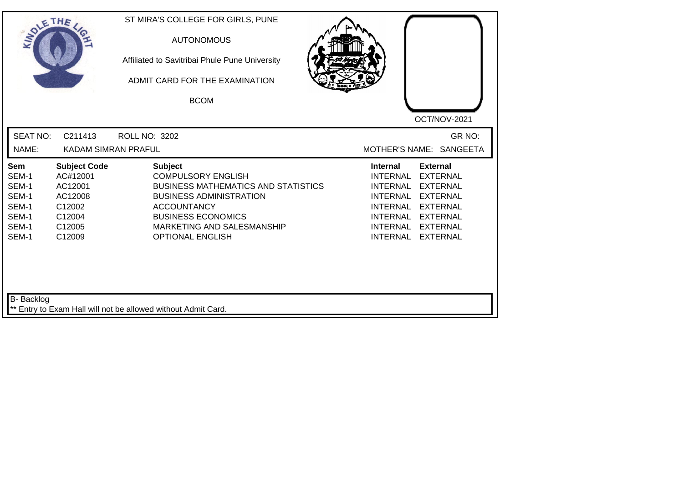| <b>SOLETHE</b>                                                     |                                                                                               | ST MIRA'S COLLEGE FOR GIRLS, PUNE<br><b>AUTONOMOUS</b><br>Affiliated to Savitribai Phule Pune University<br>ADMIT CARD FOR THE EXAMINATION<br><b>BCOM</b>                                                                               |                                                                                                                                                                  | OCT/NOV-2021                                                                                                                      |
|--------------------------------------------------------------------|-----------------------------------------------------------------------------------------------|-----------------------------------------------------------------------------------------------------------------------------------------------------------------------------------------------------------------------------------------|------------------------------------------------------------------------------------------------------------------------------------------------------------------|-----------------------------------------------------------------------------------------------------------------------------------|
| <b>SEAT NO:</b><br>NAME:                                           | C211413<br><b>KADAM SIMRAN PRAFUL</b>                                                         | ROLL NO: 3202                                                                                                                                                                                                                           | MOTHER'S NAME: SANGEETA                                                                                                                                          | GR NO:                                                                                                                            |
| Sem<br>SEM-1<br>SEM-1<br>SEM-1<br>SEM-1<br>SEM-1<br>SEM-1<br>SEM-1 | <b>Subject Code</b><br>AC#12001<br>AC12001<br>AC12008<br>C12002<br>C12004<br>C12005<br>C12009 | <b>Subject</b><br><b>COMPULSORY ENGLISH</b><br><b>BUSINESS MATHEMATICS AND STATISTICS</b><br><b>BUSINESS ADMINISTRATION</b><br><b>ACCOUNTANCY</b><br><b>BUSINESS ECONOMICS</b><br>MARKETING AND SALESMANSHIP<br><b>OPTIONAL ENGLISH</b> | <b>Internal</b><br><b>External</b><br><b>INTERNAL</b><br><b>INTERNAL</b><br><b>INTERNAL</b><br><b>INTERNAL</b><br>INTERNAL<br><b>INTERNAL</b><br><b>INTERNAL</b> | <b>EXTERNAL</b><br><b>EXTERNAL</b><br><b>EXTERNAL</b><br><b>EXTERNAL</b><br><b>EXTERNAL</b><br><b>EXTERNAL</b><br><b>EXTERNAL</b> |
| B- Backlog                                                         |                                                                                               | ** Entry to Exam Hall will not be allowed without Admit Card.                                                                                                                                                                           |                                                                                                                                                                  |                                                                                                                                   |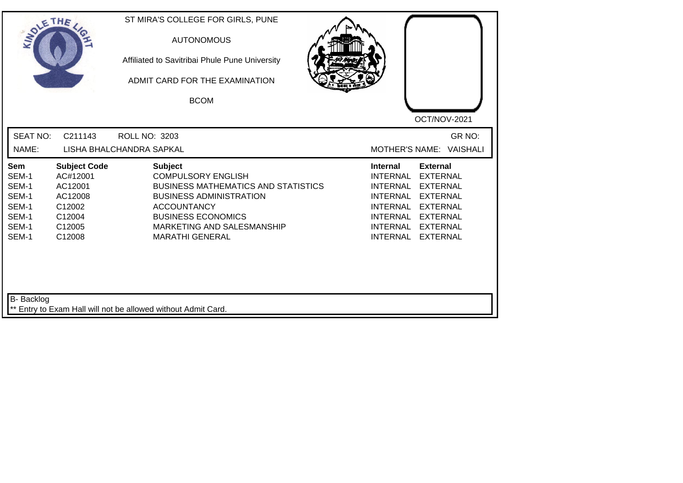| <b>SEAT NO:</b><br>C211143<br><b>ROLL NO: 3203</b><br>NAME:<br>LISHA BHALCHANDRA SAPKAL<br><b>Subject</b><br><b>Subject Code</b><br><b>Internal</b><br>Sem<br>SEM-1<br>AC#12001<br><b>COMPULSORY ENGLISH</b><br><b>INTERNAL</b>                                                                                                                                                                                        |                                                                                                                                                      |
|------------------------------------------------------------------------------------------------------------------------------------------------------------------------------------------------------------------------------------------------------------------------------------------------------------------------------------------------------------------------------------------------------------------------|------------------------------------------------------------------------------------------------------------------------------------------------------|
|                                                                                                                                                                                                                                                                                                                                                                                                                        | GR NO:<br>MOTHER'S NAME: VAISHALI                                                                                                                    |
| SEM-1<br>AC12001<br><b>BUSINESS MATHEMATICS AND STATISTICS</b><br><b>INTERNAL</b><br>SEM-1<br><b>BUSINESS ADMINISTRATION</b><br><b>INTERNAL</b><br>AC12008<br>SEM-1<br>C12002<br><b>ACCOUNTANCY</b><br><b>INTERNAL</b><br>SEM-1<br><b>BUSINESS ECONOMICS</b><br>C12004<br>INTERNAL<br>SEM-1<br>C12005<br>MARKETING AND SALESMANSHIP<br><b>INTERNAL</b><br>SEM-1<br><b>INTERNAL</b><br>C12008<br><b>MARATHI GENERAL</b> | <b>External</b><br><b>EXTERNAL</b><br><b>EXTERNAL</b><br><b>EXTERNAL</b><br><b>EXTERNAL</b><br><b>EXTERNAL</b><br><b>EXTERNAL</b><br><b>EXTERNAL</b> |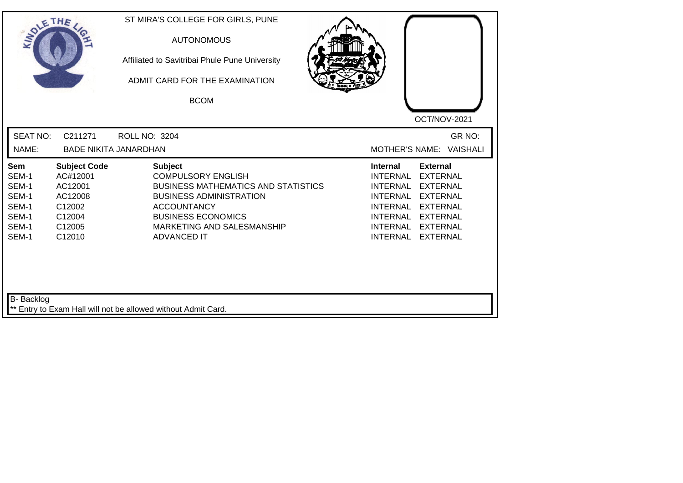| SOLE THE                                                           |                                                                                               | ST MIRA'S COLLEGE FOR GIRLS, PUNE<br><b>AUTONOMOUS</b><br>Affiliated to Savitribai Phule Pune University<br>ADMIT CARD FOR THE EXAMINATION<br><b>BCOM</b>                                                                          | OCT/NOV-2021                                                                                                                                                                                                                                                                                          |
|--------------------------------------------------------------------|-----------------------------------------------------------------------------------------------|------------------------------------------------------------------------------------------------------------------------------------------------------------------------------------------------------------------------------------|-------------------------------------------------------------------------------------------------------------------------------------------------------------------------------------------------------------------------------------------------------------------------------------------------------|
| <b>SEAT NO:</b><br>NAME:                                           | C211271                                                                                       | ROLL NO: 3204<br><b>BADE NIKITA JANARDHAN</b>                                                                                                                                                                                      | GR NO:<br>MOTHER'S NAME: VAISHALI                                                                                                                                                                                                                                                                     |
| Sem<br>SEM-1<br>SEM-1<br>SEM-1<br>SEM-1<br>SEM-1<br>SEM-1<br>SEM-1 | <b>Subject Code</b><br>AC#12001<br>AC12001<br>AC12008<br>C12002<br>C12004<br>C12005<br>C12010 | <b>Subject</b><br><b>COMPULSORY ENGLISH</b><br><b>BUSINESS MATHEMATICS AND STATISTICS</b><br><b>BUSINESS ADMINISTRATION</b><br><b>ACCOUNTANCY</b><br><b>BUSINESS ECONOMICS</b><br>MARKETING AND SALESMANSHIP<br><b>ADVANCED IT</b> | <b>External</b><br><b>Internal</b><br><b>INTERNAL</b><br><b>EXTERNAL</b><br><b>INTERNAL</b><br><b>EXTERNAL</b><br><b>INTERNAL</b><br><b>EXTERNAL</b><br><b>INTERNAL</b><br><b>EXTERNAL</b><br><b>INTERNAL</b><br><b>EXTERNAL</b><br>INTERNAL<br><b>EXTERNAL</b><br><b>INTERNAL</b><br><b>EXTERNAL</b> |
| B- Backlog                                                         |                                                                                               | ** Entry to Exam Hall will not be allowed without Admit Card.                                                                                                                                                                      |                                                                                                                                                                                                                                                                                                       |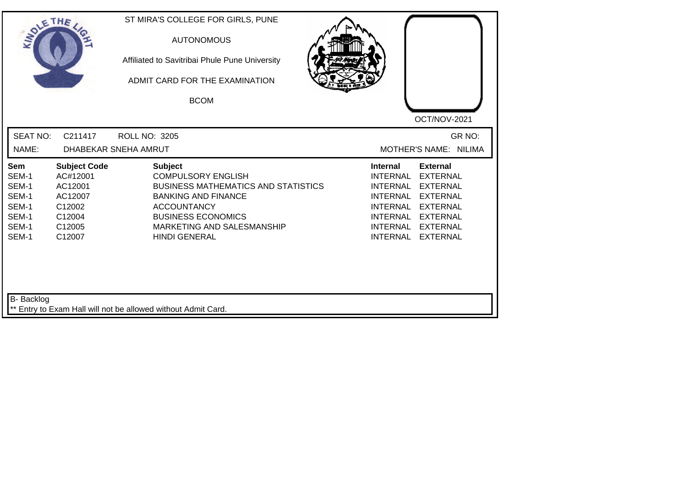| SOLE THE                                                                  |                                                                                               | ST MIRA'S COLLEGE FOR GIRLS, PUNE<br><b>AUTONOMOUS</b><br>Affiliated to Savitribai Phule Pune University<br>ADMIT CARD FOR THE EXAMINATION<br><b>BCOM</b>                                                                        | OCT/NOV-2021                                                                                                                                                                                                                                                                                          |
|---------------------------------------------------------------------------|-----------------------------------------------------------------------------------------------|----------------------------------------------------------------------------------------------------------------------------------------------------------------------------------------------------------------------------------|-------------------------------------------------------------------------------------------------------------------------------------------------------------------------------------------------------------------------------------------------------------------------------------------------------|
| <b>SEAT NO:</b><br>NAME:                                                  | C211417                                                                                       | <b>ROLL NO: 3205</b><br>DHABEKAR SNEHA AMRUT                                                                                                                                                                                     | GR NO:<br>MOTHER'S NAME: NILIMA                                                                                                                                                                                                                                                                       |
| <b>Sem</b><br>SEM-1<br>SEM-1<br>SEM-1<br>SEM-1<br>SEM-1<br>SEM-1<br>SEM-1 | <b>Subject Code</b><br>AC#12001<br>AC12001<br>AC12007<br>C12002<br>C12004<br>C12005<br>C12007 | <b>Subject</b><br><b>COMPULSORY ENGLISH</b><br><b>BUSINESS MATHEMATICS AND STATISTICS</b><br><b>BANKING AND FINANCE</b><br><b>ACCOUNTANCY</b><br><b>BUSINESS ECONOMICS</b><br>MARKETING AND SALESMANSHIP<br><b>HINDI GENERAL</b> | <b>External</b><br>Internal<br><b>INTERNAL</b><br><b>EXTERNAL</b><br><b>INTERNAL</b><br><b>EXTERNAL</b><br><b>INTERNAL</b><br><b>EXTERNAL</b><br><b>INTERNAL</b><br><b>EXTERNAL</b><br><b>INTERNAL</b><br><b>EXTERNAL</b><br><b>INTERNAL</b><br><b>EXTERNAL</b><br><b>INTERNAL</b><br><b>EXTERNAL</b> |
| B- Backlog                                                                |                                                                                               | ** Entry to Exam Hall will not be allowed without Admit Card.                                                                                                                                                                    |                                                                                                                                                                                                                                                                                                       |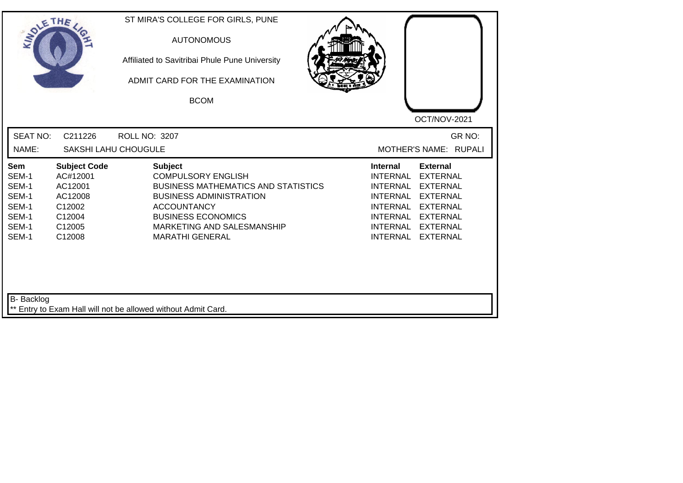| <b>SEAT NO:</b><br>GR NO:<br>C211226<br>ROLL NO: 3207<br>MOTHER'S NAME: RUPALI<br>NAME:<br>SAKSHI LAHU CHOUGULE<br><b>Subject Code</b><br><b>Subject</b><br><b>Internal</b><br><b>External</b><br>Sem<br>SEM-1<br>AC#12001<br><b>COMPULSORY ENGLISH</b><br><b>INTERNAL</b><br><b>EXTERNAL</b><br>SEM-1<br>AC12001<br><b>BUSINESS MATHEMATICS AND STATISTICS</b><br><b>INTERNAL</b><br><b>EXTERNAL</b><br>SEM-1<br>AC12008<br><b>BUSINESS ADMINISTRATION</b><br><b>INTERNAL</b><br><b>EXTERNAL</b><br>SEM-1<br>C12002<br><b>ACCOUNTANCY</b><br><b>INTERNAL</b><br><b>EXTERNAL</b><br>SEM-1<br><b>BUSINESS ECONOMICS</b><br>C12004<br>INTERNAL<br><b>EXTERNAL</b><br>SEM-1<br>C12005<br>MARKETING AND SALESMANSHIP<br><b>INTERNAL</b><br><b>EXTERNAL</b><br>SEM-1<br>C12008<br><b>MARATHI GENERAL</b><br><b>INTERNAL</b><br><b>EXTERNAL</b> | SOLETHE . | ST MIRA'S COLLEGE FOR GIRLS, PUNE<br><b>AUTONOMOUS</b><br>Affiliated to Savitribai Phule Pune University<br>ADMIT CARD FOR THE EXAMINATION<br><b>BCOM</b> | OCT/NOV-2021 |
|-------------------------------------------------------------------------------------------------------------------------------------------------------------------------------------------------------------------------------------------------------------------------------------------------------------------------------------------------------------------------------------------------------------------------------------------------------------------------------------------------------------------------------------------------------------------------------------------------------------------------------------------------------------------------------------------------------------------------------------------------------------------------------------------------------------------------------------------|-----------|-----------------------------------------------------------------------------------------------------------------------------------------------------------|--------------|
|                                                                                                                                                                                                                                                                                                                                                                                                                                                                                                                                                                                                                                                                                                                                                                                                                                           |           |                                                                                                                                                           |              |
|                                                                                                                                                                                                                                                                                                                                                                                                                                                                                                                                                                                                                                                                                                                                                                                                                                           |           |                                                                                                                                                           |              |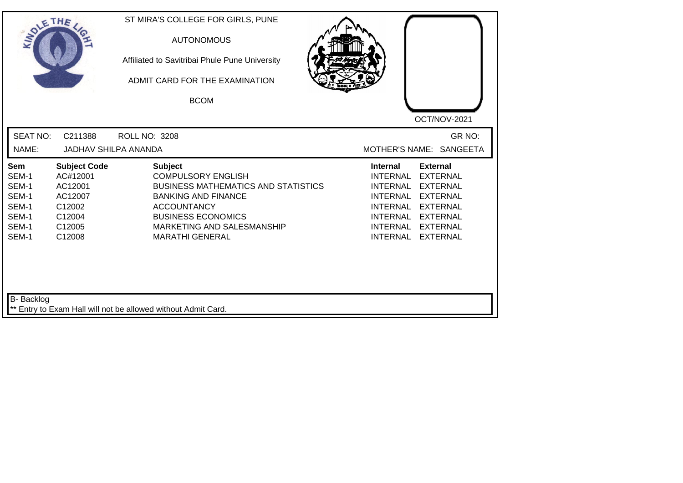| <b>SOLETHE</b>                                                     |                                                                                               | ST MIRA'S COLLEGE FOR GIRLS, PUNE<br><b>AUTONOMOUS</b><br>Affiliated to Savitribai Phule Pune University<br>ADMIT CARD FOR THE EXAMINATION<br><b>BCOM</b>                                                                          |                                                                                                                                                                                                                                                                               |
|--------------------------------------------------------------------|-----------------------------------------------------------------------------------------------|------------------------------------------------------------------------------------------------------------------------------------------------------------------------------------------------------------------------------------|-------------------------------------------------------------------------------------------------------------------------------------------------------------------------------------------------------------------------------------------------------------------------------|
| <b>SEAT NO:</b><br>NAME:                                           | C211388<br><b>JADHAV SHILPA ANANDA</b>                                                        | <b>ROLL NO: 3208</b>                                                                                                                                                                                                               | OCT/NOV-2021<br>GR NO:<br>MOTHER'S NAME: SANGEETA                                                                                                                                                                                                                             |
| Sem<br>SEM-1<br>SEM-1<br>SEM-1<br>SEM-1<br>SEM-1<br>SEM-1<br>SEM-1 | <b>Subject Code</b><br>AC#12001<br>AC12001<br>AC12007<br>C12002<br>C12004<br>C12005<br>C12008 | <b>Subject</b><br><b>COMPULSORY ENGLISH</b><br><b>BUSINESS MATHEMATICS AND STATISTICS</b><br><b>BANKING AND FINANCE</b><br><b>ACCOUNTANCY</b><br><b>BUSINESS ECONOMICS</b><br>MARKETING AND SALESMANSHIP<br><b>MARATHI GENERAL</b> | <b>External</b><br><b>Internal</b><br>INTERNAL<br><b>EXTERNAL</b><br><b>INTERNAL</b><br><b>EXTERNAL</b><br>INTERNAL<br><b>EXTERNAL</b><br><b>INTERNAL</b><br><b>EXTERNAL</b><br>INTERNAL EXTERNAL<br><b>INTERNAL</b><br><b>EXTERNAL</b><br><b>INTERNAL</b><br><b>EXTERNAL</b> |
| <b>B-</b> Backlog                                                  |                                                                                               | ** Entry to Exam Hall will not be allowed without Admit Card.                                                                                                                                                                      |                                                                                                                                                                                                                                                                               |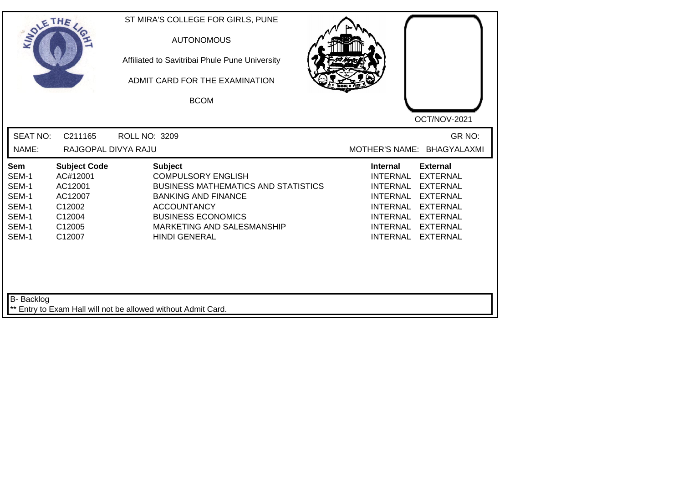| <b>SEAT NO:</b><br>C211165<br>GR NO:<br><b>ROLL NO: 3209</b><br>NAME:<br>RAJGOPAL DIVYA RAJU<br>MOTHER'S NAME: BHAGYALAXMI<br><b>Subject</b><br><b>Subject Code</b><br><b>Internal</b><br><b>External</b><br>Sem<br>SEM-1<br><b>COMPULSORY ENGLISH</b><br><b>INTERNAL</b><br><b>EXTERNAL</b><br>AC#12001<br>SEM-1<br>AC12001<br><b>BUSINESS MATHEMATICS AND STATISTICS</b><br><b>INTERNAL</b><br><b>EXTERNAL</b><br>SEM-1<br>AC12007<br><b>BANKING AND FINANCE</b><br><b>INTERNAL</b><br><b>EXTERNAL</b><br>SEM-1<br>C12002<br><b>ACCOUNTANCY</b><br><b>INTERNAL</b><br><b>EXTERNAL</b><br><b>BUSINESS ECONOMICS</b><br>SEM-1<br>C12004<br><b>INTERNAL</b><br><b>EXTERNAL</b><br>SEM-1<br>C12005<br>MARKETING AND SALESMANSHIP<br><b>INTERNAL</b><br><b>EXTERNAL</b><br>SEM-1<br><b>HINDI GENERAL</b><br>C12007<br><b>INTERNAL</b><br><b>EXTERNAL</b> | SOLETHE . | ST MIRA'S COLLEGE FOR GIRLS, PUNE<br><b>AUTONOMOUS</b><br>Affiliated to Savitribai Phule Pune University<br>ADMIT CARD FOR THE EXAMINATION<br><b>BCOM</b> | OCT/NOV-2021 |
|-------------------------------------------------------------------------------------------------------------------------------------------------------------------------------------------------------------------------------------------------------------------------------------------------------------------------------------------------------------------------------------------------------------------------------------------------------------------------------------------------------------------------------------------------------------------------------------------------------------------------------------------------------------------------------------------------------------------------------------------------------------------------------------------------------------------------------------------------------|-----------|-----------------------------------------------------------------------------------------------------------------------------------------------------------|--------------|
|                                                                                                                                                                                                                                                                                                                                                                                                                                                                                                                                                                                                                                                                                                                                                                                                                                                       |           |                                                                                                                                                           |              |
|                                                                                                                                                                                                                                                                                                                                                                                                                                                                                                                                                                                                                                                                                                                                                                                                                                                       |           |                                                                                                                                                           |              |

┛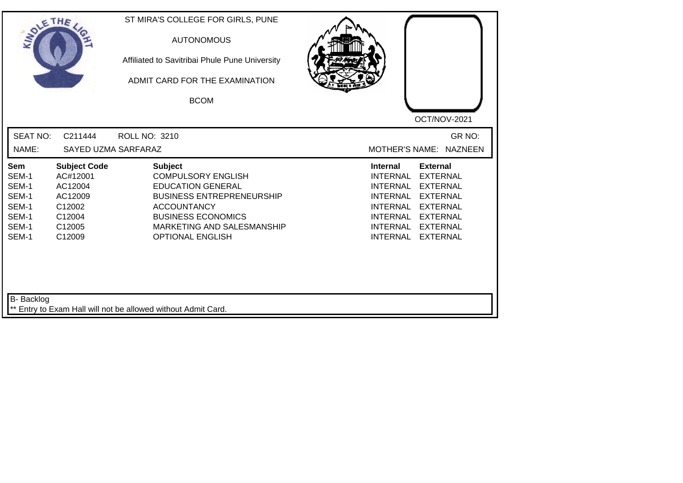| SOLETHE ,                                                          |                                                                                               | ST MIRA'S COLLEGE FOR GIRLS, PUNE<br><b>AUTONOMOUS</b><br>Affiliated to Savitribai Phule Pune University<br>ADMIT CARD FOR THE EXAMINATION<br><b>BCOM</b>                                                               |                                                                                                                                                                                                                                                                                                       |
|--------------------------------------------------------------------|-----------------------------------------------------------------------------------------------|-------------------------------------------------------------------------------------------------------------------------------------------------------------------------------------------------------------------------|-------------------------------------------------------------------------------------------------------------------------------------------------------------------------------------------------------------------------------------------------------------------------------------------------------|
| <b>SEAT NO:</b><br>NAME:                                           | C211444<br>SAYED UZMA SARFARAZ                                                                | <b>ROLL NO: 3210</b>                                                                                                                                                                                                    | OCT/NOV-2021<br>GR NO:<br>MOTHER'S NAME: NAZNEEN                                                                                                                                                                                                                                                      |
| Sem<br>SEM-1<br>SEM-1<br>SEM-1<br>SEM-1<br>SEM-1<br>SEM-1<br>SEM-1 | <b>Subject Code</b><br>AC#12001<br>AC12004<br>AC12009<br>C12002<br>C12004<br>C12005<br>C12009 | <b>Subject</b><br><b>COMPULSORY ENGLISH</b><br><b>EDUCATION GENERAL</b><br><b>BUSINESS ENTREPRENEURSHIP</b><br><b>ACCOUNTANCY</b><br><b>BUSINESS ECONOMICS</b><br>MARKETING AND SALESMANSHIP<br><b>OPTIONAL ENGLISH</b> | <b>External</b><br><b>Internal</b><br><b>EXTERNAL</b><br><b>INTERNAL</b><br><b>EXTERNAL</b><br><b>INTERNAL</b><br><b>EXTERNAL</b><br><b>INTERNAL</b><br><b>EXTERNAL</b><br><b>INTERNAL</b><br>INTERNAL<br><b>EXTERNAL</b><br><b>INTERNAL</b><br><b>EXTERNAL</b><br><b>INTERNAL</b><br><b>EXTERNAL</b> |
| <b>B-</b> Backlog                                                  |                                                                                               | ** Entry to Exam Hall will not be allowed without Admit Card.                                                                                                                                                           |                                                                                                                                                                                                                                                                                                       |

┛╵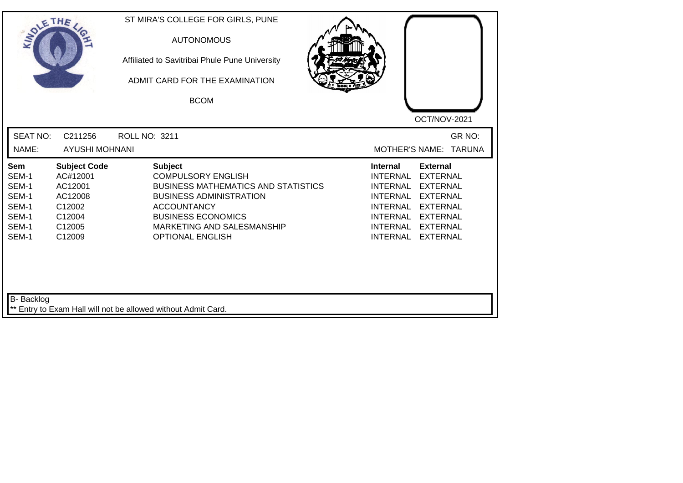| SOLE THE                                                           |                                                                                               | ST MIRA'S COLLEGE FOR GIRLS, PUNE<br><b>AUTONOMOUS</b><br>Affiliated to Savitribai Phule Pune University<br>ADMIT CARD FOR THE EXAMINATION<br><b>BCOM</b>                                                                               | OCT/NOV-2021                                                                                                                                                                                                                                                                         |
|--------------------------------------------------------------------|-----------------------------------------------------------------------------------------------|-----------------------------------------------------------------------------------------------------------------------------------------------------------------------------------------------------------------------------------------|--------------------------------------------------------------------------------------------------------------------------------------------------------------------------------------------------------------------------------------------------------------------------------------|
| <b>SEAT NO:</b><br>NAME:                                           | C211256<br><b>AYUSHI MOHNANI</b>                                                              | <b>ROLL NO: 3211</b>                                                                                                                                                                                                                    | GR NO:<br>MOTHER'S NAME: TARUNA                                                                                                                                                                                                                                                      |
| Sem<br>SEM-1<br>SEM-1<br>SEM-1<br>SEM-1<br>SEM-1<br>SEM-1<br>SEM-1 | <b>Subject Code</b><br>AC#12001<br>AC12001<br>AC12008<br>C12002<br>C12004<br>C12005<br>C12009 | <b>Subject</b><br><b>COMPULSORY ENGLISH</b><br><b>BUSINESS MATHEMATICS AND STATISTICS</b><br><b>BUSINESS ADMINISTRATION</b><br><b>ACCOUNTANCY</b><br><b>BUSINESS ECONOMICS</b><br>MARKETING AND SALESMANSHIP<br><b>OPTIONAL ENGLISH</b> | <b>Internal</b><br><b>External</b><br><b>INTERNAL</b><br><b>EXTERNAL</b><br><b>INTERNAL</b><br><b>EXTERNAL</b><br><b>INTERNAL</b><br><b>EXTERNAL</b><br><b>INTERNAL</b><br><b>EXTERNAL</b><br>INTERNAL EXTERNAL<br><b>INTERNAL</b><br><b>EXTERNAL</b><br><b>INTERNAL</b><br>EXTERNAL |
| B- Backlog                                                         |                                                                                               | Entry to Exam Hall will not be allowed without Admit Card.                                                                                                                                                                              |                                                                                                                                                                                                                                                                                      |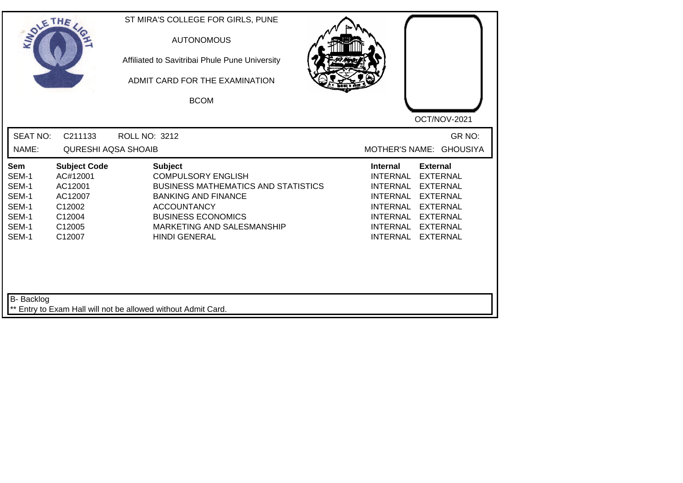| <b>SOLETHE</b>                                                     |                                                                                               | ST MIRA'S COLLEGE FOR GIRLS, PUNE<br><b>AUTONOMOUS</b><br>Affiliated to Savitribai Phule Pune University<br>ADMIT CARD FOR THE EXAMINATION<br><b>BCOM</b>                                                                        |                                                                                                                                                                                                                                                                                         |
|--------------------------------------------------------------------|-----------------------------------------------------------------------------------------------|----------------------------------------------------------------------------------------------------------------------------------------------------------------------------------------------------------------------------------|-----------------------------------------------------------------------------------------------------------------------------------------------------------------------------------------------------------------------------------------------------------------------------------------|
| <b>SEAT NO:</b><br>NAME:                                           | C211133<br><b>QURESHI AQSA SHOAIB</b>                                                         | <b>ROLL NO: 3212</b>                                                                                                                                                                                                             | OCT/NOV-2021<br>GR NO:<br><b>MOTHER'S NAME:</b><br><b>GHOUSIYA</b>                                                                                                                                                                                                                      |
| Sem<br>SEM-1<br>SEM-1<br>SEM-1<br>SEM-1<br>SEM-1<br>SEM-1<br>SEM-1 | <b>Subject Code</b><br>AC#12001<br>AC12001<br>AC12007<br>C12002<br>C12004<br>C12005<br>C12007 | <b>Subject</b><br><b>COMPULSORY ENGLISH</b><br><b>BUSINESS MATHEMATICS AND STATISTICS</b><br><b>BANKING AND FINANCE</b><br><b>ACCOUNTANCY</b><br><b>BUSINESS ECONOMICS</b><br>MARKETING AND SALESMANSHIP<br><b>HINDI GENERAL</b> | <b>External</b><br><b>Internal</b><br>INTERNAL<br><b>EXTERNAL</b><br>INTERNAL<br><b>EXTERNAL</b><br>INTERNAL<br><b>EXTERNAL</b><br><b>INTERNAL</b><br><b>EXTERNAL</b><br><b>INTERNAL</b><br><b>EXTERNAL</b><br><b>INTERNAL</b><br><b>EXTERNAL</b><br><b>INTERNAL</b><br><b>EXTERNAL</b> |
| <b>B-</b> Backlog                                                  |                                                                                               | ** Entry to Exam Hall will not be allowed without Admit Card.                                                                                                                                                                    |                                                                                                                                                                                                                                                                                         |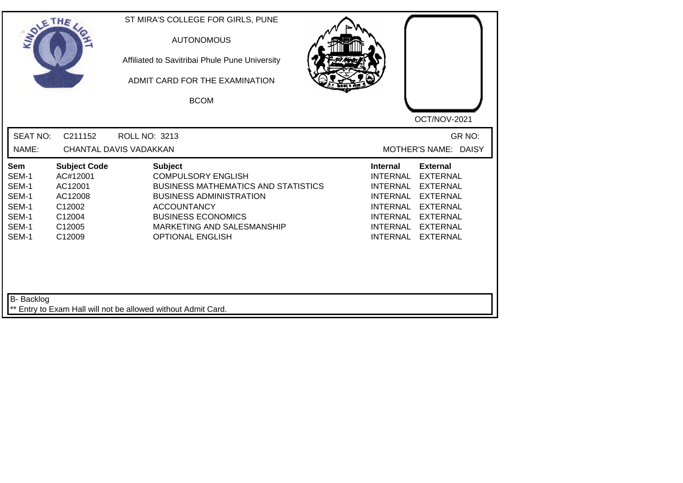| <b>SEAT NO:</b><br>C211152<br><b>ROLL NO: 3213</b><br>NAME:<br>CHANTAL DAVIS VADAKKAN<br><b>Subject</b><br><b>Subject Code</b><br><b>Internal</b><br>Sem<br>SEM-1<br>AC#12001<br><b>COMPULSORY ENGLISH</b><br><b>INTERNAL</b><br>SEM-1<br>AC12001<br><b>BUSINESS MATHEMATICS AND STATISTICS</b><br><b>INTERNAL</b><br>SEM-1<br><b>BUSINESS ADMINISTRATION</b><br><b>INTERNAL</b><br>AC12008<br>SEM-1<br>C12002<br><b>ACCOUNTANCY</b><br><b>INTERNAL</b><br>SEM-1<br><b>BUSINESS ECONOMICS</b><br>C12004<br>INTERNAL<br>SEM-1<br>C12005<br>MARKETING AND SALESMANSHIP<br><b>INTERNAL</b> | SOLETHE , |        | ST MIRA'S COLLEGE FOR GIRLS, PUNE<br><b>AUTONOMOUS</b><br>Affiliated to Savitribai Phule Pune University<br>ADMIT CARD FOR THE EXAMINATION<br><b>BCOM</b> | OCT/NOV-2021                                                                                                                                                            |  |
|-----------------------------------------------------------------------------------------------------------------------------------------------------------------------------------------------------------------------------------------------------------------------------------------------------------------------------------------------------------------------------------------------------------------------------------------------------------------------------------------------------------------------------------------------------------------------------------------|-----------|--------|-----------------------------------------------------------------------------------------------------------------------------------------------------------|-------------------------------------------------------------------------------------------------------------------------------------------------------------------------|--|
|                                                                                                                                                                                                                                                                                                                                                                                                                                                                                                                                                                                         |           |        |                                                                                                                                                           | GR NO:<br>MOTHER'S NAME: DAISY                                                                                                                                          |  |
|                                                                                                                                                                                                                                                                                                                                                                                                                                                                                                                                                                                         | SEM-1     | C12009 | <b>OPTIONAL ENGLISH</b>                                                                                                                                   | <b>External</b><br><b>EXTERNAL</b><br><b>EXTERNAL</b><br><b>EXTERNAL</b><br><b>EXTERNAL</b><br><b>EXTERNAL</b><br><b>EXTERNAL</b><br><b>INTERNAL</b><br><b>EXTERNAL</b> |  |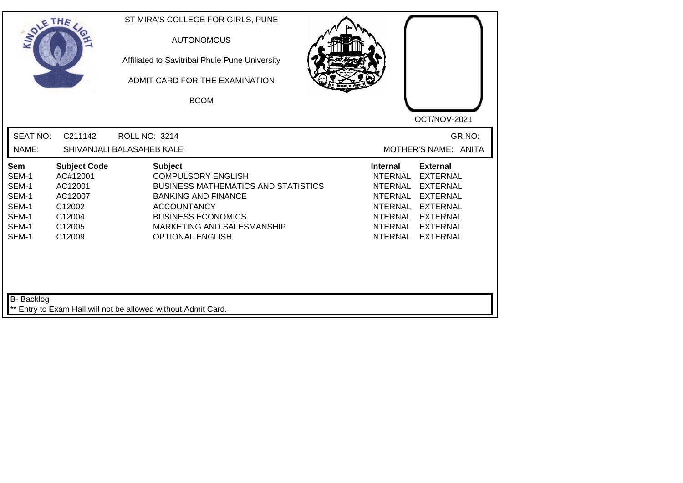| <b>SEAT NO:</b><br>C211142<br><b>ROLL NO: 3214</b><br>GR NO:<br>NAME:<br>SHIVANJALI BALASAHEB KALE<br>MOTHER'S NAME: ANITA<br><b>Subject Code</b><br><b>Subject</b><br><b>Internal</b><br><b>External</b><br>Sem<br>SEM-1<br><b>COMPULSORY ENGLISH</b><br><b>INTERNAL</b><br><b>EXTERNAL</b><br>AC#12001<br>SEM-1<br><b>BUSINESS MATHEMATICS AND STATISTICS</b><br>AC12001<br><b>INTERNAL</b><br><b>EXTERNAL</b><br>SEM-1<br><b>BANKING AND FINANCE</b><br><b>INTERNAL</b><br><b>EXTERNAL</b><br>AC12007<br>SEM-1<br><b>ACCOUNTANCY</b><br><b>INTERNAL</b><br><b>EXTERNAL</b><br>C12002<br>SEM-1<br><b>BUSINESS ECONOMICS</b><br>C12004<br><b>INTERNAL</b><br><b>EXTERNAL</b><br>SEM-1<br>C12005<br>MARKETING AND SALESMANSHIP<br><b>INTERNAL</b><br><b>EXTERNAL</b><br>SEM-1<br>C12009<br><b>OPTIONAL ENGLISH</b><br><b>INTERNAL</b><br><b>EXTERNAL</b> | SOLETHE , | ST MIRA'S COLLEGE FOR GIRLS, PUNE<br><b>AUTONOMOUS</b><br>Affiliated to Savitribai Phule Pune University<br>ADMIT CARD FOR THE EXAMINATION<br><b>BCOM</b> | OCT/NOV-2021 |
|----------------------------------------------------------------------------------------------------------------------------------------------------------------------------------------------------------------------------------------------------------------------------------------------------------------------------------------------------------------------------------------------------------------------------------------------------------------------------------------------------------------------------------------------------------------------------------------------------------------------------------------------------------------------------------------------------------------------------------------------------------------------------------------------------------------------------------------------------------|-----------|-----------------------------------------------------------------------------------------------------------------------------------------------------------|--------------|
|                                                                                                                                                                                                                                                                                                                                                                                                                                                                                                                                                                                                                                                                                                                                                                                                                                                          |           |                                                                                                                                                           |              |
|                                                                                                                                                                                                                                                                                                                                                                                                                                                                                                                                                                                                                                                                                                                                                                                                                                                          |           |                                                                                                                                                           |              |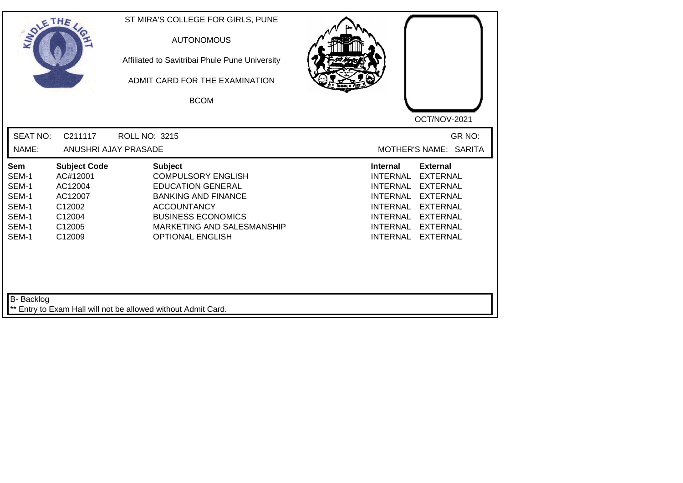| SOLE THE                                                           |                                                                                                           | ST MIRA'S COLLEGE FOR GIRLS, PUNE<br><b>AUTONOMOUS</b><br>Affiliated to Savitribai Phule Pune University<br>ADMIT CARD FOR THE EXAMINATION<br><b>BCOM</b>                                                         |                                                                                                                                                                                                                                                                                                              |
|--------------------------------------------------------------------|-----------------------------------------------------------------------------------------------------------|-------------------------------------------------------------------------------------------------------------------------------------------------------------------------------------------------------------------|--------------------------------------------------------------------------------------------------------------------------------------------------------------------------------------------------------------------------------------------------------------------------------------------------------------|
| <b>SEAT NO:</b><br>NAME:                                           | C211117                                                                                                   | <b>ROLL NO: 3215</b><br>ANUSHRI AJAY PRASADE                                                                                                                                                                      | OCT/NOV-2021<br>GR NO:<br>MOTHER'S NAME: SARITA                                                                                                                                                                                                                                                              |
| Sem<br>SEM-1<br>SEM-1<br>SEM-1<br>SEM-1<br>SEM-1<br>SEM-1<br>SEM-1 | <b>Subject Code</b><br>AC#12001<br>AC12004<br>AC12007<br>C <sub>12002</sub><br>C12004<br>C12005<br>C12009 | <b>Subject</b><br><b>COMPULSORY ENGLISH</b><br><b>EDUCATION GENERAL</b><br><b>BANKING AND FINANCE</b><br><b>ACCOUNTANCY</b><br><b>BUSINESS ECONOMICS</b><br>MARKETING AND SALESMANSHIP<br><b>OPTIONAL ENGLISH</b> | <b>Internal</b><br><b>External</b><br><b>INTERNAL</b><br><b>EXTERNAL</b><br><b>EXTERNAL</b><br><b>INTERNAL</b><br><b>EXTERNAL</b><br><b>INTERNAL</b><br><b>EXTERNAL</b><br><b>INTERNAL</b><br><b>INTERNAL</b><br><b>EXTERNAL</b><br><b>EXTERNAL</b><br><b>INTERNAL</b><br><b>INTERNAL</b><br><b>EXTERNAL</b> |
| B- Backlog                                                         |                                                                                                           | ** Entry to Exam Hall will not be allowed without Admit Card.                                                                                                                                                     |                                                                                                                                                                                                                                                                                                              |

┛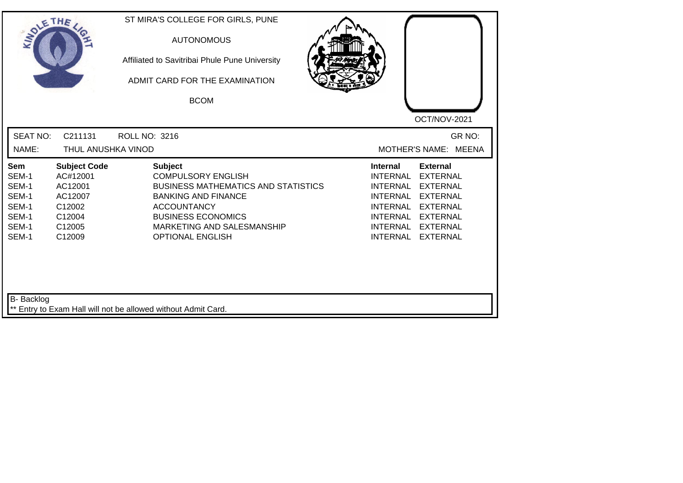| SOLE THE                                                           |                                                                                               | ST MIRA'S COLLEGE FOR GIRLS, PUNE<br><b>AUTONOMOUS</b><br>Affiliated to Savitribai Phule Pune University<br>ADMIT CARD FOR THE EXAMINATION<br><b>BCOM</b>                                                                           | OCT/NOV-2021                                                                                                                                                                                                                                                                                          |
|--------------------------------------------------------------------|-----------------------------------------------------------------------------------------------|-------------------------------------------------------------------------------------------------------------------------------------------------------------------------------------------------------------------------------------|-------------------------------------------------------------------------------------------------------------------------------------------------------------------------------------------------------------------------------------------------------------------------------------------------------|
| <b>SEAT NO:</b><br>NAME:                                           | C211131<br>THUL ANUSHKA VINOD                                                                 | <b>ROLL NO: 3216</b>                                                                                                                                                                                                                | GR NO:<br>MOTHER'S NAME: MEENA                                                                                                                                                                                                                                                                        |
| Sem<br>SEM-1<br>SEM-1<br>SEM-1<br>SEM-1<br>SEM-1<br>SEM-1<br>SEM-1 | <b>Subject Code</b><br>AC#12001<br>AC12001<br>AC12007<br>C12002<br>C12004<br>C12005<br>C12009 | <b>Subject</b><br><b>COMPULSORY ENGLISH</b><br><b>BUSINESS MATHEMATICS AND STATISTICS</b><br><b>BANKING AND FINANCE</b><br><b>ACCOUNTANCY</b><br><b>BUSINESS ECONOMICS</b><br>MARKETING AND SALESMANSHIP<br><b>OPTIONAL ENGLISH</b> | <b>Internal</b><br><b>External</b><br><b>INTERNAL</b><br><b>EXTERNAL</b><br><b>INTERNAL</b><br><b>EXTERNAL</b><br><b>INTERNAL</b><br><b>EXTERNAL</b><br><b>INTERNAL</b><br><b>EXTERNAL</b><br>INTERNAL<br><b>EXTERNAL</b><br><b>INTERNAL</b><br><b>EXTERNAL</b><br><b>INTERNAL</b><br><b>EXTERNAL</b> |
| B- Backlog                                                         |                                                                                               | ** Entry to Exam Hall will not be allowed without Admit Card.                                                                                                                                                                       |                                                                                                                                                                                                                                                                                                       |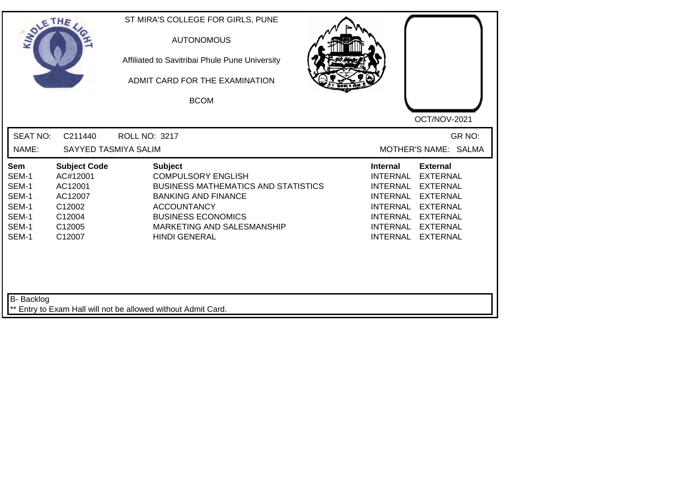| SOLETHE .                                                          |                                                                                               | ST MIRA'S COLLEGE FOR GIRLS, PUNE<br><b>AUTONOMOUS</b><br>Affiliated to Savitribai Phule Pune University<br>ADMIT CARD FOR THE EXAMINATION<br><b>BCOM</b>                                                                        | OCT/NOV-2021                                                                                                                                                                                                                                                                                          |
|--------------------------------------------------------------------|-----------------------------------------------------------------------------------------------|----------------------------------------------------------------------------------------------------------------------------------------------------------------------------------------------------------------------------------|-------------------------------------------------------------------------------------------------------------------------------------------------------------------------------------------------------------------------------------------------------------------------------------------------------|
| <b>SEAT NO:</b><br>NAME:                                           | C211440<br>SAYYED TASMIYA SALIM                                                               | ROLL NO: 3217                                                                                                                                                                                                                    | GR NO:<br>MOTHER'S NAME: SALMA                                                                                                                                                                                                                                                                        |
| Sem<br>SEM-1<br>SEM-1<br>SEM-1<br>SEM-1<br>SEM-1<br>SEM-1<br>SEM-1 | <b>Subject Code</b><br>AC#12001<br>AC12001<br>AC12007<br>C12002<br>C12004<br>C12005<br>C12007 | <b>Subject</b><br><b>COMPULSORY ENGLISH</b><br><b>BUSINESS MATHEMATICS AND STATISTICS</b><br><b>BANKING AND FINANCE</b><br><b>ACCOUNTANCY</b><br><b>BUSINESS ECONOMICS</b><br>MARKETING AND SALESMANSHIP<br><b>HINDI GENERAL</b> | <b>Internal</b><br><b>External</b><br><b>INTERNAL</b><br><b>EXTERNAL</b><br><b>INTERNAL</b><br><b>EXTERNAL</b><br><b>INTERNAL</b><br><b>EXTERNAL</b><br><b>INTERNAL</b><br><b>EXTERNAL</b><br>INTERNAL<br><b>EXTERNAL</b><br><b>INTERNAL</b><br><b>EXTERNAL</b><br><b>INTERNAL</b><br><b>EXTERNAL</b> |
| B- Backlog                                                         |                                                                                               | ** Entry to Exam Hall will not be allowed without Admit Card.                                                                                                                                                                    |                                                                                                                                                                                                                                                                                                       |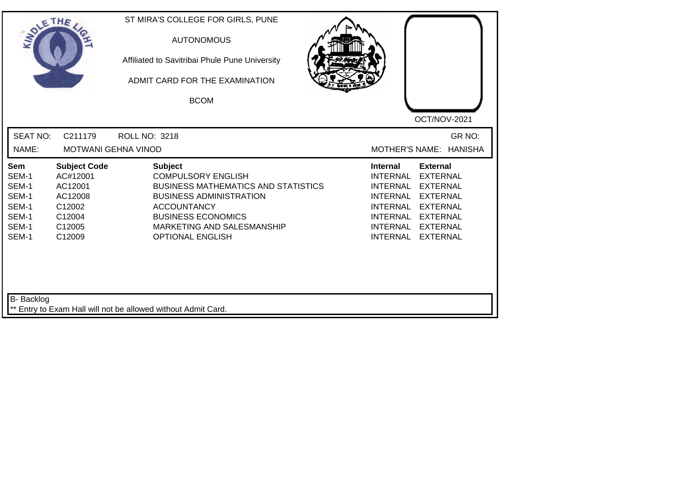| SOLE THE                                                                  |                                                                                               | ST MIRA'S COLLEGE FOR GIRLS, PUNE<br><b>AUTONOMOUS</b><br>Affiliated to Savitribai Phule Pune University<br>ADMIT CARD FOR THE EXAMINATION<br><b>BCOM</b>                                                                               | OCT/NOV-2021                                                                                                                                                                                                                                                                                          |
|---------------------------------------------------------------------------|-----------------------------------------------------------------------------------------------|-----------------------------------------------------------------------------------------------------------------------------------------------------------------------------------------------------------------------------------------|-------------------------------------------------------------------------------------------------------------------------------------------------------------------------------------------------------------------------------------------------------------------------------------------------------|
| <b>SEAT NO:</b><br>NAME:                                                  | C211179<br><b>MOTWANI GEHNA VINOD</b>                                                         | ROLL NO: 3218                                                                                                                                                                                                                           | GR NO:<br>MOTHER'S NAME: HANISHA                                                                                                                                                                                                                                                                      |
| <b>Sem</b><br>SEM-1<br>SEM-1<br>SEM-1<br>SEM-1<br>SEM-1<br>SEM-1<br>SEM-1 | <b>Subject Code</b><br>AC#12001<br>AC12001<br>AC12008<br>C12002<br>C12004<br>C12005<br>C12009 | <b>Subject</b><br><b>COMPULSORY ENGLISH</b><br><b>BUSINESS MATHEMATICS AND STATISTICS</b><br><b>BUSINESS ADMINISTRATION</b><br><b>ACCOUNTANCY</b><br><b>BUSINESS ECONOMICS</b><br>MARKETING AND SALESMANSHIP<br><b>OPTIONAL ENGLISH</b> | <b>External</b><br><b>Internal</b><br><b>INTERNAL</b><br><b>EXTERNAL</b><br><b>INTERNAL</b><br><b>EXTERNAL</b><br><b>INTERNAL</b><br><b>EXTERNAL</b><br><b>INTERNAL</b><br><b>EXTERNAL</b><br><b>INTERNAL</b><br><b>EXTERNAL</b><br>INTERNAL<br><b>EXTERNAL</b><br><b>INTERNAL</b><br><b>EXTERNAL</b> |
| B- Backlog                                                                |                                                                                               | ** Entry to Exam Hall will not be allowed without Admit Card.                                                                                                                                                                           |                                                                                                                                                                                                                                                                                                       |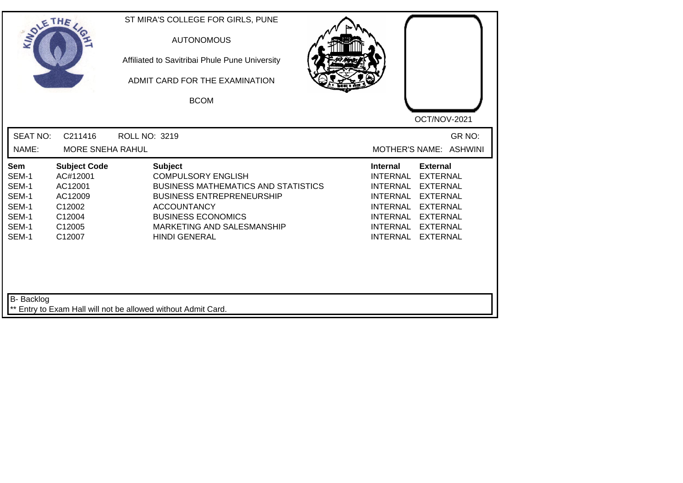| SOLETHE ,                                                          |                                                                                                           | ST MIRA'S COLLEGE FOR GIRLS, PUNE<br><b>AUTONOMOUS</b><br>Affiliated to Savitribai Phule Pune University<br>ADMIT CARD FOR THE EXAMINATION<br><b>BCOM</b>                                                                              | OCT/NOV-2021                                                                                                                                                                                                                                                                                                 |
|--------------------------------------------------------------------|-----------------------------------------------------------------------------------------------------------|----------------------------------------------------------------------------------------------------------------------------------------------------------------------------------------------------------------------------------------|--------------------------------------------------------------------------------------------------------------------------------------------------------------------------------------------------------------------------------------------------------------------------------------------------------------|
| <b>SEAT NO:</b><br>NAME:                                           | C211416<br><b>MORE SNEHA RAHUL</b>                                                                        | <b>ROLL NO: 3219</b>                                                                                                                                                                                                                   | GR NO:<br>MOTHER'S NAME: ASHWINI                                                                                                                                                                                                                                                                             |
| Sem<br>SEM-1<br>SEM-1<br>SEM-1<br>SEM-1<br>SEM-1<br>SEM-1<br>SEM-1 | <b>Subject Code</b><br>AC#12001<br>AC12001<br>AC12009<br>C12002<br>C12004<br>C <sub>12005</sub><br>C12007 | <b>Subject</b><br><b>COMPULSORY ENGLISH</b><br><b>BUSINESS MATHEMATICS AND STATISTICS</b><br><b>BUSINESS ENTREPRENEURSHIP</b><br><b>ACCOUNTANCY</b><br><b>BUSINESS ECONOMICS</b><br>MARKETING AND SALESMANSHIP<br><b>HINDI GENERAL</b> | <b>External</b><br><b>Internal</b><br><b>INTERNAL</b><br><b>EXTERNAL</b><br><b>INTERNAL</b><br><b>EXTERNAL</b><br><b>INTERNAL</b><br><b>EXTERNAL</b><br><b>INTERNAL</b><br><b>EXTERNAL</b><br><b>INTERNAL</b><br><b>EXTERNAL</b><br><b>INTERNAL</b><br><b>EXTERNAL</b><br><b>INTERNAL</b><br><b>EXTERNAL</b> |
| <b>B-</b> Backlog                                                  |                                                                                                           | ** Entry to Exam Hall will not be allowed without Admit Card.                                                                                                                                                                          |                                                                                                                                                                                                                                                                                                              |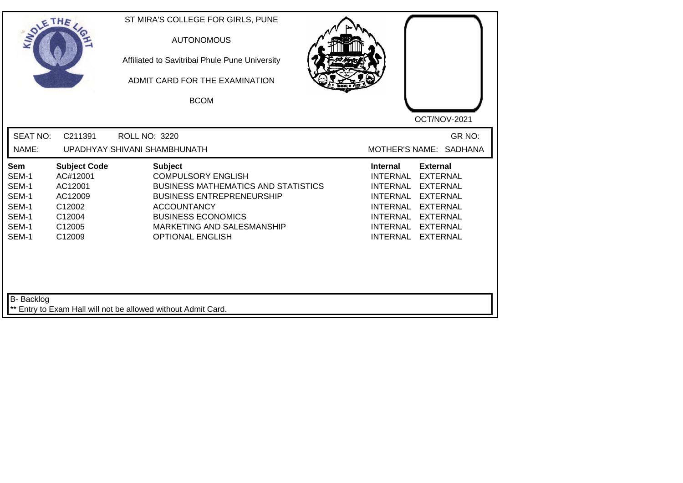| SOLETHE ,                                                                 |                                                                                               | <b>AUTONOMOUS</b><br>Affiliated to Savitribai Phule Pune University<br>ADMIT CARD FOR THE EXAMINATION<br><b>BCOM</b>                                                                                                                      | OCT/NOV-2021                                                                                                                                                                                                                                                                                          |
|---------------------------------------------------------------------------|-----------------------------------------------------------------------------------------------|-------------------------------------------------------------------------------------------------------------------------------------------------------------------------------------------------------------------------------------------|-------------------------------------------------------------------------------------------------------------------------------------------------------------------------------------------------------------------------------------------------------------------------------------------------------|
| <b>SEAT NO:</b><br>NAME:                                                  | C211391                                                                                       | <b>ROLL NO: 3220</b><br>UPADHYAY SHIVANI SHAMBHUNATH                                                                                                                                                                                      | GR NO:<br>MOTHER'S NAME: SADHANA                                                                                                                                                                                                                                                                      |
| <b>Sem</b><br>SEM-1<br>SEM-1<br>SEM-1<br>SEM-1<br>SEM-1<br>SEM-1<br>SEM-1 | <b>Subject Code</b><br>AC#12001<br>AC12001<br>AC12009<br>C12002<br>C12004<br>C12005<br>C12009 | <b>Subject</b><br><b>COMPULSORY ENGLISH</b><br><b>BUSINESS MATHEMATICS AND STATISTICS</b><br><b>BUSINESS ENTREPRENEURSHIP</b><br><b>ACCOUNTANCY</b><br><b>BUSINESS ECONOMICS</b><br>MARKETING AND SALESMANSHIP<br><b>OPTIONAL ENGLISH</b> | <b>Internal</b><br><b>External</b><br><b>INTERNAL</b><br><b>EXTERNAL</b><br><b>INTERNAL</b><br><b>EXTERNAL</b><br><b>INTERNAL</b><br><b>EXTERNAL</b><br><b>INTERNAL</b><br><b>EXTERNAL</b><br>INTERNAL<br><b>EXTERNAL</b><br><b>INTERNAL</b><br><b>EXTERNAL</b><br><b>INTERNAL</b><br><b>EXTERNAL</b> |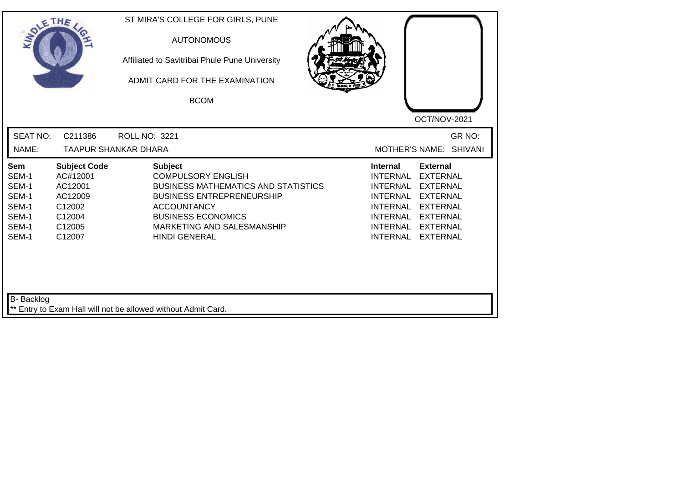| <b>SEAT NO:</b><br>C211386<br>GR NO:<br>ROLL NO: 3221<br>NAME:<br><b>TAAPUR SHANKAR DHARA</b><br>MOTHER'S NAME: SHIVANI<br><b>Subject Code</b><br><b>Subject</b><br><b>Internal</b><br><b>External</b><br>Sem<br>AC#12001<br><b>COMPULSORY ENGLISH</b><br><b>INTERNAL</b><br><b>EXTERNAL</b><br>SEM-1<br>SEM-1<br>AC12001<br><b>BUSINESS MATHEMATICS AND STATISTICS</b><br><b>INTERNAL</b><br><b>EXTERNAL</b><br>SEM-1<br>AC12009<br><b>BUSINESS ENTREPRENEURSHIP</b><br><b>INTERNAL</b><br><b>EXTERNAL</b><br>SEM-1<br>C12002<br><b>ACCOUNTANCY</b><br><b>INTERNAL</b><br><b>EXTERNAL</b><br>SEM-1<br><b>BUSINESS ECONOMICS</b><br>C12004<br>INTERNAL<br><b>EXTERNAL</b><br>SEM-1<br>C12005<br>MARKETING AND SALESMANSHIP<br><b>INTERNAL</b><br><b>EXTERNAL</b><br>SEM-1<br><b>HINDI GENERAL</b><br><b>INTERNAL</b><br>C12007<br><b>EXTERNAL</b> | SOLETHE . | ST MIRA'S COLLEGE FOR GIRLS, PUNE<br><b>AUTONOMOUS</b><br>Affiliated to Savitribai Phule Pune University<br>ADMIT CARD FOR THE EXAMINATION<br><b>BCOM</b> | OCT/NOV-2021 |
|---------------------------------------------------------------------------------------------------------------------------------------------------------------------------------------------------------------------------------------------------------------------------------------------------------------------------------------------------------------------------------------------------------------------------------------------------------------------------------------------------------------------------------------------------------------------------------------------------------------------------------------------------------------------------------------------------------------------------------------------------------------------------------------------------------------------------------------------------|-----------|-----------------------------------------------------------------------------------------------------------------------------------------------------------|--------------|
|                                                                                                                                                                                                                                                                                                                                                                                                                                                                                                                                                                                                                                                                                                                                                                                                                                                   |           |                                                                                                                                                           |              |
|                                                                                                                                                                                                                                                                                                                                                                                                                                                                                                                                                                                                                                                                                                                                                                                                                                                   |           |                                                                                                                                                           |              |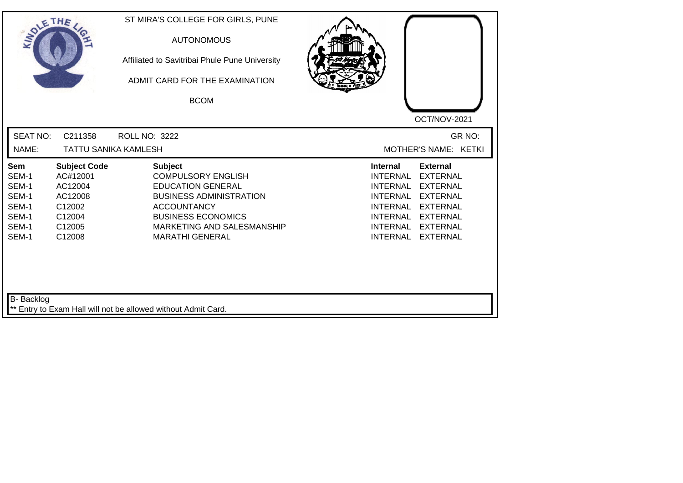| SOLETHE .                                                          |                                                                                               | ST MIRA'S COLLEGE FOR GIRLS, PUNE<br><b>AUTONOMOUS</b><br>Affiliated to Savitribai Phule Pune University<br>ADMIT CARD FOR THE EXAMINATION<br><b>BCOM</b>                                                            | OCT/NOV-2021                                                                                                                                                                                                                                                                                                 |
|--------------------------------------------------------------------|-----------------------------------------------------------------------------------------------|----------------------------------------------------------------------------------------------------------------------------------------------------------------------------------------------------------------------|--------------------------------------------------------------------------------------------------------------------------------------------------------------------------------------------------------------------------------------------------------------------------------------------------------------|
| <b>SEAT NO:</b><br>NAME:                                           | C211358<br><b>TATTU SANIKA KAMLESH</b>                                                        | <b>ROLL NO: 3222</b>                                                                                                                                                                                                 | GR NO:<br>MOTHER'S NAME: KETKI                                                                                                                                                                                                                                                                               |
| Sem<br>SEM-1<br>SEM-1<br>SEM-1<br>SEM-1<br>SEM-1<br>SEM-1<br>SEM-1 | <b>Subject Code</b><br>AC#12001<br>AC12004<br>AC12008<br>C12002<br>C12004<br>C12005<br>C12008 | <b>Subject</b><br><b>COMPULSORY ENGLISH</b><br><b>EDUCATION GENERAL</b><br><b>BUSINESS ADMINISTRATION</b><br><b>ACCOUNTANCY</b><br><b>BUSINESS ECONOMICS</b><br>MARKETING AND SALESMANSHIP<br><b>MARATHI GENERAL</b> | <b>External</b><br><b>Internal</b><br><b>INTERNAL</b><br><b>EXTERNAL</b><br><b>INTERNAL</b><br><b>EXTERNAL</b><br><b>INTERNAL</b><br><b>EXTERNAL</b><br><b>EXTERNAL</b><br><b>INTERNAL</b><br><b>INTERNAL</b><br><b>EXTERNAL</b><br><b>INTERNAL</b><br><b>EXTERNAL</b><br><b>INTERNAL</b><br><b>EXTERNAL</b> |
| <b>B-</b> Backlog                                                  |                                                                                               | ** Entry to Exam Hall will not be allowed without Admit Card.                                                                                                                                                        |                                                                                                                                                                                                                                                                                                              |

┛╵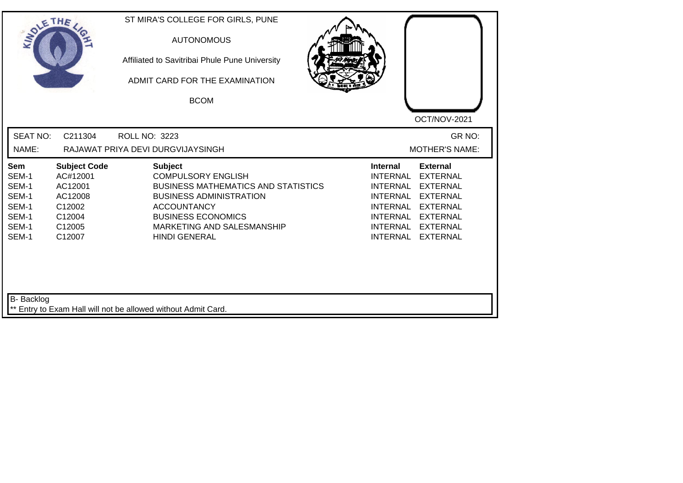| SOLETHE ,                                                          |                                                                                               | ST MIRA'S COLLEGE FOR GIRLS, PUNE<br><b>AUTONOMOUS</b><br>Affiliated to Savitribai Phule Pune University<br>ADMIT CARD FOR THE EXAMINATION<br><b>BCOM</b>                                                                            | OCT/NOV-2021                                                                                                                                                                                                                                                                                          |
|--------------------------------------------------------------------|-----------------------------------------------------------------------------------------------|--------------------------------------------------------------------------------------------------------------------------------------------------------------------------------------------------------------------------------------|-------------------------------------------------------------------------------------------------------------------------------------------------------------------------------------------------------------------------------------------------------------------------------------------------------|
| <b>SEAT NO:</b><br>NAME:                                           | C211304                                                                                       | <b>ROLL NO: 3223</b><br>RAJAWAT PRIYA DEVI DURGVIJAYSINGH                                                                                                                                                                            | GR NO:<br><b>MOTHER'S NAME:</b>                                                                                                                                                                                                                                                                       |
| Sem<br>SEM-1<br>SEM-1<br>SEM-1<br>SEM-1<br>SEM-1<br>SEM-1<br>SEM-1 | <b>Subject Code</b><br>AC#12001<br>AC12001<br>AC12008<br>C12002<br>C12004<br>C12005<br>C12007 | <b>Subject</b><br><b>COMPULSORY ENGLISH</b><br><b>BUSINESS MATHEMATICS AND STATISTICS</b><br><b>BUSINESS ADMINISTRATION</b><br><b>ACCOUNTANCY</b><br><b>BUSINESS ECONOMICS</b><br>MARKETING AND SALESMANSHIP<br><b>HINDI GENERAL</b> | <b>Internal</b><br><b>External</b><br><b>INTERNAL</b><br><b>EXTERNAL</b><br><b>INTERNAL</b><br><b>EXTERNAL</b><br><b>INTERNAL</b><br><b>EXTERNAL</b><br><b>INTERNAL</b><br><b>EXTERNAL</b><br>INTERNAL<br><b>EXTERNAL</b><br><b>INTERNAL</b><br><b>EXTERNAL</b><br><b>INTERNAL</b><br><b>EXTERNAL</b> |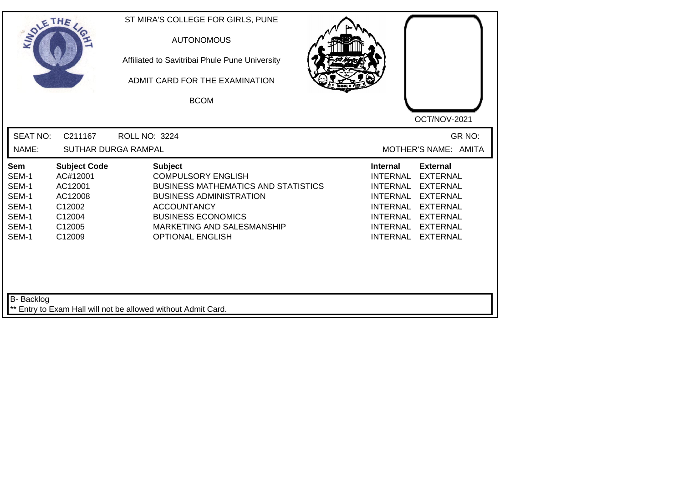| SOLETHE                                                            |                                                                                               | ST MIRA'S COLLEGE FOR GIRLS, PUNE<br><b>AUTONOMOUS</b><br>Affiliated to Savitribai Phule Pune University<br>ADMIT CARD FOR THE EXAMINATION<br><b>BCOM</b>                                                                               | OCT/NOV-2021                                                                                                                                                                                                                                                                                          |
|--------------------------------------------------------------------|-----------------------------------------------------------------------------------------------|-----------------------------------------------------------------------------------------------------------------------------------------------------------------------------------------------------------------------------------------|-------------------------------------------------------------------------------------------------------------------------------------------------------------------------------------------------------------------------------------------------------------------------------------------------------|
| <b>SEAT NO:</b><br>NAME:                                           | C211167                                                                                       | <b>ROLL NO: 3224</b><br>SUTHAR DURGA RAMPAL                                                                                                                                                                                             | GR NO:<br>MOTHER'S NAME: AMITA                                                                                                                                                                                                                                                                        |
| Sem<br>SEM-1<br>SEM-1<br>SEM-1<br>SEM-1<br>SEM-1<br>SEM-1<br>SEM-1 | <b>Subject Code</b><br>AC#12001<br>AC12001<br>AC12008<br>C12002<br>C12004<br>C12005<br>C12009 | <b>Subject</b><br><b>COMPULSORY ENGLISH</b><br><b>BUSINESS MATHEMATICS AND STATISTICS</b><br><b>BUSINESS ADMINISTRATION</b><br><b>ACCOUNTANCY</b><br><b>BUSINESS ECONOMICS</b><br>MARKETING AND SALESMANSHIP<br><b>OPTIONAL ENGLISH</b> | <b>External</b><br><b>Internal</b><br><b>INTERNAL</b><br><b>EXTERNAL</b><br><b>INTERNAL</b><br><b>EXTERNAL</b><br><b>INTERNAL</b><br><b>EXTERNAL</b><br><b>INTERNAL</b><br><b>EXTERNAL</b><br><b>INTERNAL</b><br><b>EXTERNAL</b><br>INTERNAL<br><b>EXTERNAL</b><br><b>INTERNAL</b><br><b>EXTERNAL</b> |
| B- Backlog                                                         |                                                                                               | ** Entry to Exam Hall will not be allowed without Admit Card.                                                                                                                                                                           |                                                                                                                                                                                                                                                                                                       |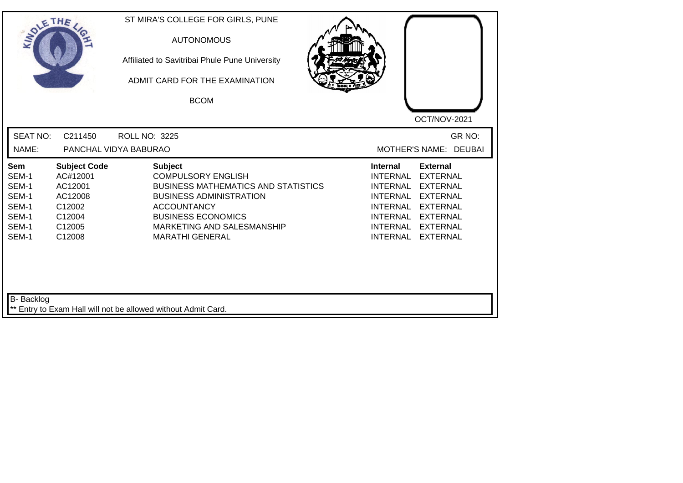| SOLETHE                                                            |                                                                                               | ST MIRA'S COLLEGE FOR GIRLS, PUNE<br><b>AUTONOMOUS</b><br>Affiliated to Savitribai Phule Pune University<br>ADMIT CARD FOR THE EXAMINATION<br><b>BCOM</b>                                                                              | OCT/NOV-2021                                                                                                                                                                                                                                                                                          |
|--------------------------------------------------------------------|-----------------------------------------------------------------------------------------------|----------------------------------------------------------------------------------------------------------------------------------------------------------------------------------------------------------------------------------------|-------------------------------------------------------------------------------------------------------------------------------------------------------------------------------------------------------------------------------------------------------------------------------------------------------|
| <b>SEAT NO:</b><br>NAME:                                           | C211450                                                                                       | <b>ROLL NO: 3225</b><br>PANCHAL VIDYA BABURAO                                                                                                                                                                                          | GR NO:<br>MOTHER'S NAME: DEUBAI                                                                                                                                                                                                                                                                       |
| Sem<br>SEM-1<br>SEM-1<br>SEM-1<br>SEM-1<br>SEM-1<br>SEM-1<br>SEM-1 | <b>Subject Code</b><br>AC#12001<br>AC12001<br>AC12008<br>C12002<br>C12004<br>C12005<br>C12008 | <b>Subject</b><br><b>COMPULSORY ENGLISH</b><br><b>BUSINESS MATHEMATICS AND STATISTICS</b><br><b>BUSINESS ADMINISTRATION</b><br><b>ACCOUNTANCY</b><br><b>BUSINESS ECONOMICS</b><br>MARKETING AND SALESMANSHIP<br><b>MARATHI GENERAL</b> | <b>External</b><br><b>Internal</b><br><b>INTERNAL</b><br><b>EXTERNAL</b><br><b>INTERNAL</b><br><b>EXTERNAL</b><br><b>INTERNAL</b><br><b>EXTERNAL</b><br><b>INTERNAL</b><br><b>EXTERNAL</b><br><b>INTERNAL</b><br><b>EXTERNAL</b><br>INTERNAL<br><b>EXTERNAL</b><br><b>INTERNAL</b><br><b>EXTERNAL</b> |
| B- Backlog                                                         |                                                                                               | ** Entry to Exam Hall will not be allowed without Admit Card.                                                                                                                                                                          |                                                                                                                                                                                                                                                                                                       |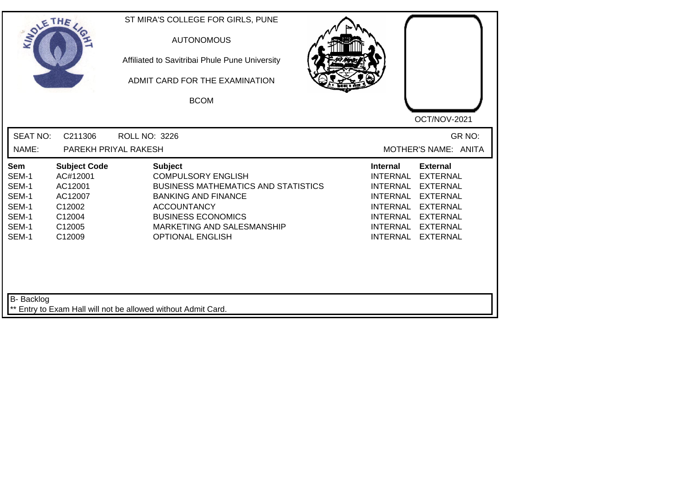| SOLETHE .                                                          |                                                                                               | ST MIRA'S COLLEGE FOR GIRLS, PUNE<br><b>AUTONOMOUS</b><br>Affiliated to Savitribai Phule Pune University<br>ADMIT CARD FOR THE EXAMINATION<br><b>BCOM</b>                                                                           | OCT/NOV-2021                                                                                                                                                                                                                                                                                                 |
|--------------------------------------------------------------------|-----------------------------------------------------------------------------------------------|-------------------------------------------------------------------------------------------------------------------------------------------------------------------------------------------------------------------------------------|--------------------------------------------------------------------------------------------------------------------------------------------------------------------------------------------------------------------------------------------------------------------------------------------------------------|
| <b>SEAT NO:</b><br>NAME:                                           | C211306<br>PAREKH PRIYAL RAKESH                                                               | <b>ROLL NO: 3226</b>                                                                                                                                                                                                                | GR NO:<br>MOTHER'S NAME: ANITA                                                                                                                                                                                                                                                                               |
| Sem<br>SEM-1<br>SEM-1<br>SEM-1<br>SEM-1<br>SEM-1<br>SEM-1<br>SEM-1 | <b>Subject Code</b><br>AC#12001<br>AC12001<br>AC12007<br>C12002<br>C12004<br>C12005<br>C12009 | <b>Subject</b><br><b>COMPULSORY ENGLISH</b><br><b>BUSINESS MATHEMATICS AND STATISTICS</b><br><b>BANKING AND FINANCE</b><br><b>ACCOUNTANCY</b><br><b>BUSINESS ECONOMICS</b><br>MARKETING AND SALESMANSHIP<br><b>OPTIONAL ENGLISH</b> | <b>Internal</b><br><b>External</b><br><b>INTERNAL</b><br><b>EXTERNAL</b><br><b>INTERNAL</b><br><b>EXTERNAL</b><br><b>INTERNAL</b><br><b>EXTERNAL</b><br><b>INTERNAL</b><br><b>EXTERNAL</b><br><b>INTERNAL</b><br><b>EXTERNAL</b><br><b>INTERNAL</b><br><b>EXTERNAL</b><br><b>INTERNAL</b><br><b>EXTERNAL</b> |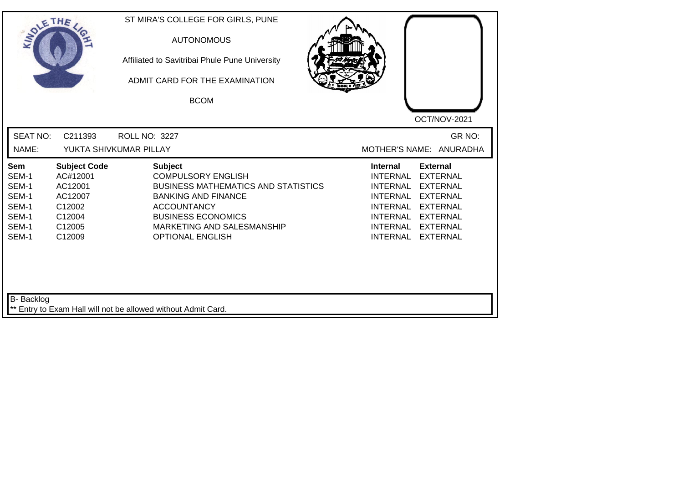| <b>SEAT NO:</b><br>GR NO:<br>C211393<br><b>ROLL NO: 3227</b><br>NAME:<br>YUKTA SHIVKUMAR PILLAY<br>MOTHER'S NAME: ANURADHA<br><b>External</b><br><b>Subject Code</b><br><b>Subject</b><br><b>Internal</b><br><b>Sem</b><br>SEM-1<br>AC#12001<br><b>COMPULSORY ENGLISH</b><br><b>INTERNAL</b><br><b>EXTERNAL</b><br>SEM-1<br>AC12001<br><b>BUSINESS MATHEMATICS AND STATISTICS</b><br><b>INTERNAL</b><br><b>EXTERNAL</b><br>SEM-1<br>AC12007<br><b>BANKING AND FINANCE</b><br><b>INTERNAL</b><br><b>EXTERNAL</b><br>SEM-1<br>C12002<br><b>ACCOUNTANCY</b><br><b>INTERNAL</b><br><b>EXTERNAL</b><br>SEM-1<br><b>BUSINESS ECONOMICS</b><br>C12004<br><b>INTERNAL</b><br><b>EXTERNAL</b><br>SEM-1<br>C12005<br>MARKETING AND SALESMANSHIP<br><b>INTERNAL</b><br><b>EXTERNAL</b><br>SEM-1<br>C12009<br><b>OPTIONAL ENGLISH</b><br><b>INTERNAL</b><br><b>EXTERNAL</b> | SOLETHE , | ST MIRA'S COLLEGE FOR GIRLS, PUNE<br><b>AUTONOMOUS</b><br>Affiliated to Savitribai Phule Pune University<br>ADMIT CARD FOR THE EXAMINATION<br><b>BCOM</b> | OCT/NOV-2021 |
|-----------------------------------------------------------------------------------------------------------------------------------------------------------------------------------------------------------------------------------------------------------------------------------------------------------------------------------------------------------------------------------------------------------------------------------------------------------------------------------------------------------------------------------------------------------------------------------------------------------------------------------------------------------------------------------------------------------------------------------------------------------------------------------------------------------------------------------------------------------------|-----------|-----------------------------------------------------------------------------------------------------------------------------------------------------------|--------------|
|                                                                                                                                                                                                                                                                                                                                                                                                                                                                                                                                                                                                                                                                                                                                                                                                                                                                 |           |                                                                                                                                                           |              |
|                                                                                                                                                                                                                                                                                                                                                                                                                                                                                                                                                                                                                                                                                                                                                                                                                                                                 |           |                                                                                                                                                           |              |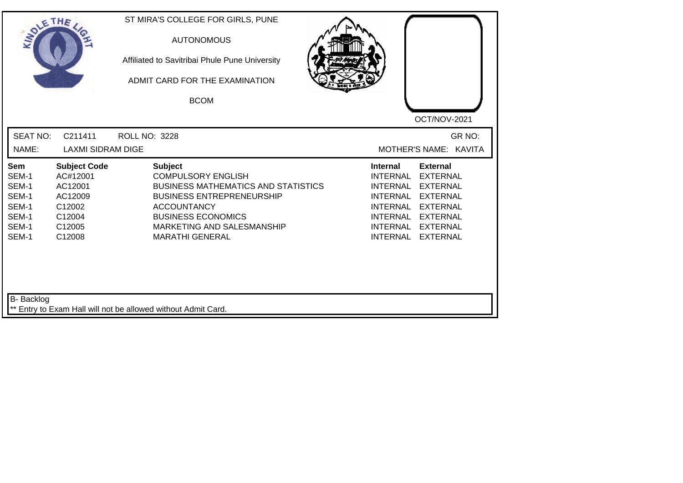| SOLE THE                                                                  |                                                                                               |                      | ST MIRA'S COLLEGE FOR GIRLS, PUNE<br><b>AUTONOMOUS</b><br>Affiliated to Savitribai Phule Pune University<br>ADMIT CARD FOR THE EXAMINATION<br><b>BCOM</b>                                                                                |                                                                                                                     | OCT/NOV-2021                                                                                                                                           |
|---------------------------------------------------------------------------|-----------------------------------------------------------------------------------------------|----------------------|------------------------------------------------------------------------------------------------------------------------------------------------------------------------------------------------------------------------------------------|---------------------------------------------------------------------------------------------------------------------|--------------------------------------------------------------------------------------------------------------------------------------------------------|
| <b>SEAT NO:</b><br>NAME:                                                  | C211411<br><b>LAXMI SIDRAM DIGE</b>                                                           | <b>ROLL NO: 3228</b> |                                                                                                                                                                                                                                          |                                                                                                                     | GR NO:<br>MOTHER'S NAME: KAVITA                                                                                                                        |
| <b>Sem</b><br>SEM-1<br>SEM-1<br>SEM-1<br>SEM-1<br>SEM-1<br>SEM-1<br>SEM-1 | <b>Subject Code</b><br>AC#12001<br>AC12001<br>AC12009<br>C12002<br>C12004<br>C12005<br>C12008 |                      | <b>Subject</b><br><b>COMPULSORY ENGLISH</b><br><b>BUSINESS MATHEMATICS AND STATISTICS</b><br><b>BUSINESS ENTREPRENEURSHIP</b><br><b>ACCOUNTANCY</b><br><b>BUSINESS ECONOMICS</b><br>MARKETING AND SALESMANSHIP<br><b>MARATHI GENERAL</b> | <b>Internal</b><br>INTERNAL<br><b>INTERNAL</b><br>INTERNAL<br><b>INTERNAL</b><br><b>INTERNAL</b><br><b>INTERNAL</b> | <b>External</b><br><b>EXTERNAL</b><br><b>EXTERNAL</b><br><b>EXTERNAL</b><br><b>EXTERNAL</b><br>INTERNAL EXTERNAL<br><b>EXTERNAL</b><br><b>EXTERNAL</b> |
| <b>B-</b> Backlog                                                         |                                                                                               |                      | Entry to Exam Hall will not be allowed without Admit Card.                                                                                                                                                                               |                                                                                                                     |                                                                                                                                                        |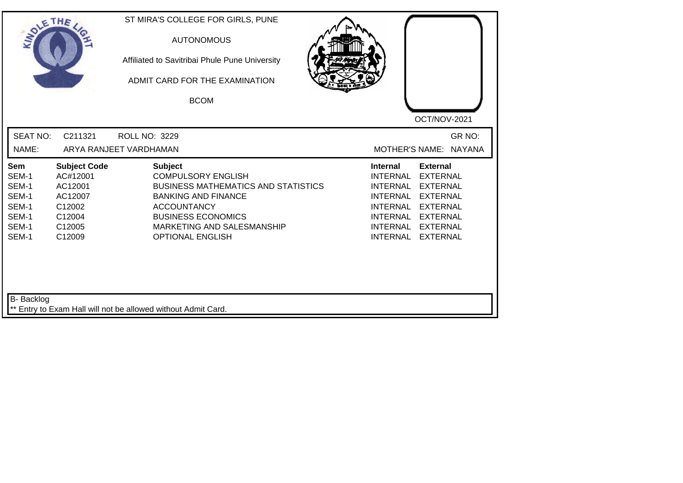| SOLETHE .                                                          |                                                                                               | ST MIRA'S COLLEGE FOR GIRLS, PUNE<br><b>AUTONOMOUS</b><br>Affiliated to Savitribai Phule Pune University<br>ADMIT CARD FOR THE EXAMINATION<br><b>BCOM</b>                                                                           | OCT/NOV-2021                                                                                                                                                                                                                                                                                          |
|--------------------------------------------------------------------|-----------------------------------------------------------------------------------------------|-------------------------------------------------------------------------------------------------------------------------------------------------------------------------------------------------------------------------------------|-------------------------------------------------------------------------------------------------------------------------------------------------------------------------------------------------------------------------------------------------------------------------------------------------------|
| <b>SEAT NO:</b><br>NAME:                                           | C211321                                                                                       | <b>ROLL NO: 3229</b><br>ARYA RANJEET VARDHAMAN                                                                                                                                                                                      | GR NO:<br>MOTHER'S NAME: NAYANA                                                                                                                                                                                                                                                                       |
| Sem<br>SEM-1<br>SEM-1<br>SEM-1<br>SEM-1<br>SEM-1<br>SEM-1<br>SEM-1 | <b>Subject Code</b><br>AC#12001<br>AC12001<br>AC12007<br>C12002<br>C12004<br>C12005<br>C12009 | <b>Subject</b><br><b>COMPULSORY ENGLISH</b><br><b>BUSINESS MATHEMATICS AND STATISTICS</b><br><b>BANKING AND FINANCE</b><br><b>ACCOUNTANCY</b><br><b>BUSINESS ECONOMICS</b><br>MARKETING AND SALESMANSHIP<br><b>OPTIONAL ENGLISH</b> | <b>Internal</b><br><b>External</b><br><b>INTERNAL</b><br><b>EXTERNAL</b><br><b>INTERNAL</b><br><b>EXTERNAL</b><br><b>INTERNAL</b><br><b>EXTERNAL</b><br><b>INTERNAL</b><br><b>EXTERNAL</b><br>INTERNAL<br><b>EXTERNAL</b><br><b>INTERNAL</b><br><b>EXTERNAL</b><br><b>INTERNAL</b><br><b>EXTERNAL</b> |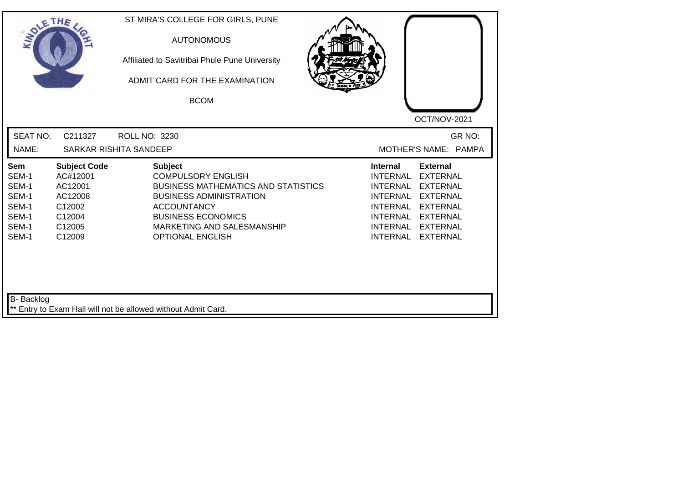| SOLE THE                                                                  |                                                                                               | ST MIRA'S COLLEGE FOR GIRLS, PUNE<br><b>AUTONOMOUS</b><br>Affiliated to Savitribai Phule Pune University<br>ADMIT CARD FOR THE EXAMINATION<br><b>BCOM</b>                                                                               | OCT/NOV-2021                                                                                                                                                                                                                                                                                          |
|---------------------------------------------------------------------------|-----------------------------------------------------------------------------------------------|-----------------------------------------------------------------------------------------------------------------------------------------------------------------------------------------------------------------------------------------|-------------------------------------------------------------------------------------------------------------------------------------------------------------------------------------------------------------------------------------------------------------------------------------------------------|
| <b>SEAT NO:</b><br>NAME:                                                  | C211327                                                                                       | <b>ROLL NO: 3230</b><br>SARKAR RISHITA SANDEEP                                                                                                                                                                                          | GR NO:<br>MOTHER'S NAME: PAMPA                                                                                                                                                                                                                                                                        |
| <b>Sem</b><br>SEM-1<br>SEM-1<br>SEM-1<br>SEM-1<br>SEM-1<br>SEM-1<br>SEM-1 | <b>Subject Code</b><br>AC#12001<br>AC12001<br>AC12008<br>C12002<br>C12004<br>C12005<br>C12009 | <b>Subject</b><br><b>COMPULSORY ENGLISH</b><br><b>BUSINESS MATHEMATICS AND STATISTICS</b><br><b>BUSINESS ADMINISTRATION</b><br><b>ACCOUNTANCY</b><br><b>BUSINESS ECONOMICS</b><br>MARKETING AND SALESMANSHIP<br><b>OPTIONAL ENGLISH</b> | <b>External</b><br>Internal<br><b>INTERNAL</b><br><b>EXTERNAL</b><br><b>INTERNAL</b><br><b>EXTERNAL</b><br><b>INTERNAL</b><br><b>EXTERNAL</b><br><b>INTERNAL</b><br><b>EXTERNAL</b><br><b>INTERNAL</b><br><b>EXTERNAL</b><br><b>INTERNAL</b><br><b>EXTERNAL</b><br><b>INTERNAL</b><br><b>EXTERNAL</b> |
| B- Backlog                                                                |                                                                                               | ** Entry to Exam Hall will not be allowed without Admit Card.                                                                                                                                                                           |                                                                                                                                                                                                                                                                                                       |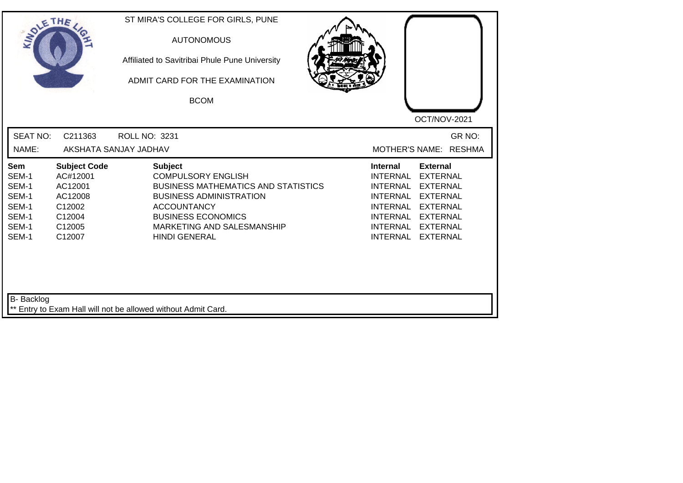| SOLE THE                                                           |                                                                                               | ST MIRA'S COLLEGE FOR GIRLS, PUNE<br><b>AUTONOMOUS</b><br>Affiliated to Savitribai Phule Pune University<br>ADMIT CARD FOR THE EXAMINATION<br><b>BCOM</b>                                                                            | OCT/NOV-2021                                                                                                                                                                                                                                                                                                 |
|--------------------------------------------------------------------|-----------------------------------------------------------------------------------------------|--------------------------------------------------------------------------------------------------------------------------------------------------------------------------------------------------------------------------------------|--------------------------------------------------------------------------------------------------------------------------------------------------------------------------------------------------------------------------------------------------------------------------------------------------------------|
| <b>SEAT NO:</b><br>NAME:                                           | C211363                                                                                       | ROLL NO: 3231<br>AKSHATA SANJAY JADHAV                                                                                                                                                                                               | GR NO:<br><b>RESHMA</b><br><b>MOTHER'S NAME:</b>                                                                                                                                                                                                                                                             |
| Sem<br>SEM-1<br>SEM-1<br>SEM-1<br>SEM-1<br>SEM-1<br>SEM-1<br>SEM-1 | <b>Subject Code</b><br>AC#12001<br>AC12001<br>AC12008<br>C12002<br>C12004<br>C12005<br>C12007 | <b>Subject</b><br><b>COMPULSORY ENGLISH</b><br><b>BUSINESS MATHEMATICS AND STATISTICS</b><br><b>BUSINESS ADMINISTRATION</b><br><b>ACCOUNTANCY</b><br><b>BUSINESS ECONOMICS</b><br>MARKETING AND SALESMANSHIP<br><b>HINDI GENERAL</b> | <b>External</b><br><b>Internal</b><br><b>INTERNAL</b><br><b>EXTERNAL</b><br><b>INTERNAL</b><br><b>EXTERNAL</b><br><b>INTERNAL</b><br><b>EXTERNAL</b><br><b>INTERNAL</b><br><b>EXTERNAL</b><br><b>INTERNAL</b><br><b>EXTERNAL</b><br><b>INTERNAL</b><br><b>EXTERNAL</b><br><b>INTERNAL</b><br><b>EXTERNAL</b> |
| <b>B-</b> Backlog                                                  |                                                                                               | ** Entry to Exam Hall will not be allowed without Admit Card.                                                                                                                                                                        |                                                                                                                                                                                                                                                                                                              |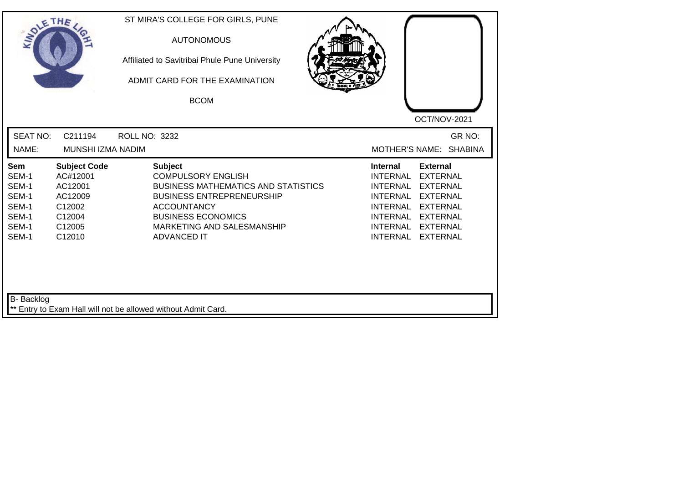| SOLETHE .                                                                 |                                                                                               |               | ST MIRA'S COLLEGE FOR GIRLS, PUNE<br><b>AUTONOMOUS</b><br>Affiliated to Savitribai Phule Pune University<br>ADMIT CARD FOR THE EXAMINATION<br><b>BCOM</b>                                                                            |                                                                                                                            | OCT/NOV-2021                                                                                                                                           |
|---------------------------------------------------------------------------|-----------------------------------------------------------------------------------------------|---------------|--------------------------------------------------------------------------------------------------------------------------------------------------------------------------------------------------------------------------------------|----------------------------------------------------------------------------------------------------------------------------|--------------------------------------------------------------------------------------------------------------------------------------------------------|
| <b>SEAT NO:</b><br>NAME:                                                  | C211194<br>MUNSHI IZMA NADIM                                                                  | ROLL NO: 3232 |                                                                                                                                                                                                                                      | <b>MOTHER'S NAME:</b>                                                                                                      | GR NO:<br><b>SHABINA</b>                                                                                                                               |
| <b>Sem</b><br>SEM-1<br>SEM-1<br>SEM-1<br>SEM-1<br>SEM-1<br>SEM-1<br>SEM-1 | <b>Subject Code</b><br>AC#12001<br>AC12001<br>AC12009<br>C12002<br>C12004<br>C12005<br>C12010 |               | <b>Subject</b><br><b>COMPULSORY ENGLISH</b><br><b>BUSINESS MATHEMATICS AND STATISTICS</b><br><b>BUSINESS ENTREPRENEURSHIP</b><br><b>ACCOUNTANCY</b><br><b>BUSINESS ECONOMICS</b><br>MARKETING AND SALESMANSHIP<br><b>ADVANCED IT</b> | <b>Internal</b><br><b>INTERNAL</b><br><b>INTERNAL</b><br>INTERNAL<br><b>INTERNAL</b><br><b>INTERNAL</b><br><b>INTERNAL</b> | <b>External</b><br><b>EXTERNAL</b><br><b>EXTERNAL</b><br><b>EXTERNAL</b><br><b>EXTERNAL</b><br>INTERNAL EXTERNAL<br><b>EXTERNAL</b><br><b>EXTERNAL</b> |
| <b>B-</b> Backlog                                                         |                                                                                               |               | ** Entry to Exam Hall will not be allowed without Admit Card.                                                                                                                                                                        |                                                                                                                            |                                                                                                                                                        |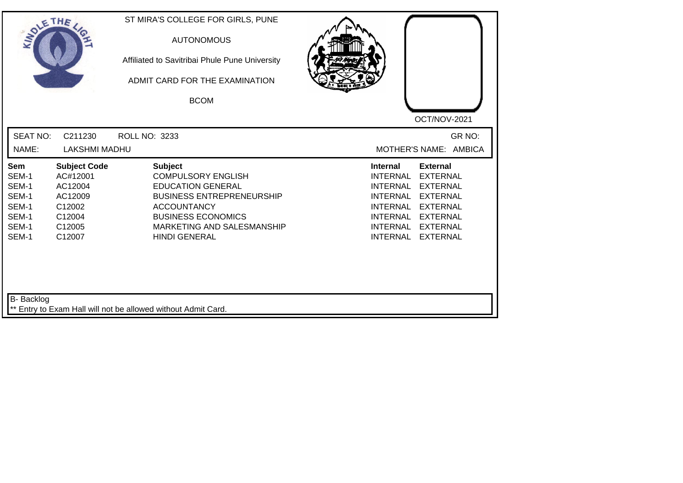| <b>SOLETHE</b>                                                     |                                                                                               | ST MIRA'S COLLEGE FOR GIRLS, PUNE<br><b>AUTONOMOUS</b><br>Affiliated to Savitribai Phule Pune University<br>ADMIT CARD FOR THE EXAMINATION                                                                           |                                                                                                                                                                                                                                                                                                       |
|--------------------------------------------------------------------|-----------------------------------------------------------------------------------------------|----------------------------------------------------------------------------------------------------------------------------------------------------------------------------------------------------------------------|-------------------------------------------------------------------------------------------------------------------------------------------------------------------------------------------------------------------------------------------------------------------------------------------------------|
|                                                                    |                                                                                               | <b>BCOM</b>                                                                                                                                                                                                          | OCT/NOV-2021                                                                                                                                                                                                                                                                                          |
| <b>SEAT NO:</b><br>NAME:                                           | C211230<br><b>LAKSHMI MADHU</b>                                                               | ROLL NO: 3233                                                                                                                                                                                                        | GR NO:<br>MOTHER'S NAME: AMBICA                                                                                                                                                                                                                                                                       |
| Sem<br>SEM-1<br>SEM-1<br>SEM-1<br>SEM-1<br>SEM-1<br>SEM-1<br>SEM-1 | <b>Subject Code</b><br>AC#12001<br>AC12004<br>AC12009<br>C12002<br>C12004<br>C12005<br>C12007 | <b>Subject</b><br><b>COMPULSORY ENGLISH</b><br><b>EDUCATION GENERAL</b><br><b>BUSINESS ENTREPRENEURSHIP</b><br><b>ACCOUNTANCY</b><br><b>BUSINESS ECONOMICS</b><br>MARKETING AND SALESMANSHIP<br><b>HINDI GENERAL</b> | <b>External</b><br><b>Internal</b><br><b>INTERNAL</b><br><b>EXTERNAL</b><br><b>INTERNAL</b><br><b>EXTERNAL</b><br><b>INTERNAL</b><br><b>EXTERNAL</b><br><b>INTERNAL</b><br><b>EXTERNAL</b><br><b>INTERNAL</b><br><b>EXTERNAL</b><br>INTERNAL<br><b>EXTERNAL</b><br><b>INTERNAL</b><br><b>EXTERNAL</b> |
| <b>B-</b> Backlog                                                  |                                                                                               | ** Entry to Exam Hall will not be allowed without Admit Card.                                                                                                                                                        |                                                                                                                                                                                                                                                                                                       |

┛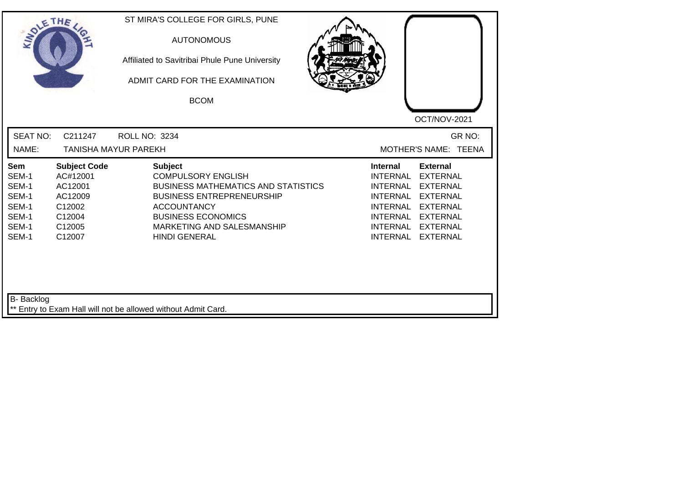| SOLE THE                                                                  |                                                                                               | ST MIRA'S COLLEGE FOR GIRLS, PUNE<br><b>AUTONOMOUS</b><br>Affiliated to Savitribai Phule Pune University<br>ADMIT CARD FOR THE EXAMINATION<br><b>BCOM</b>                                                                              | OCT/NOV-2021                                                                                                                                                                                                                                                                                          |
|---------------------------------------------------------------------------|-----------------------------------------------------------------------------------------------|----------------------------------------------------------------------------------------------------------------------------------------------------------------------------------------------------------------------------------------|-------------------------------------------------------------------------------------------------------------------------------------------------------------------------------------------------------------------------------------------------------------------------------------------------------|
| <b>SEAT NO:</b><br>NAME:                                                  | C211247                                                                                       | ROLL NO: 3234<br>TANISHA MAYUR PAREKH                                                                                                                                                                                                  | GR NO:<br>MOTHER'S NAME: TEENA                                                                                                                                                                                                                                                                        |
| <b>Sem</b><br>SEM-1<br>SEM-1<br>SEM-1<br>SEM-1<br>SEM-1<br>SEM-1<br>SEM-1 | <b>Subject Code</b><br>AC#12001<br>AC12001<br>AC12009<br>C12002<br>C12004<br>C12005<br>C12007 | <b>Subject</b><br><b>COMPULSORY ENGLISH</b><br><b>BUSINESS MATHEMATICS AND STATISTICS</b><br><b>BUSINESS ENTREPRENEURSHIP</b><br><b>ACCOUNTANCY</b><br><b>BUSINESS ECONOMICS</b><br>MARKETING AND SALESMANSHIP<br><b>HINDI GENERAL</b> | <b>External</b><br>Internal<br><b>INTERNAL</b><br><b>EXTERNAL</b><br><b>INTERNAL</b><br><b>EXTERNAL</b><br><b>INTERNAL</b><br><b>EXTERNAL</b><br><b>INTERNAL</b><br><b>EXTERNAL</b><br><b>INTERNAL</b><br><b>EXTERNAL</b><br><b>INTERNAL</b><br><b>EXTERNAL</b><br><b>INTERNAL</b><br><b>EXTERNAL</b> |
| B- Backlog                                                                |                                                                                               | ** Entry to Exam Hall will not be allowed without Admit Card.                                                                                                                                                                          |                                                                                                                                                                                                                                                                                                       |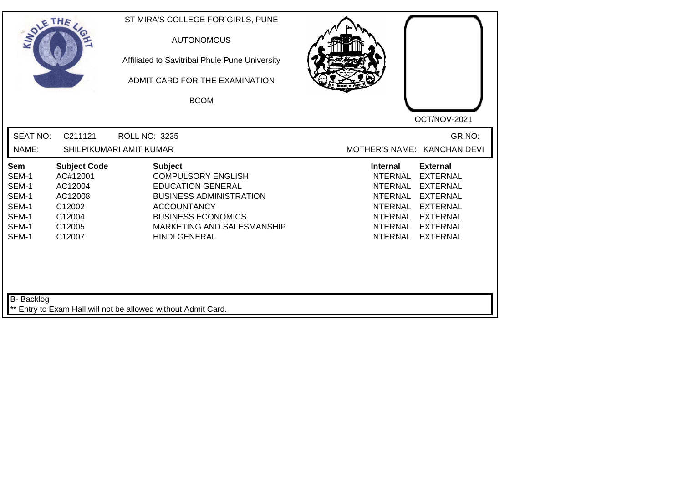| <b>SEAT NO:</b><br>GR NO:<br>C211121<br>ROLL NO: 3235<br>NAME:<br>SHILPIKUMARI AMIT KUMAR<br>MOTHER'S NAME: KANCHAN DEVI<br><b>Subject Code</b><br><b>Subject</b><br><b>Internal</b><br><b>External</b><br>Sem<br>SEM-1<br><b>COMPULSORY ENGLISH</b><br><b>INTERNAL</b><br><b>EXTERNAL</b><br>AC#12001<br>SEM-1<br><b>EDUCATION GENERAL</b><br>AC12004<br><b>INTERNAL</b><br><b>EXTERNAL</b><br>SEM-1<br><b>BUSINESS ADMINISTRATION</b><br><b>INTERNAL</b><br><b>EXTERNAL</b><br>AC12008<br>SEM-1<br>C12002<br><b>ACCOUNTANCY</b><br><b>INTERNAL</b><br><b>EXTERNAL</b><br>SEM-1<br><b>BUSINESS ECONOMICS</b><br>C12004<br>INTERNAL<br><b>EXTERNAL</b><br>SEM-1<br>C12005<br>MARKETING AND SALESMANSHIP<br><b>INTERNAL</b><br><b>EXTERNAL</b><br>SEM-1<br>C12007<br><b>HINDI GENERAL</b><br><b>INTERNAL</b><br><b>EXTERNAL</b> | SOLETHE . | ST MIRA'S COLLEGE FOR GIRLS, PUNE<br><b>AUTONOMOUS</b><br>Affiliated to Savitribai Phule Pune University<br>ADMIT CARD FOR THE EXAMINATION<br><b>BCOM</b> | OCT/NOV-2021 |
|--------------------------------------------------------------------------------------------------------------------------------------------------------------------------------------------------------------------------------------------------------------------------------------------------------------------------------------------------------------------------------------------------------------------------------------------------------------------------------------------------------------------------------------------------------------------------------------------------------------------------------------------------------------------------------------------------------------------------------------------------------------------------------------------------------------------------------|-----------|-----------------------------------------------------------------------------------------------------------------------------------------------------------|--------------|
|                                                                                                                                                                                                                                                                                                                                                                                                                                                                                                                                                                                                                                                                                                                                                                                                                                |           |                                                                                                                                                           |              |
|                                                                                                                                                                                                                                                                                                                                                                                                                                                                                                                                                                                                                                                                                                                                                                                                                                |           |                                                                                                                                                           |              |

┙╽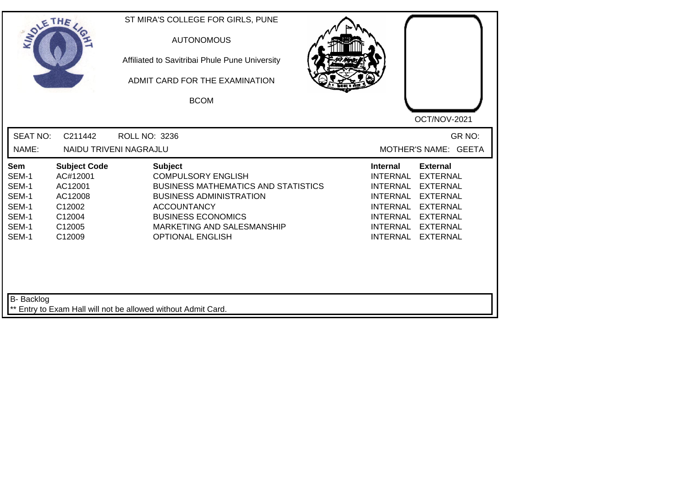| SOLETHE .                                                                 |                                                                                               | ST MIRA'S COLLEGE FOR GIRLS, PUNE<br><b>AUTONOMOUS</b><br>Affiliated to Savitribai Phule Pune University<br>ADMIT CARD FOR THE EXAMINATION<br><b>BCOM</b>                                                                               | OCT/NOV-2021                                                                                                                                                                                                                                                                                                 |
|---------------------------------------------------------------------------|-----------------------------------------------------------------------------------------------|-----------------------------------------------------------------------------------------------------------------------------------------------------------------------------------------------------------------------------------------|--------------------------------------------------------------------------------------------------------------------------------------------------------------------------------------------------------------------------------------------------------------------------------------------------------------|
| <b>SEAT NO:</b><br>NAME:                                                  | C211442                                                                                       | ROLL NO: 3236<br>NAIDU TRIVENI NAGRAJLU                                                                                                                                                                                                 | GR NO:<br>MOTHER'S NAME: GEETA                                                                                                                                                                                                                                                                               |
| <b>Sem</b><br>SEM-1<br>SEM-1<br>SEM-1<br>SEM-1<br>SEM-1<br>SEM-1<br>SEM-1 | <b>Subject Code</b><br>AC#12001<br>AC12001<br>AC12008<br>C12002<br>C12004<br>C12005<br>C12009 | <b>Subject</b><br><b>COMPULSORY ENGLISH</b><br><b>BUSINESS MATHEMATICS AND STATISTICS</b><br><b>BUSINESS ADMINISTRATION</b><br><b>ACCOUNTANCY</b><br><b>BUSINESS ECONOMICS</b><br>MARKETING AND SALESMANSHIP<br><b>OPTIONAL ENGLISH</b> | <b>External</b><br><b>Internal</b><br><b>INTERNAL</b><br><b>EXTERNAL</b><br><b>INTERNAL</b><br><b>EXTERNAL</b><br><b>INTERNAL</b><br><b>EXTERNAL</b><br><b>INTERNAL</b><br><b>EXTERNAL</b><br><b>INTERNAL</b><br><b>EXTERNAL</b><br><b>INTERNAL</b><br><b>EXTERNAL</b><br><b>INTERNAL</b><br><b>EXTERNAL</b> |
| B- Backlog                                                                |                                                                                               | ** Entry to Exam Hall will not be allowed without Admit Card.                                                                                                                                                                           |                                                                                                                                                                                                                                                                                                              |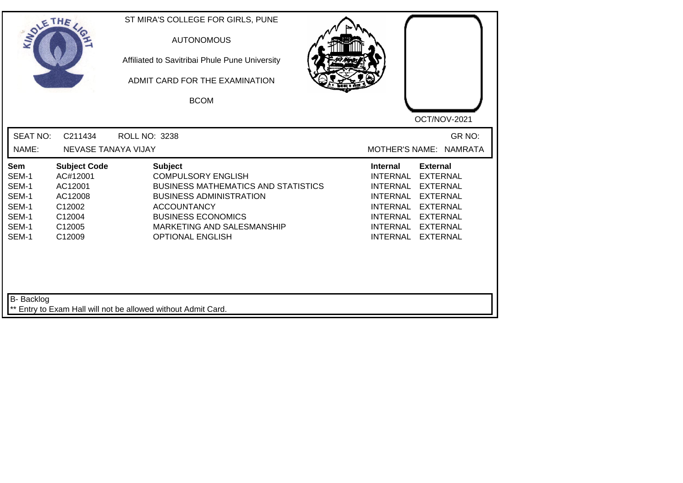| SOLETHE .                                                          |                                                                                               | ST MIRA'S COLLEGE FOR GIRLS, PUNE<br><b>AUTONOMOUS</b><br>Affiliated to Savitribai Phule Pune University<br>ADMIT CARD FOR THE EXAMINATION<br><b>BCOM</b>                                                                               | OCT/NOV-2021                                                                                                                                                                                                                                                                                          |
|--------------------------------------------------------------------|-----------------------------------------------------------------------------------------------|-----------------------------------------------------------------------------------------------------------------------------------------------------------------------------------------------------------------------------------------|-------------------------------------------------------------------------------------------------------------------------------------------------------------------------------------------------------------------------------------------------------------------------------------------------------|
| <b>SEAT NO:</b><br>NAME:                                           | C211434<br>NEVASE TANAYA VIJAY                                                                | <b>ROLL NO: 3238</b>                                                                                                                                                                                                                    | GR NO:<br>MOTHER'S NAME: NAMRATA                                                                                                                                                                                                                                                                      |
| Sem<br>SEM-1<br>SEM-1<br>SEM-1<br>SEM-1<br>SEM-1<br>SEM-1<br>SEM-1 | <b>Subject Code</b><br>AC#12001<br>AC12001<br>AC12008<br>C12002<br>C12004<br>C12005<br>C12009 | <b>Subject</b><br><b>COMPULSORY ENGLISH</b><br><b>BUSINESS MATHEMATICS AND STATISTICS</b><br><b>BUSINESS ADMINISTRATION</b><br><b>ACCOUNTANCY</b><br><b>BUSINESS ECONOMICS</b><br>MARKETING AND SALESMANSHIP<br><b>OPTIONAL ENGLISH</b> | <b>External</b><br><b>Internal</b><br><b>INTERNAL</b><br><b>EXTERNAL</b><br><b>INTERNAL</b><br><b>EXTERNAL</b><br><b>INTERNAL</b><br><b>EXTERNAL</b><br><b>INTERNAL</b><br><b>EXTERNAL</b><br><b>INTERNAL</b><br><b>EXTERNAL</b><br>INTERNAL<br><b>EXTERNAL</b><br><b>INTERNAL</b><br><b>EXTERNAL</b> |
| <b>B-</b> Backlog                                                  |                                                                                               | ** Entry to Exam Hall will not be allowed without Admit Card.                                                                                                                                                                           |                                                                                                                                                                                                                                                                                                       |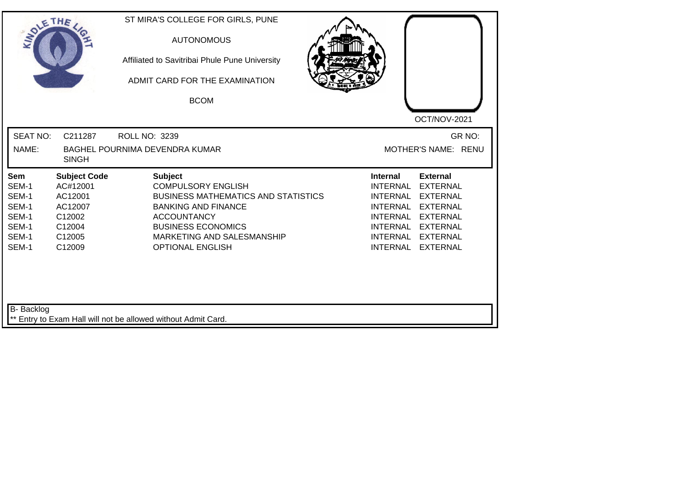| <b>SEAT NO:</b><br>GR NO:<br>C211287<br><b>ROLL NO: 3239</b><br>NAME:<br><b>BAGHEL POURNIMA DEVENDRA KUMAR</b><br>MOTHER'S NAME: RENU<br><b>SINGH</b><br><b>Subject Code</b><br><b>External</b><br>Sem<br><b>Subject</b><br>Internal<br>SEM-1<br>AC#12001<br><b>COMPULSORY ENGLISH</b><br><b>INTERNAL</b><br><b>EXTERNAL</b><br>SEM-1<br>AC12001<br><b>BUSINESS MATHEMATICS AND STATISTICS</b><br><b>INTERNAL</b><br><b>EXTERNAL</b><br>SEM-1<br>AC12007<br><b>BANKING AND FINANCE</b><br><b>INTERNAL</b><br><b>EXTERNAL</b><br>SEM-1<br><b>INTERNAL</b><br><b>EXTERNAL</b><br>C12002<br><b>ACCOUNTANCY</b><br>SEM-1<br><b>BUSINESS ECONOMICS</b><br><b>INTERNAL</b><br><b>EXTERNAL</b><br>C12004<br>SEM-1<br><b>INTERNAL</b><br>C12005<br>MARKETING AND SALESMANSHIP<br><b>EXTERNAL</b><br>SEM-1<br><b>INTERNAL</b><br>C12009<br><b>OPTIONAL ENGLISH</b><br><b>EXTERNAL</b> | SOLETHE | ST MIRA'S COLLEGE FOR GIRLS, PUNE<br><b>AUTONOMOUS</b><br>Affiliated to Savitribai Phule Pune University<br>ADMIT CARD FOR THE EXAMINATION<br><b>BCOM</b> | OCT/NOV-2021 |
|------------------------------------------------------------------------------------------------------------------------------------------------------------------------------------------------------------------------------------------------------------------------------------------------------------------------------------------------------------------------------------------------------------------------------------------------------------------------------------------------------------------------------------------------------------------------------------------------------------------------------------------------------------------------------------------------------------------------------------------------------------------------------------------------------------------------------------------------------------------------------|---------|-----------------------------------------------------------------------------------------------------------------------------------------------------------|--------------|
|                                                                                                                                                                                                                                                                                                                                                                                                                                                                                                                                                                                                                                                                                                                                                                                                                                                                              |         |                                                                                                                                                           |              |
|                                                                                                                                                                                                                                                                                                                                                                                                                                                                                                                                                                                                                                                                                                                                                                                                                                                                              |         |                                                                                                                                                           |              |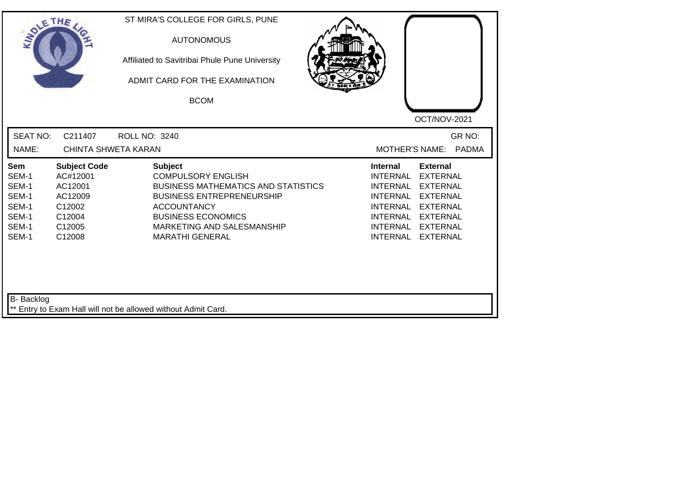| SOLETHE                                                            |                                                                                               | ST MIRA'S COLLEGE FOR GIRLS, PUNE<br><b>AUTONOMOUS</b><br>Affiliated to Savitribai Phule Pune University<br>ADMIT CARD FOR THE EXAMINATION<br><b>BCOM</b>                                                                                | OCT/NOV-2021                                                                                                                                                                                                                                                                                          |
|--------------------------------------------------------------------|-----------------------------------------------------------------------------------------------|------------------------------------------------------------------------------------------------------------------------------------------------------------------------------------------------------------------------------------------|-------------------------------------------------------------------------------------------------------------------------------------------------------------------------------------------------------------------------------------------------------------------------------------------------------|
| <b>SEAT NO:</b><br>NAME:                                           | C211407<br><b>CHINTA SHWETA KARAN</b>                                                         | <b>ROLL NO: 3240</b>                                                                                                                                                                                                                     | GR NO:<br><b>MOTHER'S NAME:</b><br><b>PADMA</b>                                                                                                                                                                                                                                                       |
| Sem<br>SEM-1<br>SEM-1<br>SEM-1<br>SEM-1<br>SEM-1<br>SEM-1<br>SEM-1 | <b>Subject Code</b><br>AC#12001<br>AC12001<br>AC12009<br>C12002<br>C12004<br>C12005<br>C12008 | <b>Subject</b><br><b>COMPULSORY ENGLISH</b><br><b>BUSINESS MATHEMATICS AND STATISTICS</b><br><b>BUSINESS ENTREPRENEURSHIP</b><br><b>ACCOUNTANCY</b><br><b>BUSINESS ECONOMICS</b><br>MARKETING AND SALESMANSHIP<br><b>MARATHI GENERAL</b> | <b>External</b><br><b>Internal</b><br><b>INTERNAL</b><br><b>EXTERNAL</b><br><b>INTERNAL</b><br><b>EXTERNAL</b><br><b>INTERNAL</b><br><b>EXTERNAL</b><br><b>INTERNAL</b><br><b>EXTERNAL</b><br><b>INTERNAL</b><br><b>EXTERNAL</b><br>INTERNAL<br><b>EXTERNAL</b><br><b>INTERNAL</b><br><b>EXTERNAL</b> |
| B- Backlog                                                         |                                                                                               | ** Entry to Exam Hall will not be allowed without Admit Card.                                                                                                                                                                            |                                                                                                                                                                                                                                                                                                       |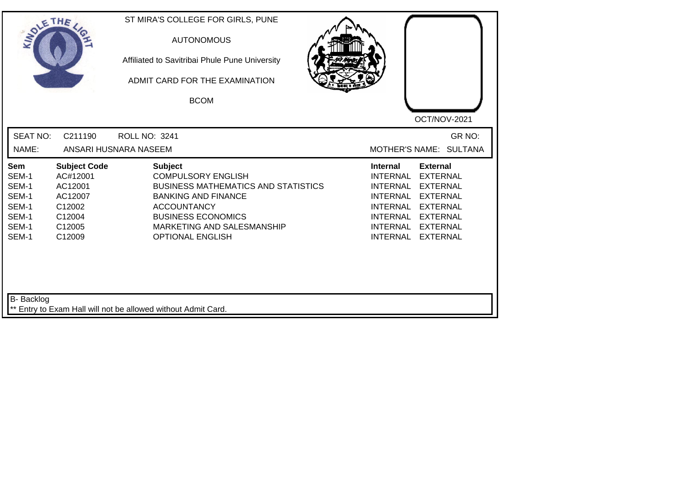| SOLE THE                                                                  |                                                                                               | ST MIRA'S COLLEGE FOR GIRLS, PUNE<br><b>AUTONOMOUS</b><br>Affiliated to Savitribai Phule Pune University<br>ADMIT CARD FOR THE EXAMINATION<br><b>BCOM</b>                                                                           | OCT/NOV-2021                                                                                                                                                                                                                                                                                          |
|---------------------------------------------------------------------------|-----------------------------------------------------------------------------------------------|-------------------------------------------------------------------------------------------------------------------------------------------------------------------------------------------------------------------------------------|-------------------------------------------------------------------------------------------------------------------------------------------------------------------------------------------------------------------------------------------------------------------------------------------------------|
| <b>SEAT NO:</b><br>NAME:                                                  | C211190                                                                                       | <b>ROLL NO: 3241</b><br>ANSARI HUSNARA NASEEM                                                                                                                                                                                       | GR NO:<br>MOTHER'S NAME: SULTANA                                                                                                                                                                                                                                                                      |
| <b>Sem</b><br>SEM-1<br>SEM-1<br>SEM-1<br>SEM-1<br>SEM-1<br>SEM-1<br>SEM-1 | <b>Subject Code</b><br>AC#12001<br>AC12001<br>AC12007<br>C12002<br>C12004<br>C12005<br>C12009 | <b>Subject</b><br><b>COMPULSORY ENGLISH</b><br><b>BUSINESS MATHEMATICS AND STATISTICS</b><br><b>BANKING AND FINANCE</b><br><b>ACCOUNTANCY</b><br><b>BUSINESS ECONOMICS</b><br>MARKETING AND SALESMANSHIP<br><b>OPTIONAL ENGLISH</b> | <b>Internal</b><br><b>External</b><br><b>INTERNAL</b><br><b>EXTERNAL</b><br><b>INTERNAL</b><br><b>EXTERNAL</b><br><b>INTERNAL</b><br><b>EXTERNAL</b><br><b>INTERNAL</b><br><b>EXTERNAL</b><br>INTERNAL<br><b>EXTERNAL</b><br><b>INTERNAL</b><br><b>EXTERNAL</b><br><b>INTERNAL</b><br><b>EXTERNAL</b> |
| B- Backlog                                                                |                                                                                               | ** Entry to Exam Hall will not be allowed without Admit Card.                                                                                                                                                                       |                                                                                                                                                                                                                                                                                                       |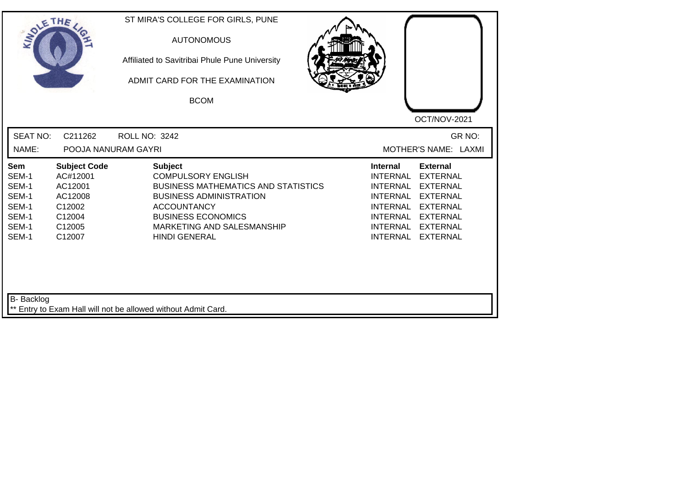| SOLETHE                                                            |                                                                                               | ST MIRA'S COLLEGE FOR GIRLS, PUNE<br><b>AUTONOMOUS</b><br>Affiliated to Savitribai Phule Pune University<br>ADMIT CARD FOR THE EXAMINATION<br><b>BCOM</b>                                                                            | OCT/NOV-2021                                                                                                                                                                                                                                                                                          |
|--------------------------------------------------------------------|-----------------------------------------------------------------------------------------------|--------------------------------------------------------------------------------------------------------------------------------------------------------------------------------------------------------------------------------------|-------------------------------------------------------------------------------------------------------------------------------------------------------------------------------------------------------------------------------------------------------------------------------------------------------|
| <b>SEAT NO:</b><br>NAME:                                           | C211262<br>POOJA NANURAM GAYRI                                                                | <b>ROLL NO: 3242</b>                                                                                                                                                                                                                 | GR NO:<br>MOTHER'S NAME: LAXMI                                                                                                                                                                                                                                                                        |
| Sem<br>SEM-1<br>SEM-1<br>SEM-1<br>SEM-1<br>SEM-1<br>SEM-1<br>SEM-1 | <b>Subject Code</b><br>AC#12001<br>AC12001<br>AC12008<br>C12002<br>C12004<br>C12005<br>C12007 | <b>Subject</b><br><b>COMPULSORY ENGLISH</b><br><b>BUSINESS MATHEMATICS AND STATISTICS</b><br><b>BUSINESS ADMINISTRATION</b><br><b>ACCOUNTANCY</b><br><b>BUSINESS ECONOMICS</b><br>MARKETING AND SALESMANSHIP<br><b>HINDI GENERAL</b> | <b>External</b><br><b>Internal</b><br><b>INTERNAL</b><br><b>EXTERNAL</b><br><b>INTERNAL</b><br><b>EXTERNAL</b><br><b>INTERNAL</b><br><b>EXTERNAL</b><br><b>INTERNAL</b><br><b>EXTERNAL</b><br><b>INTERNAL</b><br><b>EXTERNAL</b><br>INTERNAL<br><b>EXTERNAL</b><br><b>INTERNAL</b><br><b>EXTERNAL</b> |
| B- Backlog                                                         |                                                                                               | ** Entry to Exam Hall will not be allowed without Admit Card.                                                                                                                                                                        |                                                                                                                                                                                                                                                                                                       |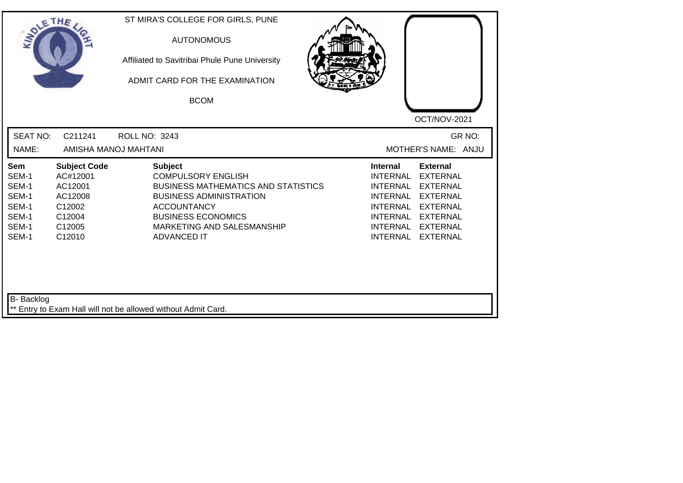| SOLE THE                                                           |                                                                                               | ST MIRA'S COLLEGE FOR GIRLS, PUNE<br><b>AUTONOMOUS</b><br>Affiliated to Savitribai Phule Pune University<br>ADMIT CARD FOR THE EXAMINATION<br><b>BCOM</b>                                                                          | OCT/NOV-2021                                                                                                                                                                                                                                                                                          |
|--------------------------------------------------------------------|-----------------------------------------------------------------------------------------------|------------------------------------------------------------------------------------------------------------------------------------------------------------------------------------------------------------------------------------|-------------------------------------------------------------------------------------------------------------------------------------------------------------------------------------------------------------------------------------------------------------------------------------------------------|
| <b>SEAT NO:</b><br>NAME:                                           | C211241<br>AMISHA MANOJ MAHTANI                                                               | <b>ROLL NO: 3243</b>                                                                                                                                                                                                               | GR NO:<br>MOTHER'S NAME: ANJU                                                                                                                                                                                                                                                                         |
| Sem<br>SEM-1<br>SEM-1<br>SEM-1<br>SEM-1<br>SEM-1<br>SEM-1<br>SEM-1 | <b>Subject Code</b><br>AC#12001<br>AC12001<br>AC12008<br>C12002<br>C12004<br>C12005<br>C12010 | <b>Subject</b><br><b>COMPULSORY ENGLISH</b><br><b>BUSINESS MATHEMATICS AND STATISTICS</b><br><b>BUSINESS ADMINISTRATION</b><br><b>ACCOUNTANCY</b><br><b>BUSINESS ECONOMICS</b><br>MARKETING AND SALESMANSHIP<br><b>ADVANCED IT</b> | <b>External</b><br><b>Internal</b><br><b>INTERNAL</b><br><b>EXTERNAL</b><br><b>INTERNAL</b><br><b>EXTERNAL</b><br><b>INTERNAL</b><br><b>EXTERNAL</b><br><b>INTERNAL</b><br><b>EXTERNAL</b><br><b>INTERNAL</b><br><b>EXTERNAL</b><br>INTERNAL<br><b>EXTERNAL</b><br><b>INTERNAL</b><br><b>EXTERNAL</b> |
| B- Backlog                                                         |                                                                                               | ** Entry to Exam Hall will not be allowed without Admit Card.                                                                                                                                                                      |                                                                                                                                                                                                                                                                                                       |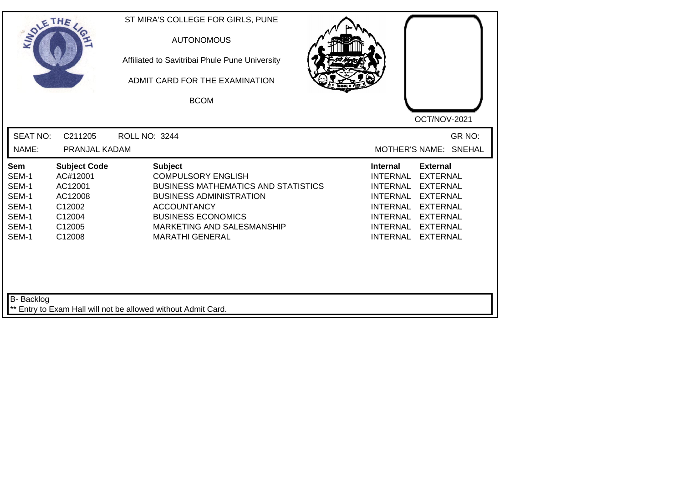| SOLE THE                                                                  |                                                                                               | ST MIRA'S COLLEGE FOR GIRLS, PUNE<br><b>AUTONOMOUS</b><br>Affiliated to Savitribai Phule Pune University<br>ADMIT CARD FOR THE EXAMINATION<br><b>BCOM</b>                                                                              | OCT/NOV-2021                                                                                                                                                                                                                                                                                          |
|---------------------------------------------------------------------------|-----------------------------------------------------------------------------------------------|----------------------------------------------------------------------------------------------------------------------------------------------------------------------------------------------------------------------------------------|-------------------------------------------------------------------------------------------------------------------------------------------------------------------------------------------------------------------------------------------------------------------------------------------------------|
| <b>SEAT NO:</b><br>NAME:                                                  | C211205<br>PRANJAL KADAM                                                                      | ROLL NO: 3244                                                                                                                                                                                                                          | GR NO:<br>MOTHER'S NAME: SNEHAL                                                                                                                                                                                                                                                                       |
| <b>Sem</b><br>SEM-1<br>SEM-1<br>SEM-1<br>SEM-1<br>SEM-1<br>SEM-1<br>SEM-1 | <b>Subject Code</b><br>AC#12001<br>AC12001<br>AC12008<br>C12002<br>C12004<br>C12005<br>C12008 | <b>Subject</b><br><b>COMPULSORY ENGLISH</b><br><b>BUSINESS MATHEMATICS AND STATISTICS</b><br><b>BUSINESS ADMINISTRATION</b><br><b>ACCOUNTANCY</b><br><b>BUSINESS ECONOMICS</b><br>MARKETING AND SALESMANSHIP<br><b>MARATHI GENERAL</b> | <b>External</b><br><b>Internal</b><br><b>INTERNAL</b><br><b>EXTERNAL</b><br><b>INTERNAL</b><br><b>EXTERNAL</b><br><b>INTERNAL</b><br><b>EXTERNAL</b><br><b>INTERNAL</b><br><b>EXTERNAL</b><br><b>INTERNAL</b><br><b>EXTERNAL</b><br>INTERNAL<br><b>EXTERNAL</b><br><b>INTERNAL</b><br><b>EXTERNAL</b> |
| B- Backlog                                                                |                                                                                               | ** Entry to Exam Hall will not be allowed without Admit Card.                                                                                                                                                                          |                                                                                                                                                                                                                                                                                                       |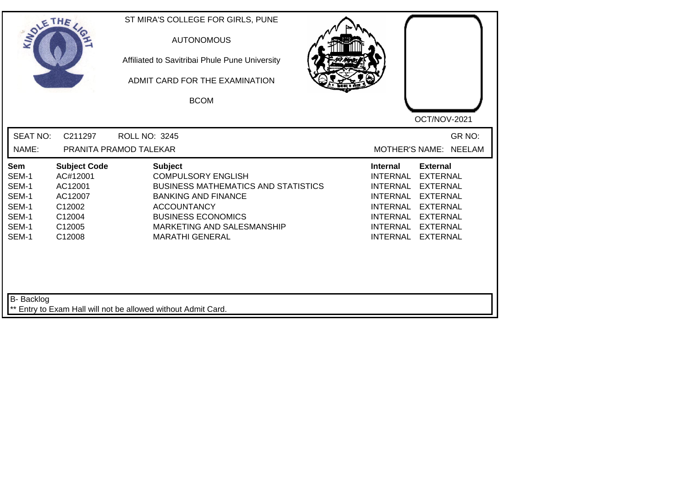| <b>SEAT NO:</b><br>GR NO:<br>C211297<br><b>ROLL NO: 3245</b><br>NAME:<br>MOTHER'S NAME: NEELAM<br>PRANITA PRAMOD TALEKAR<br><b>Subject</b><br><b>Subject Code</b><br><b>Internal</b><br><b>External</b><br>Sem<br>AC#12001<br><b>COMPULSORY ENGLISH</b><br><b>INTERNAL</b><br><b>EXTERNAL</b><br>SEM-1<br>SEM-1<br>AC12001<br><b>BUSINESS MATHEMATICS AND STATISTICS</b><br><b>INTERNAL</b><br><b>EXTERNAL</b><br>SEM-1<br>AC12007<br><b>BANKING AND FINANCE</b><br><b>INTERNAL</b><br><b>EXTERNAL</b><br>SEM-1<br>C12002<br><b>ACCOUNTANCY</b><br><b>INTERNAL</b><br><b>EXTERNAL</b><br>SEM-1<br><b>BUSINESS ECONOMICS</b><br>C12004<br>INTERNAL<br><b>EXTERNAL</b><br>SEM-1<br>C12005<br>MARKETING AND SALESMANSHIP<br><b>INTERNAL</b><br><b>EXTERNAL</b><br>SEM-1<br><b>INTERNAL</b><br>C12008<br><b>MARATHI GENERAL</b><br><b>EXTERNAL</b> | SOLETHE . | ST MIRA'S COLLEGE FOR GIRLS, PUNE<br><b>AUTONOMOUS</b><br>Affiliated to Savitribai Phule Pune University<br>ADMIT CARD FOR THE EXAMINATION<br><b>BCOM</b> | OCT/NOV-2021 |
|------------------------------------------------------------------------------------------------------------------------------------------------------------------------------------------------------------------------------------------------------------------------------------------------------------------------------------------------------------------------------------------------------------------------------------------------------------------------------------------------------------------------------------------------------------------------------------------------------------------------------------------------------------------------------------------------------------------------------------------------------------------------------------------------------------------------------------------------|-----------|-----------------------------------------------------------------------------------------------------------------------------------------------------------|--------------|
|                                                                                                                                                                                                                                                                                                                                                                                                                                                                                                                                                                                                                                                                                                                                                                                                                                                |           |                                                                                                                                                           |              |
|                                                                                                                                                                                                                                                                                                                                                                                                                                                                                                                                                                                                                                                                                                                                                                                                                                                |           |                                                                                                                                                           |              |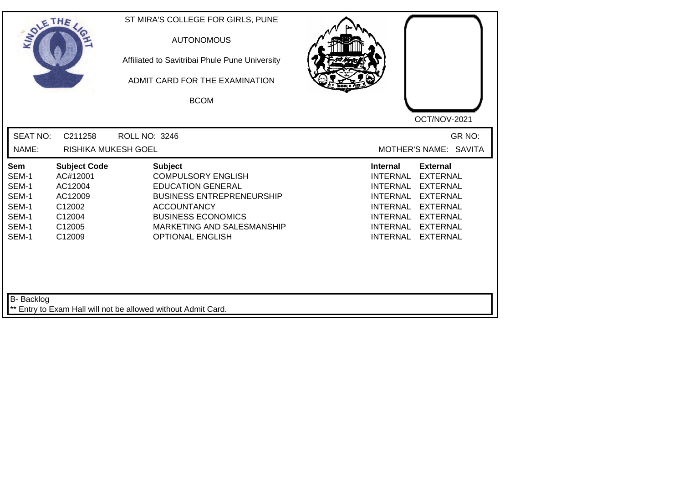| SOLETHE .                                                          |                                                                                               | ST MIRA'S COLLEGE FOR GIRLS, PUNE<br><b>AUTONOMOUS</b><br>Affiliated to Savitribai Phule Pune University<br>ADMIT CARD FOR THE EXAMINATION<br><b>BCOM</b>                                                               | OCT/NOV-2021                                                                                                                                                                                                                                                                                                 |
|--------------------------------------------------------------------|-----------------------------------------------------------------------------------------------|-------------------------------------------------------------------------------------------------------------------------------------------------------------------------------------------------------------------------|--------------------------------------------------------------------------------------------------------------------------------------------------------------------------------------------------------------------------------------------------------------------------------------------------------------|
| <b>SEAT NO:</b><br>NAME:                                           | C211258<br>RISHIKA MUKESH GOEL                                                                | <b>ROLL NO: 3246</b>                                                                                                                                                                                                    | GR NO:<br>MOTHER'S NAME: SAVITA                                                                                                                                                                                                                                                                              |
| Sem<br>SEM-1<br>SEM-1<br>SEM-1<br>SEM-1<br>SEM-1<br>SEM-1<br>SEM-1 | <b>Subject Code</b><br>AC#12001<br>AC12004<br>AC12009<br>C12002<br>C12004<br>C12005<br>C12009 | <b>Subject</b><br><b>COMPULSORY ENGLISH</b><br><b>EDUCATION GENERAL</b><br><b>BUSINESS ENTREPRENEURSHIP</b><br><b>ACCOUNTANCY</b><br><b>BUSINESS ECONOMICS</b><br>MARKETING AND SALESMANSHIP<br><b>OPTIONAL ENGLISH</b> | <b>External</b><br><b>Internal</b><br><b>INTERNAL</b><br><b>EXTERNAL</b><br><b>INTERNAL</b><br><b>EXTERNAL</b><br><b>INTERNAL</b><br><b>EXTERNAL</b><br><b>EXTERNAL</b><br><b>INTERNAL</b><br><b>INTERNAL</b><br><b>EXTERNAL</b><br><b>INTERNAL</b><br><b>EXTERNAL</b><br><b>INTERNAL</b><br><b>EXTERNAL</b> |
| <b>B-</b> Backlog                                                  |                                                                                               | ** Entry to Exam Hall will not be allowed without Admit Card.                                                                                                                                                           |                                                                                                                                                                                                                                                                                                              |

┛╵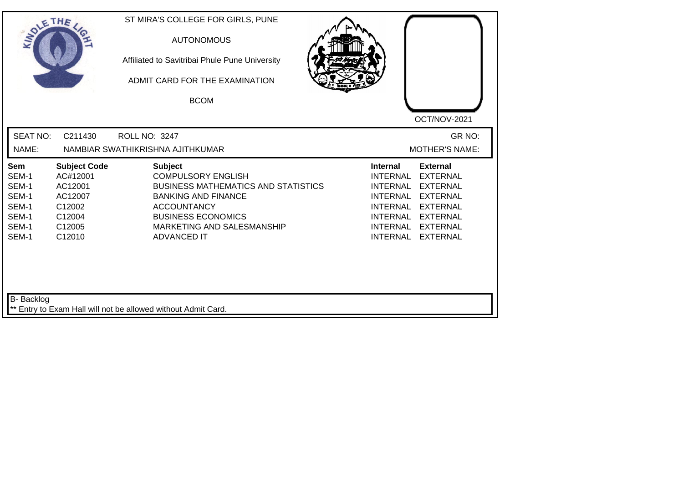| SOLE THE                                                           |                                                                                               | <b>AUTONOMOUS</b><br>Affiliated to Savitribai Phule Pune University<br>ADMIT CARD FOR THE EXAMINATION<br><b>BCOM</b>                                                                                                           | OCT/NOV-2021                                                                                                                                                                                                                                                                                                 |
|--------------------------------------------------------------------|-----------------------------------------------------------------------------------------------|--------------------------------------------------------------------------------------------------------------------------------------------------------------------------------------------------------------------------------|--------------------------------------------------------------------------------------------------------------------------------------------------------------------------------------------------------------------------------------------------------------------------------------------------------------|
| <b>SEAT NO:</b><br>NAME:                                           | C211430                                                                                       | ROLL NO: 3247<br>NAMBIAR SWATHIKRISHNA AJITHKUMAR                                                                                                                                                                              | GR NO:<br><b>MOTHER'S NAME:</b>                                                                                                                                                                                                                                                                              |
| Sem<br>SEM-1<br>SEM-1<br>SEM-1<br>SEM-1<br>SEM-1<br>SEM-1<br>SEM-1 | <b>Subject Code</b><br>AC#12001<br>AC12001<br>AC12007<br>C12002<br>C12004<br>C12005<br>C12010 | <b>Subject</b><br><b>COMPULSORY ENGLISH</b><br><b>BUSINESS MATHEMATICS AND STATISTICS</b><br><b>BANKING AND FINANCE</b><br><b>ACCOUNTANCY</b><br><b>BUSINESS ECONOMICS</b><br>MARKETING AND SALESMANSHIP<br><b>ADVANCED IT</b> | <b>External</b><br><b>Internal</b><br><b>INTERNAL</b><br><b>EXTERNAL</b><br><b>EXTERNAL</b><br><b>INTERNAL</b><br><b>INTERNAL</b><br><b>EXTERNAL</b><br><b>INTERNAL</b><br><b>EXTERNAL</b><br><b>INTERNAL</b><br><b>EXTERNAL</b><br><b>INTERNAL</b><br><b>EXTERNAL</b><br><b>INTERNAL</b><br><b>EXTERNAL</b> |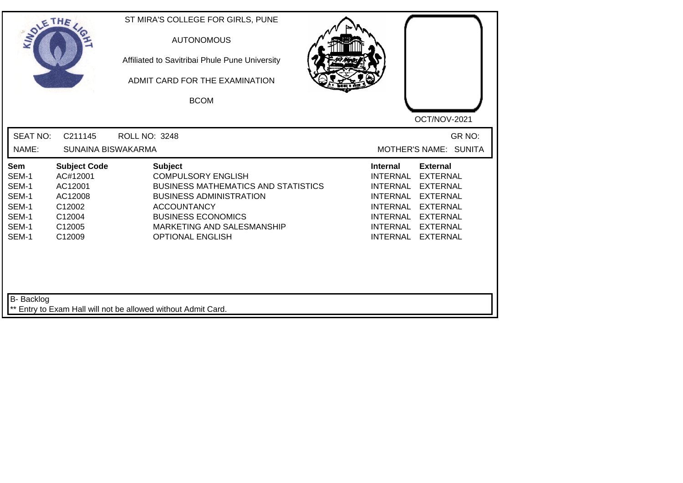| SOLE THE                                                                  |                                                                                               | ST MIRA'S COLLEGE FOR GIRLS, PUNE<br><b>AUTONOMOUS</b><br>Affiliated to Savitribai Phule Pune University<br>ADMIT CARD FOR THE EXAMINATION<br><b>BCOM</b>                                                                               | OCT/NOV-2021                                                                                                                                                                                                                                                                                                 |
|---------------------------------------------------------------------------|-----------------------------------------------------------------------------------------------|-----------------------------------------------------------------------------------------------------------------------------------------------------------------------------------------------------------------------------------------|--------------------------------------------------------------------------------------------------------------------------------------------------------------------------------------------------------------------------------------------------------------------------------------------------------------|
| <b>SEAT NO:</b><br>NAME:                                                  | C211145<br>SUNAINA BISWAKARMA                                                                 | ROLL NO: 3248                                                                                                                                                                                                                           | GR NO:<br>MOTHER'S NAME: SUNITA                                                                                                                                                                                                                                                                              |
| <b>Sem</b><br>SEM-1<br>SEM-1<br>SEM-1<br>SEM-1<br>SEM-1<br>SEM-1<br>SEM-1 | <b>Subject Code</b><br>AC#12001<br>AC12001<br>AC12008<br>C12002<br>C12004<br>C12005<br>C12009 | <b>Subject</b><br><b>COMPULSORY ENGLISH</b><br><b>BUSINESS MATHEMATICS AND STATISTICS</b><br><b>BUSINESS ADMINISTRATION</b><br><b>ACCOUNTANCY</b><br><b>BUSINESS ECONOMICS</b><br>MARKETING AND SALESMANSHIP<br><b>OPTIONAL ENGLISH</b> | <b>External</b><br><b>Internal</b><br><b>INTERNAL</b><br><b>EXTERNAL</b><br><b>INTERNAL</b><br><b>EXTERNAL</b><br><b>INTERNAL</b><br><b>EXTERNAL</b><br><b>INTERNAL</b><br><b>EXTERNAL</b><br><b>INTERNAL</b><br><b>EXTERNAL</b><br><b>INTERNAL</b><br><b>EXTERNAL</b><br><b>INTERNAL</b><br><b>EXTERNAL</b> |
| B- Backlog                                                                |                                                                                               | ** Entry to Exam Hall will not be allowed without Admit Card.                                                                                                                                                                           |                                                                                                                                                                                                                                                                                                              |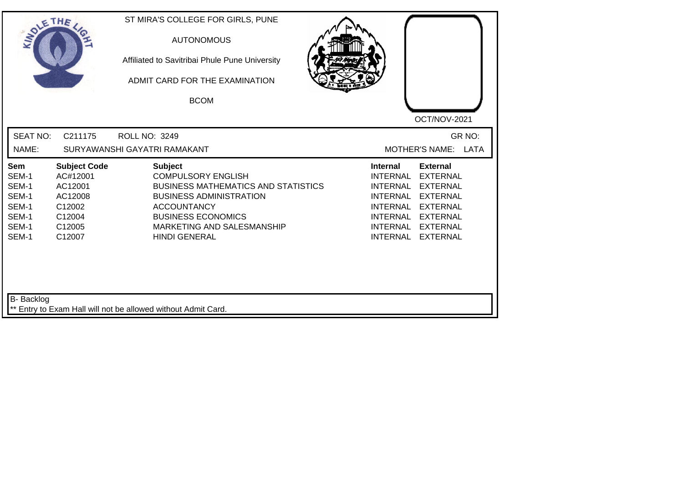| <b>SEAT NO:</b><br>GR NO:<br>C211175<br><b>ROLL NO: 3249</b><br>NAME:<br>SURYAWANSHI GAYATRI RAMAKANT<br><b>MOTHER'S NAME:</b><br>LATA<br><b>Subject Code</b><br><b>Subject</b><br>Sem<br><b>Internal</b><br><b>External</b><br><b>COMPULSORY ENGLISH</b><br>SEM-1<br>AC#12001<br><b>INTERNAL</b><br><b>EXTERNAL</b><br>SEM-1<br>AC12001<br><b>BUSINESS MATHEMATICS AND STATISTICS</b><br><b>EXTERNAL</b><br>INTERNAL<br>SEM-1<br><b>BUSINESS ADMINISTRATION</b><br>AC12008<br><b>INTERNAL</b><br><b>EXTERNAL</b><br>SEM-1<br>C12002<br><b>ACCOUNTANCY</b><br><b>INTERNAL</b><br><b>EXTERNAL</b><br>SEM-1<br><b>BUSINESS ECONOMICS</b><br><b>INTERNAL</b><br>C12004<br><b>EXTERNAL</b><br>SEM-1<br>C12005<br>MARKETING AND SALESMANSHIP<br>INTERNAL<br><b>EXTERNAL</b><br>SEM-1<br>C12007<br><b>HINDI GENERAL</b><br><b>INTERNAL</b><br><b>EXTERNAL</b> | SOLETHE . | ST MIRA'S COLLEGE FOR GIRLS, PUNE<br><b>AUTONOMOUS</b><br>Affiliated to Savitribai Phule Pune University<br>ADMIT CARD FOR THE EXAMINATION<br><b>BCOM</b> | OCT/NOV-2021 |
|---------------------------------------------------------------------------------------------------------------------------------------------------------------------------------------------------------------------------------------------------------------------------------------------------------------------------------------------------------------------------------------------------------------------------------------------------------------------------------------------------------------------------------------------------------------------------------------------------------------------------------------------------------------------------------------------------------------------------------------------------------------------------------------------------------------------------------------------------------|-----------|-----------------------------------------------------------------------------------------------------------------------------------------------------------|--------------|
|                                                                                                                                                                                                                                                                                                                                                                                                                                                                                                                                                                                                                                                                                                                                                                                                                                                         |           |                                                                                                                                                           |              |
|                                                                                                                                                                                                                                                                                                                                                                                                                                                                                                                                                                                                                                                                                                                                                                                                                                                         |           |                                                                                                                                                           |              |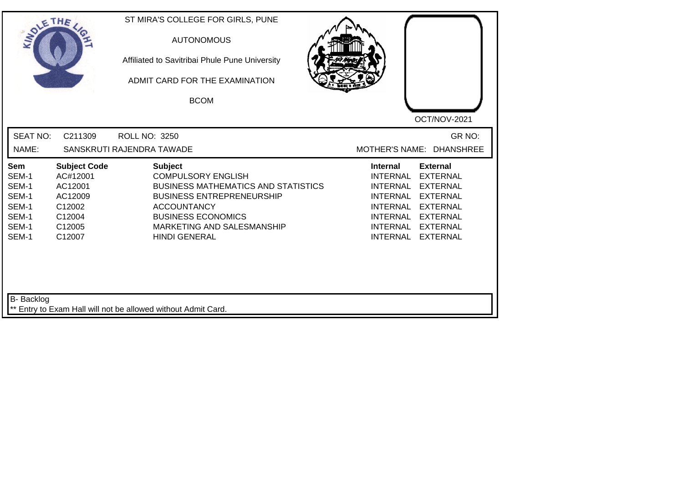| SOLETHE,                                                           |                                                                                               | ST MIRA'S COLLEGE FOR GIRLS, PUNE<br><b>AUTONOMOUS</b><br>Affiliated to Savitribai Phule Pune University<br>ADMIT CARD FOR THE EXAMINATION<br><b>BCOM</b>                                                                              | OCT/NOV-2021                                                                                                                                                                                                                                                                         |
|--------------------------------------------------------------------|-----------------------------------------------------------------------------------------------|----------------------------------------------------------------------------------------------------------------------------------------------------------------------------------------------------------------------------------------|--------------------------------------------------------------------------------------------------------------------------------------------------------------------------------------------------------------------------------------------------------------------------------------|
| <b>SEAT NO:</b><br>NAME:                                           | C211309                                                                                       | <b>ROLL NO: 3250</b><br>SANSKRUTI RAJENDRA TAWADE                                                                                                                                                                                      | GR NO:<br>MOTHER'S NAME: DHANSHREE                                                                                                                                                                                                                                                   |
| Sem<br>SEM-1<br>SEM-1<br>SEM-1<br>SEM-1<br>SEM-1<br>SEM-1<br>SEM-1 | <b>Subject Code</b><br>AC#12001<br>AC12001<br>AC12009<br>C12002<br>C12004<br>C12005<br>C12007 | <b>Subject</b><br><b>COMPULSORY ENGLISH</b><br><b>BUSINESS MATHEMATICS AND STATISTICS</b><br><b>BUSINESS ENTREPRENEURSHIP</b><br><b>ACCOUNTANCY</b><br><b>BUSINESS ECONOMICS</b><br>MARKETING AND SALESMANSHIP<br><b>HINDI GENERAL</b> | <b>Internal</b><br><b>External</b><br><b>INTERNAL</b><br><b>EXTERNAL</b><br><b>INTERNAL</b><br><b>EXTERNAL</b><br><b>EXTERNAL</b><br><b>INTERNAL</b><br>INTERNAL EXTERNAL<br><b>INTERNAL</b><br><b>EXTERNAL</b><br>INTERNAL<br><b>EXTERNAL</b><br><b>INTERNAL</b><br><b>EXTERNAL</b> |
| B- Backlog                                                         |                                                                                               | ** Entry to Exam Hall will not be allowed without Admit Card.                                                                                                                                                                          |                                                                                                                                                                                                                                                                                      |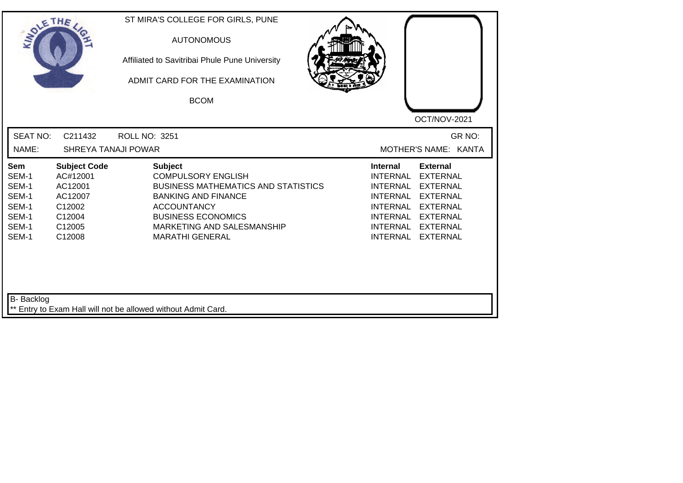| SOLETHE .                                                                                                                                    | ST MIRA'S COLLEGE FOR GIRLS, PUNE<br><b>AUTONOMOUS</b><br>Affiliated to Savitribai Phule Pune University<br>ADMIT CARD FOR THE EXAMINATION<br><b>BCOM</b>                                                                                                 |                                                                                                                                               | OCT/NOV-2021                                                                                                                                         |
|----------------------------------------------------------------------------------------------------------------------------------------------|-----------------------------------------------------------------------------------------------------------------------------------------------------------------------------------------------------------------------------------------------------------|-----------------------------------------------------------------------------------------------------------------------------------------------|------------------------------------------------------------------------------------------------------------------------------------------------------|
| <b>SEAT NO:</b><br>NAME:                                                                                                                     | C211432<br>ROLL NO: 3251<br><b>SHREYA TANAJI POWAR</b>                                                                                                                                                                                                    |                                                                                                                                               | GR NO:<br>MOTHER'S NAME: KANTA                                                                                                                       |
| Sem<br>AC#12001<br>SEM-1<br>SEM-1<br>AC12001<br>SEM-1<br>AC12007<br>SEM-1<br>C12002<br>SEM-1<br>C12004<br>SEM-1<br>C12005<br>SEM-1<br>C12008 | <b>Subject</b><br><b>Subject Code</b><br><b>COMPULSORY ENGLISH</b><br><b>BUSINESS MATHEMATICS AND STATISTICS</b><br><b>BANKING AND FINANCE</b><br><b>ACCOUNTANCY</b><br><b>BUSINESS ECONOMICS</b><br>MARKETING AND SALESMANSHIP<br><b>MARATHI GENERAL</b> | <b>Internal</b><br><b>INTERNAL</b><br><b>INTERNAL</b><br><b>INTERNAL</b><br><b>INTERNAL</b><br>INTERNAL<br><b>INTERNAL</b><br><b>INTERNAL</b> | <b>External</b><br><b>EXTERNAL</b><br><b>EXTERNAL</b><br><b>EXTERNAL</b><br><b>EXTERNAL</b><br><b>EXTERNAL</b><br><b>EXTERNAL</b><br><b>EXTERNAL</b> |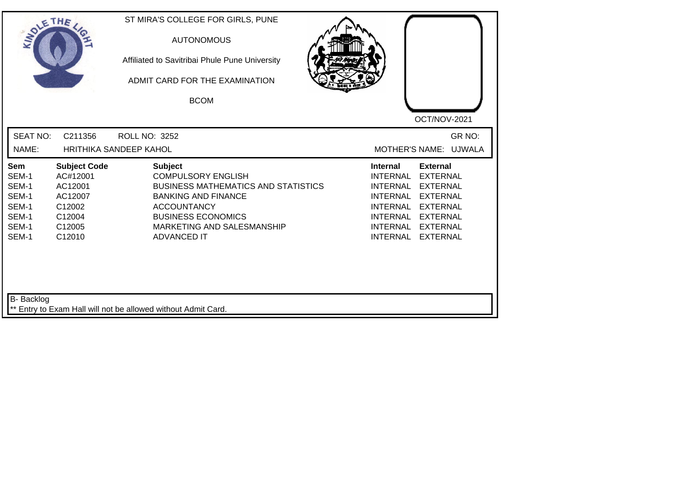| <b>SEAT NO:</b><br>C211356<br>GR NO:<br><b>ROLL NO: 3252</b><br>NAME:<br>HRITHIKA SANDEEP KAHOL<br>MOTHER'S NAME: UJWALA<br><b>Subject Code</b><br><b>Subject</b><br><b>Internal</b><br><b>External</b><br>Sem<br>SEM-1<br><b>COMPULSORY ENGLISH</b><br><b>INTERNAL</b><br><b>EXTERNAL</b><br>AC#12001<br>SEM-1<br>AC12001<br><b>BUSINESS MATHEMATICS AND STATISTICS</b><br><b>INTERNAL</b><br><b>EXTERNAL</b><br>SEM-1<br>AC12007<br><b>BANKING AND FINANCE</b><br><b>INTERNAL</b><br><b>EXTERNAL</b><br>SEM-1<br>C12002<br><b>ACCOUNTANCY</b><br><b>INTERNAL</b><br><b>EXTERNAL</b><br>SEM-1<br><b>BUSINESS ECONOMICS</b><br>C12004<br><b>INTERNAL</b><br><b>EXTERNAL</b><br>SEM-1<br>C12005<br>MARKETING AND SALESMANSHIP<br><b>INTERNAL</b><br><b>EXTERNAL</b><br>SEM-1<br>C12010<br><b>ADVANCED IT</b><br><b>INTERNAL</b><br><b>EXTERNAL</b> | SOLETHE . | ST MIRA'S COLLEGE FOR GIRLS, PUNE<br><b>AUTONOMOUS</b><br>Affiliated to Savitribai Phule Pune University<br>ADMIT CARD FOR THE EXAMINATION<br><b>BCOM</b> | OCT/NOV-2021 |
|---------------------------------------------------------------------------------------------------------------------------------------------------------------------------------------------------------------------------------------------------------------------------------------------------------------------------------------------------------------------------------------------------------------------------------------------------------------------------------------------------------------------------------------------------------------------------------------------------------------------------------------------------------------------------------------------------------------------------------------------------------------------------------------------------------------------------------------------------|-----------|-----------------------------------------------------------------------------------------------------------------------------------------------------------|--------------|
|                                                                                                                                                                                                                                                                                                                                                                                                                                                                                                                                                                                                                                                                                                                                                                                                                                                   |           |                                                                                                                                                           |              |
|                                                                                                                                                                                                                                                                                                                                                                                                                                                                                                                                                                                                                                                                                                                                                                                                                                                   |           |                                                                                                                                                           |              |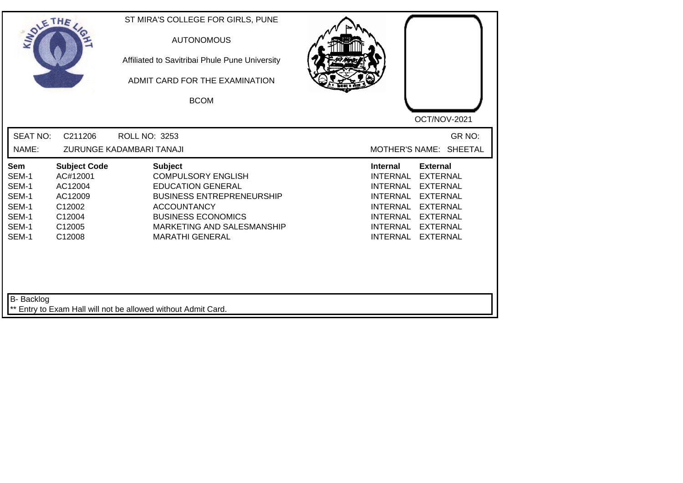| SOLETHE .                                                          |                                                                                               | ST MIRA'S COLLEGE FOR GIRLS, PUNE<br><b>AUTONOMOUS</b><br>Affiliated to Savitribai Phule Pune University<br>ADMIT CARD FOR THE EXAMINATION<br><b>BCOM</b>                                                              |                                                                                                                                                                                                                                                                                                |
|--------------------------------------------------------------------|-----------------------------------------------------------------------------------------------|------------------------------------------------------------------------------------------------------------------------------------------------------------------------------------------------------------------------|------------------------------------------------------------------------------------------------------------------------------------------------------------------------------------------------------------------------------------------------------------------------------------------------|
| <b>SEAT NO:</b><br>NAME:                                           | C211206                                                                                       | ROLL NO: 3253<br>ZURUNGE KADAMBARI TANAJI                                                                                                                                                                              | OCT/NOV-2021<br>GR NO:<br>MOTHER'S NAME: SHEETAL                                                                                                                                                                                                                                               |
| Sem<br>SEM-1<br>SEM-1<br>SEM-1<br>SEM-1<br>SEM-1<br>SEM-1<br>SEM-1 | <b>Subject Code</b><br>AC#12001<br>AC12004<br>AC12009<br>C12002<br>C12004<br>C12005<br>C12008 | <b>Subject</b><br><b>COMPULSORY ENGLISH</b><br><b>EDUCATION GENERAL</b><br><b>BUSINESS ENTREPRENEURSHIP</b><br><b>ACCOUNTANCY</b><br><b>BUSINESS ECONOMICS</b><br>MARKETING AND SALESMANSHIP<br><b>MARATHI GENERAL</b> | <b>External</b><br><b>Internal</b><br><b>EXTERNAL</b><br><b>INTERNAL</b><br><b>INTERNAL</b><br><b>EXTERNAL</b><br><b>EXTERNAL</b><br>INTERNAL<br><b>INTERNAL</b><br><b>EXTERNAL</b><br>INTERNAL<br><b>EXTERNAL</b><br><b>INTERNAL</b><br><b>EXTERNAL</b><br><b>INTERNAL</b><br><b>EXTERNAL</b> |
| <b>B-</b> Backlog                                                  |                                                                                               | ** Entry to Exam Hall will not be allowed without Admit Card.                                                                                                                                                          |                                                                                                                                                                                                                                                                                                |

┛╵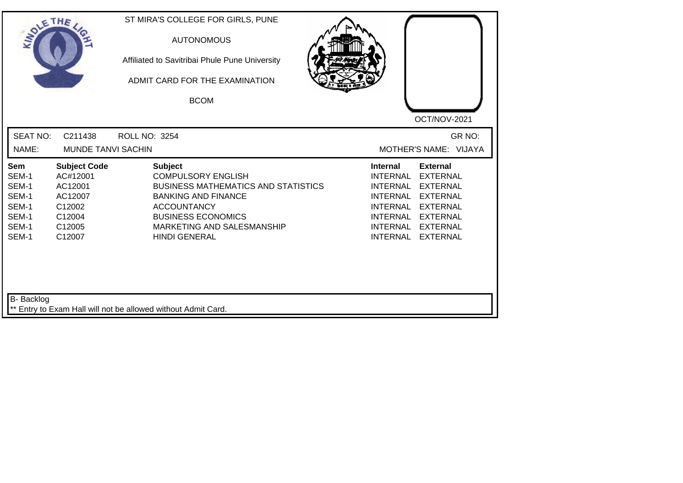| SOLE THE                                                           |                                                                                               | ST MIRA'S COLLEGE FOR GIRLS, PUNE<br><b>AUTONOMOUS</b><br>Affiliated to Savitribai Phule Pune University<br>ADMIT CARD FOR THE EXAMINATION<br><b>BCOM</b>                                                                        | OCT/NOV-2021                                                                                                                                                                                                                                                                                          |
|--------------------------------------------------------------------|-----------------------------------------------------------------------------------------------|----------------------------------------------------------------------------------------------------------------------------------------------------------------------------------------------------------------------------------|-------------------------------------------------------------------------------------------------------------------------------------------------------------------------------------------------------------------------------------------------------------------------------------------------------|
| <b>SEAT NO:</b><br>NAME:                                           | C211438<br>MUNDE TANVI SACHIN                                                                 | ROLL NO: 3254                                                                                                                                                                                                                    | GR NO:<br>MOTHER'S NAME: VIJAYA                                                                                                                                                                                                                                                                       |
| Sem<br>SEM-1<br>SEM-1<br>SEM-1<br>SEM-1<br>SEM-1<br>SEM-1<br>SEM-1 | <b>Subject Code</b><br>AC#12001<br>AC12001<br>AC12007<br>C12002<br>C12004<br>C12005<br>C12007 | <b>Subject</b><br><b>COMPULSORY ENGLISH</b><br><b>BUSINESS MATHEMATICS AND STATISTICS</b><br><b>BANKING AND FINANCE</b><br><b>ACCOUNTANCY</b><br><b>BUSINESS ECONOMICS</b><br>MARKETING AND SALESMANSHIP<br><b>HINDI GENERAL</b> | <b>External</b><br>Internal<br><b>INTERNAL</b><br><b>EXTERNAL</b><br><b>INTERNAL</b><br><b>EXTERNAL</b><br><b>INTERNAL</b><br><b>EXTERNAL</b><br><b>INTERNAL</b><br><b>EXTERNAL</b><br><b>INTERNAL</b><br><b>EXTERNAL</b><br><b>INTERNAL</b><br><b>EXTERNAL</b><br><b>INTERNAL</b><br><b>EXTERNAL</b> |
| B- Backlog                                                         |                                                                                               | ** Entry to Exam Hall will not be allowed without Admit Card.                                                                                                                                                                    |                                                                                                                                                                                                                                                                                                       |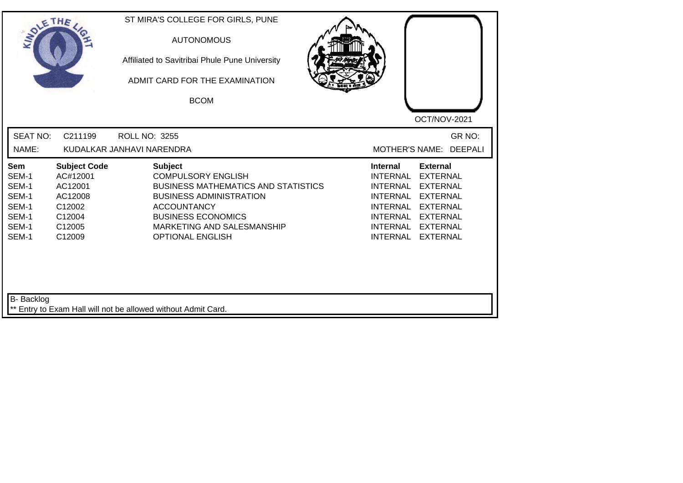| <b>SEAT NO:</b><br>GR NO:<br>C211199<br><b>ROLL NO: 3255</b><br>NAME:<br><b>DEEPALI</b><br>KUDALKAR JANHAVI NARENDRA<br><b>MOTHER'S NAME:</b><br><b>Subject</b><br><b>Subject Code</b><br><b>Internal</b><br><b>External</b><br><b>Sem</b><br>AC#12001<br><b>COMPULSORY ENGLISH</b><br><b>INTERNAL</b><br><b>EXTERNAL</b><br>SEM-1<br>SEM-1<br>AC12001<br><b>BUSINESS MATHEMATICS AND STATISTICS</b><br><b>INTERNAL</b><br><b>EXTERNAL</b><br>SEM-1<br>AC12008<br><b>BUSINESS ADMINISTRATION</b><br><b>INTERNAL</b><br><b>EXTERNAL</b><br>SEM-1<br>C12002<br><b>ACCOUNTANCY</b><br><b>INTERNAL</b><br><b>EXTERNAL</b><br>SEM-1<br><b>BUSINESS ECONOMICS</b><br>C12004<br>INTERNAL<br><b>EXTERNAL</b><br>SEM-1<br>C12005<br>MARKETING AND SALESMANSHIP<br><b>INTERNAL</b><br><b>EXTERNAL</b><br>SEM-1<br><b>INTERNAL</b><br>C12009<br><b>OPTIONAL ENGLISH</b><br><b>EXTERNAL</b> | SOLETHE . | ST MIRA'S COLLEGE FOR GIRLS, PUNE<br><b>AUTONOMOUS</b><br>Affiliated to Savitribai Phule Pune University<br>ADMIT CARD FOR THE EXAMINATION<br><b>BCOM</b> | OCT/NOV-2021 |
|---------------------------------------------------------------------------------------------------------------------------------------------------------------------------------------------------------------------------------------------------------------------------------------------------------------------------------------------------------------------------------------------------------------------------------------------------------------------------------------------------------------------------------------------------------------------------------------------------------------------------------------------------------------------------------------------------------------------------------------------------------------------------------------------------------------------------------------------------------------------------------|-----------|-----------------------------------------------------------------------------------------------------------------------------------------------------------|--------------|
|                                                                                                                                                                                                                                                                                                                                                                                                                                                                                                                                                                                                                                                                                                                                                                                                                                                                                 |           |                                                                                                                                                           |              |
|                                                                                                                                                                                                                                                                                                                                                                                                                                                                                                                                                                                                                                                                                                                                                                                                                                                                                 |           |                                                                                                                                                           |              |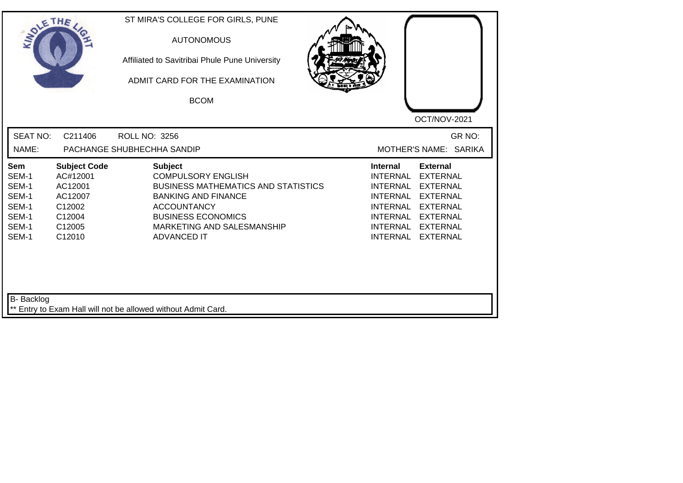| SOLETHE ,                                                          |                                                                                               | ST MIRA'S COLLEGE FOR GIRLS, PUNE<br><b>AUTONOMOUS</b><br>Affiliated to Savitribai Phule Pune University<br>ADMIT CARD FOR THE EXAMINATION<br><b>BCOM</b>                                                                      | OCT/NOV-2021                                                                                                                                                                                                                                                                                          |
|--------------------------------------------------------------------|-----------------------------------------------------------------------------------------------|--------------------------------------------------------------------------------------------------------------------------------------------------------------------------------------------------------------------------------|-------------------------------------------------------------------------------------------------------------------------------------------------------------------------------------------------------------------------------------------------------------------------------------------------------|
| <b>SEAT NO:</b><br>NAME:                                           | C211406                                                                                       | <b>ROLL NO: 3256</b><br>PACHANGE SHUBHECHHA SANDIP                                                                                                                                                                             | GR NO:<br>MOTHER'S NAME: SARIKA                                                                                                                                                                                                                                                                       |
| Sem<br>SEM-1<br>SEM-1<br>SEM-1<br>SEM-1<br>SEM-1<br>SEM-1<br>SEM-1 | <b>Subject Code</b><br>AC#12001<br>AC12001<br>AC12007<br>C12002<br>C12004<br>C12005<br>C12010 | <b>Subject</b><br><b>COMPULSORY ENGLISH</b><br><b>BUSINESS MATHEMATICS AND STATISTICS</b><br><b>BANKING AND FINANCE</b><br><b>ACCOUNTANCY</b><br><b>BUSINESS ECONOMICS</b><br>MARKETING AND SALESMANSHIP<br><b>ADVANCED IT</b> | <b>Internal</b><br><b>External</b><br><b>INTERNAL</b><br><b>EXTERNAL</b><br><b>INTERNAL</b><br><b>EXTERNAL</b><br><b>INTERNAL</b><br><b>EXTERNAL</b><br><b>INTERNAL</b><br><b>EXTERNAL</b><br>INTERNAL<br><b>EXTERNAL</b><br><b>INTERNAL</b><br><b>EXTERNAL</b><br><b>INTERNAL</b><br><b>EXTERNAL</b> |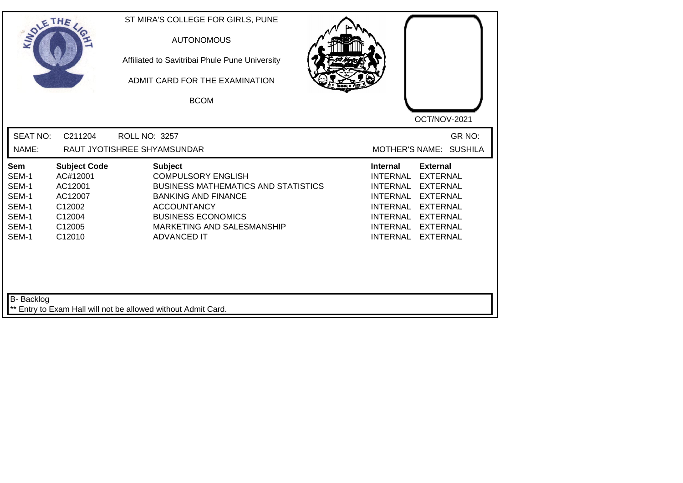| <b>SEAT NO:</b><br>GR NO:<br>C211204<br>ROLL NO: 3257<br>NAME:<br>RAUT JYOTISHREE SHYAMSUNDAR<br>MOTHER'S NAME: SUSHILA<br><b>Subject Code</b><br><b>Subject</b><br>Sem<br>Internal<br><b>External</b><br><b>COMPULSORY ENGLISH</b><br>SEM-1<br>AC#12001<br><b>INTERNAL</b><br><b>EXTERNAL</b><br>SEM-1<br>AC12001<br><b>BUSINESS MATHEMATICS AND STATISTICS</b><br><b>EXTERNAL</b><br>INTERNAL<br>SEM-1<br>AC12007<br><b>BANKING AND FINANCE</b><br><b>INTERNAL</b><br><b>EXTERNAL</b><br>SEM-1<br>C12002<br><b>ACCOUNTANCY</b><br><b>INTERNAL</b><br><b>EXTERNAL</b><br>SEM-1<br><b>BUSINESS ECONOMICS</b><br><b>INTERNAL</b><br>C12004<br><b>EXTERNAL</b><br>SEM-1<br>C12005<br>MARKETING AND SALESMANSHIP<br><b>INTERNAL</b><br><b>EXTERNAL</b><br>SEM-1<br>C12010<br><b>ADVANCED IT</b><br><b>INTERNAL</b><br><b>EXTERNAL</b> | SOLETHE . | ST MIRA'S COLLEGE FOR GIRLS, PUNE<br><b>AUTONOMOUS</b><br>Affiliated to Savitribai Phule Pune University<br>ADMIT CARD FOR THE EXAMINATION<br><b>BCOM</b> | OCT/NOV-2021 |
|------------------------------------------------------------------------------------------------------------------------------------------------------------------------------------------------------------------------------------------------------------------------------------------------------------------------------------------------------------------------------------------------------------------------------------------------------------------------------------------------------------------------------------------------------------------------------------------------------------------------------------------------------------------------------------------------------------------------------------------------------------------------------------------------------------------------------------|-----------|-----------------------------------------------------------------------------------------------------------------------------------------------------------|--------------|
|                                                                                                                                                                                                                                                                                                                                                                                                                                                                                                                                                                                                                                                                                                                                                                                                                                    |           |                                                                                                                                                           |              |
|                                                                                                                                                                                                                                                                                                                                                                                                                                                                                                                                                                                                                                                                                                                                                                                                                                    |           |                                                                                                                                                           |              |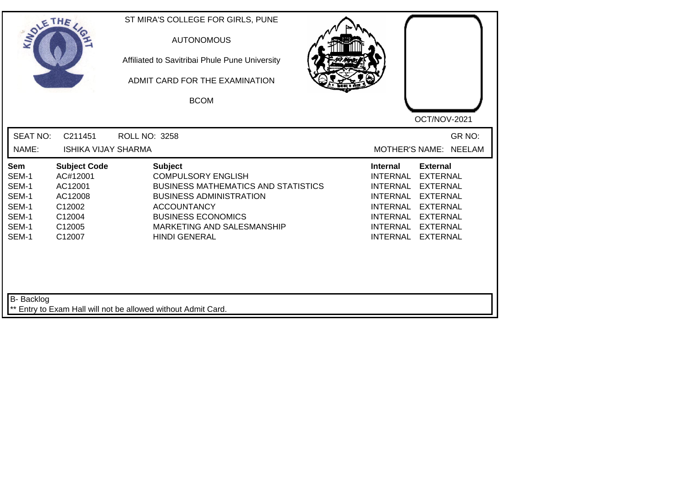| SOLE THE                                                           |                                                                                               | ST MIRA'S COLLEGE FOR GIRLS, PUNE<br><b>AUTONOMOUS</b><br>Affiliated to Savitribai Phule Pune University<br>ADMIT CARD FOR THE EXAMINATION<br><b>BCOM</b>                                                                            | OCT/NOV-2021                                                                                                                                                                                                                                                                                          |
|--------------------------------------------------------------------|-----------------------------------------------------------------------------------------------|--------------------------------------------------------------------------------------------------------------------------------------------------------------------------------------------------------------------------------------|-------------------------------------------------------------------------------------------------------------------------------------------------------------------------------------------------------------------------------------------------------------------------------------------------------|
| <b>SEAT NO:</b><br>NAME:                                           | C211451<br><b>ISHIKA VIJAY SHARMA</b>                                                         | ROLL NO: 3258                                                                                                                                                                                                                        | GR NO:<br>MOTHER'S NAME: NEELAM                                                                                                                                                                                                                                                                       |
| Sem<br>SEM-1<br>SEM-1<br>SEM-1<br>SEM-1<br>SEM-1<br>SEM-1<br>SEM-1 | <b>Subject Code</b><br>AC#12001<br>AC12001<br>AC12008<br>C12002<br>C12004<br>C12005<br>C12007 | <b>Subject</b><br><b>COMPULSORY ENGLISH</b><br><b>BUSINESS MATHEMATICS AND STATISTICS</b><br><b>BUSINESS ADMINISTRATION</b><br><b>ACCOUNTANCY</b><br><b>BUSINESS ECONOMICS</b><br>MARKETING AND SALESMANSHIP<br><b>HINDI GENERAL</b> | <b>External</b><br><b>Internal</b><br><b>INTERNAL</b><br><b>EXTERNAL</b><br><b>INTERNAL</b><br><b>EXTERNAL</b><br><b>INTERNAL</b><br><b>EXTERNAL</b><br><b>INTERNAL</b><br><b>EXTERNAL</b><br>INTERNAL<br><b>EXTERNAL</b><br><b>INTERNAL</b><br><b>EXTERNAL</b><br><b>INTERNAL</b><br><b>EXTERNAL</b> |
| B- Backlog                                                         |                                                                                               | ** Entry to Exam Hall will not be allowed without Admit Card.                                                                                                                                                                        |                                                                                                                                                                                                                                                                                                       |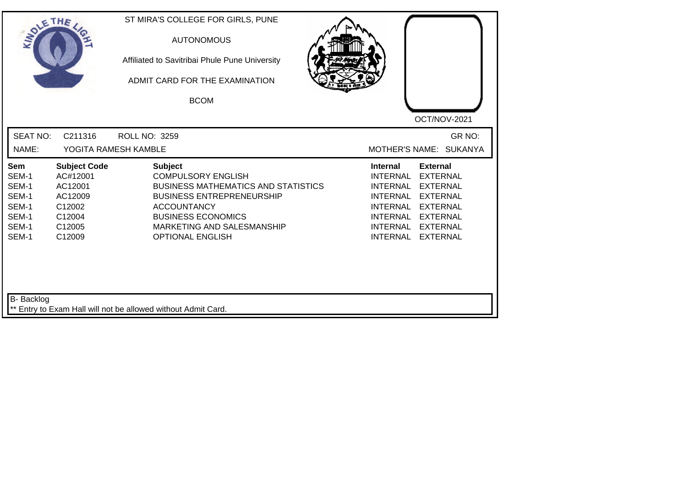| SOLETHE                                                            |                                                                                               | ST MIRA'S COLLEGE FOR GIRLS, PUNE<br><b>AUTONOMOUS</b><br>Affiliated to Savitribai Phule Pune University<br>ADMIT CARD FOR THE EXAMINATION<br><b>BCOM</b>                                                                                 | OCT/NOV-2021                                                                                                                                                                                                                                                                     |
|--------------------------------------------------------------------|-----------------------------------------------------------------------------------------------|-------------------------------------------------------------------------------------------------------------------------------------------------------------------------------------------------------------------------------------------|----------------------------------------------------------------------------------------------------------------------------------------------------------------------------------------------------------------------------------------------------------------------------------|
| <b>SEAT NO:</b><br>NAME:                                           | C211316                                                                                       | ROLL NO: 3259<br>YOGITA RAMESH KAMBLE                                                                                                                                                                                                     | GR NO:<br>MOTHER'S NAME: SUKANYA                                                                                                                                                                                                                                                 |
| Sem<br>SEM-1<br>SEM-1<br>SEM-1<br>SEM-1<br>SEM-1<br>SEM-1<br>SEM-1 | <b>Subject Code</b><br>AC#12001<br>AC12001<br>AC12009<br>C12002<br>C12004<br>C12005<br>C12009 | <b>Subject</b><br><b>COMPULSORY ENGLISH</b><br><b>BUSINESS MATHEMATICS AND STATISTICS</b><br><b>BUSINESS ENTREPRENEURSHIP</b><br><b>ACCOUNTANCY</b><br><b>BUSINESS ECONOMICS</b><br>MARKETING AND SALESMANSHIP<br><b>OPTIONAL ENGLISH</b> | <b>External</b><br><b>Internal</b><br><b>INTERNAL</b><br><b>EXTERNAL</b><br><b>EXTERNAL</b><br>INTERNAL<br><b>INTERNAL</b><br><b>EXTERNAL</b><br><b>INTERNAL</b><br><b>EXTERNAL</b><br>INTERNAL<br><b>EXTERNAL</b><br>INTERNAL<br><b>EXTERNAL</b><br>INTERNAL<br><b>EXTERNAL</b> |
| B- Backlog                                                         |                                                                                               | ** Entry to Exam Hall will not be allowed without Admit Card.                                                                                                                                                                             |                                                                                                                                                                                                                                                                                  |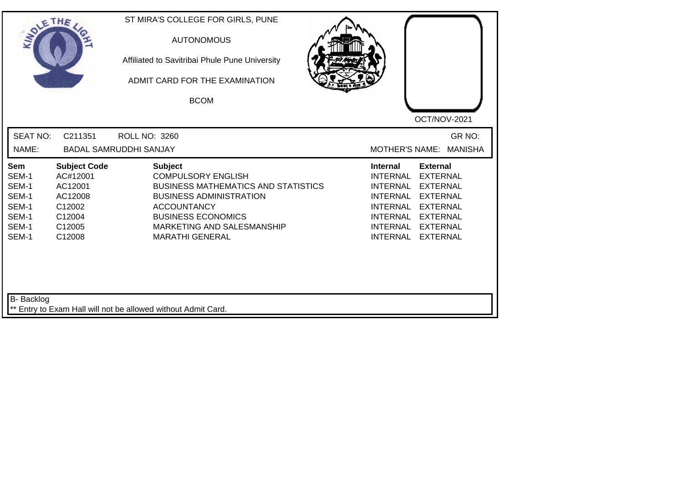|                                                                                                                                                     | Affiliated to Savitribai Phule Pune University<br>ADMIT CARD FOR THE EXAMINATION<br><b>BCOM</b>                                                                                                                 |                                            | OCT/NOV-2021                                                                                                                                                                                                                                                                                          |
|-----------------------------------------------------------------------------------------------------------------------------------------------------|-----------------------------------------------------------------------------------------------------------------------------------------------------------------------------------------------------------------|--------------------------------------------|-------------------------------------------------------------------------------------------------------------------------------------------------------------------------------------------------------------------------------------------------------------------------------------------------------|
| <b>SEAT NO:</b><br>NAME:                                                                                                                            | C211351<br><b>ROLL NO: 3260</b><br><b>BADAL SAMRUDDHI SANJAY</b>                                                                                                                                                |                                            | GR NO:<br>MOTHER'S NAME: MANISHA                                                                                                                                                                                                                                                                      |
| <b>Sem</b><br>AC#12001<br>SEM-1<br>SEM-1<br>AC12001<br>SEM-1<br>AC12008<br>SEM-1<br>C12002<br>SEM-1<br>C12004<br>SEM-1<br>C12005<br>SEM-1<br>C12008 | <b>Subject Code</b><br><b>Subject</b><br><b>COMPULSORY ENGLISH</b><br><b>BUSINESS ADMINISTRATION</b><br><b>ACCOUNTANCY</b><br><b>BUSINESS ECONOMICS</b><br>MARKETING AND SALESMANSHIP<br><b>MARATHI GENERAL</b> | <b>BUSINESS MATHEMATICS AND STATISTICS</b> | <b>Internal</b><br><b>External</b><br><b>INTERNAL</b><br><b>EXTERNAL</b><br><b>INTERNAL</b><br><b>EXTERNAL</b><br><b>INTERNAL</b><br><b>EXTERNAL</b><br><b>INTERNAL</b><br><b>EXTERNAL</b><br>INTERNAL<br><b>EXTERNAL</b><br><b>INTERNAL</b><br><b>EXTERNAL</b><br><b>INTERNAL</b><br><b>EXTERNAL</b> |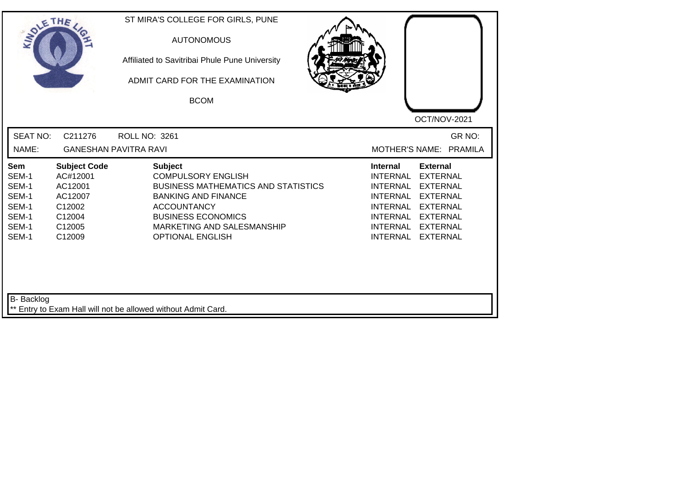| SOLE THE                                                           |                                                                                               | ST MIRA'S COLLEGE FOR GIRLS, PUNE<br><b>AUTONOMOUS</b><br>Affiliated to Savitribai Phule Pune University<br>ADMIT CARD FOR THE EXAMINATION<br><b>BCOM</b>                                                                           | OCT/NOV-2021                                                                                                                                                                                                                                                                                                 |
|--------------------------------------------------------------------|-----------------------------------------------------------------------------------------------|-------------------------------------------------------------------------------------------------------------------------------------------------------------------------------------------------------------------------------------|--------------------------------------------------------------------------------------------------------------------------------------------------------------------------------------------------------------------------------------------------------------------------------------------------------------|
| <b>SEAT NO:</b><br>NAME:                                           | C211276                                                                                       | ROLL NO: 3261<br><b>GANESHAN PAVITRA RAVI</b>                                                                                                                                                                                       | GR NO:<br>MOTHER'S NAME: PRAMILA                                                                                                                                                                                                                                                                             |
| Sem<br>SEM-1<br>SEM-1<br>SEM-1<br>SEM-1<br>SEM-1<br>SEM-1<br>SEM-1 | <b>Subject Code</b><br>AC#12001<br>AC12001<br>AC12007<br>C12002<br>C12004<br>C12005<br>C12009 | <b>Subject</b><br><b>COMPULSORY ENGLISH</b><br><b>BUSINESS MATHEMATICS AND STATISTICS</b><br><b>BANKING AND FINANCE</b><br><b>ACCOUNTANCY</b><br><b>BUSINESS ECONOMICS</b><br>MARKETING AND SALESMANSHIP<br><b>OPTIONAL ENGLISH</b> | <b>Internal</b><br><b>External</b><br><b>INTERNAL</b><br><b>EXTERNAL</b><br><b>INTERNAL</b><br><b>EXTERNAL</b><br><b>INTERNAL</b><br><b>EXTERNAL</b><br><b>INTERNAL</b><br><b>EXTERNAL</b><br><b>INTERNAL</b><br><b>EXTERNAL</b><br><b>INTERNAL</b><br><b>EXTERNAL</b><br><b>INTERNAL</b><br><b>EXTERNAL</b> |
| B- Backlog                                                         |                                                                                               | ** Entry to Exam Hall will not be allowed without Admit Card.                                                                                                                                                                       |                                                                                                                                                                                                                                                                                                              |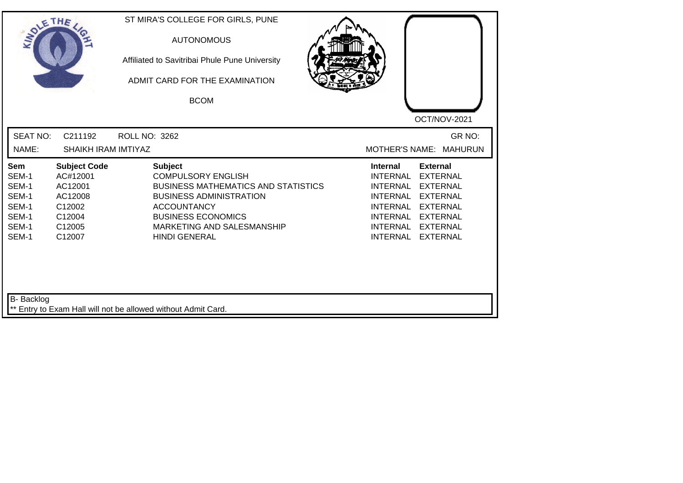| SOLETHE .                                                          |                                                                                               | ST MIRA'S COLLEGE FOR GIRLS, PUNE<br><b>AUTONOMOUS</b><br>Affiliated to Savitribai Phule Pune University<br>ADMIT CARD FOR THE EXAMINATION<br><b>BCOM</b>                                                                            |                                                                                                                            | OCT/NOV-2021                                                                                                                                           |
|--------------------------------------------------------------------|-----------------------------------------------------------------------------------------------|--------------------------------------------------------------------------------------------------------------------------------------------------------------------------------------------------------------------------------------|----------------------------------------------------------------------------------------------------------------------------|--------------------------------------------------------------------------------------------------------------------------------------------------------|
| <b>SEAT NO:</b><br>NAME:                                           | C211192<br><b>SHAIKH IRAM IMTIYAZ</b>                                                         | ROLL NO: 3262                                                                                                                                                                                                                        | <b>MOTHER'S NAME:</b>                                                                                                      | GR NO:<br><b>MAHURUN</b>                                                                                                                               |
| Sem<br>SEM-1<br>SEM-1<br>SEM-1<br>SEM-1<br>SEM-1<br>SEM-1<br>SEM-1 | <b>Subject Code</b><br>AC#12001<br>AC12001<br>AC12008<br>C12002<br>C12004<br>C12005<br>C12007 | <b>Subject</b><br><b>COMPULSORY ENGLISH</b><br><b>BUSINESS MATHEMATICS AND STATISTICS</b><br><b>BUSINESS ADMINISTRATION</b><br><b>ACCOUNTANCY</b><br><b>BUSINESS ECONOMICS</b><br>MARKETING AND SALESMANSHIP<br><b>HINDI GENERAL</b> | <b>Internal</b><br><b>INTERNAL</b><br><b>INTERNAL</b><br><b>INTERNAL</b><br><b>INTERNAL</b><br>INTERNAL<br><b>INTERNAL</b> | <b>External</b><br><b>EXTERNAL</b><br><b>EXTERNAL</b><br><b>EXTERNAL</b><br><b>EXTERNAL</b><br>INTERNAL EXTERNAL<br><b>EXTERNAL</b><br><b>EXTERNAL</b> |
| B- Backlog                                                         |                                                                                               | ** Entry to Exam Hall will not be allowed without Admit Card.                                                                                                                                                                        |                                                                                                                            |                                                                                                                                                        |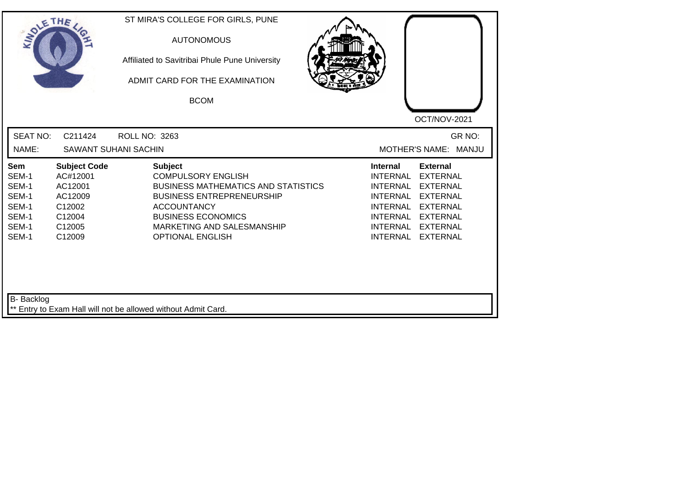| SOLE THE                                                           |                                                                                               | ST MIRA'S COLLEGE FOR GIRLS, PUNE<br><b>AUTONOMOUS</b><br>Affiliated to Savitribai Phule Pune University<br>ADMIT CARD FOR THE EXAMINATION<br><b>BCOM</b>                                                                                 | OCT/NOV-2021                                                                                                                                                                                                                                                                                |
|--------------------------------------------------------------------|-----------------------------------------------------------------------------------------------|-------------------------------------------------------------------------------------------------------------------------------------------------------------------------------------------------------------------------------------------|---------------------------------------------------------------------------------------------------------------------------------------------------------------------------------------------------------------------------------------------------------------------------------------------|
| <b>SEAT NO:</b><br>NAME:                                           | C211424                                                                                       | ROLL NO: 3263<br><b>SAWANT SUHANI SACHIN</b>                                                                                                                                                                                              | GR NO:<br>MOTHER'S NAME: MANJU                                                                                                                                                                                                                                                              |
| Sem<br>SEM-1<br>SEM-1<br>SEM-1<br>SEM-1<br>SEM-1<br>SEM-1<br>SEM-1 | <b>Subject Code</b><br>AC#12001<br>AC12001<br>AC12009<br>C12002<br>C12004<br>C12005<br>C12009 | <b>Subject</b><br><b>COMPULSORY ENGLISH</b><br><b>BUSINESS MATHEMATICS AND STATISTICS</b><br><b>BUSINESS ENTREPRENEURSHIP</b><br><b>ACCOUNTANCY</b><br><b>BUSINESS ECONOMICS</b><br>MARKETING AND SALESMANSHIP<br><b>OPTIONAL ENGLISH</b> | <b>External</b><br><b>Internal</b><br><b>INTERNAL</b><br><b>EXTERNAL</b><br><b>INTERNAL</b><br><b>EXTERNAL</b><br><b>INTERNAL</b><br><b>EXTERNAL</b><br><b>INTERNAL</b><br><b>EXTERNAL</b><br><b>INTERNAL</b><br><b>EXTERNAL</b><br>INTERNAL EXTERNAL<br><b>INTERNAL</b><br><b>EXTERNAL</b> |
| B- Backlog                                                         |                                                                                               | ** Entry to Exam Hall will not be allowed without Admit Card.                                                                                                                                                                             |                                                                                                                                                                                                                                                                                             |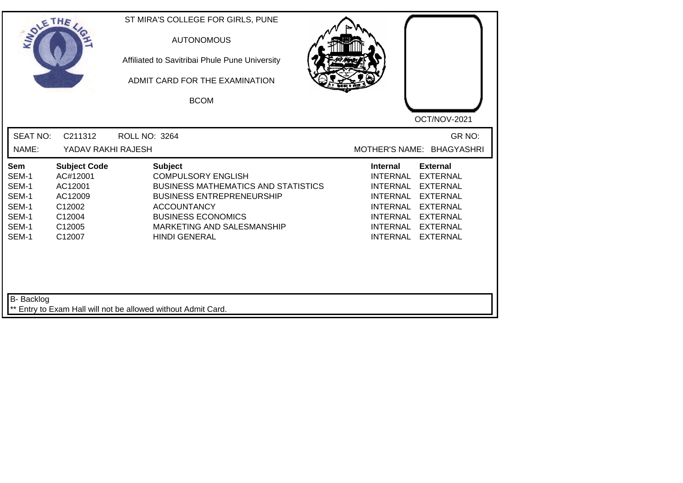| SOLETHE .                                                          |                                                                                               | ST MIRA'S COLLEGE FOR GIRLS, PUNE<br><b>AUTONOMOUS</b><br>Affiliated to Savitribai Phule Pune University<br>ADMIT CARD FOR THE EXAMINATION<br><b>BCOM</b>                                                                              | OCT/NOV-2021                                                                                                                                                                                                                                                                                                 |
|--------------------------------------------------------------------|-----------------------------------------------------------------------------------------------|----------------------------------------------------------------------------------------------------------------------------------------------------------------------------------------------------------------------------------------|--------------------------------------------------------------------------------------------------------------------------------------------------------------------------------------------------------------------------------------------------------------------------------------------------------------|
| <b>SEAT NO:</b><br>NAME:                                           | C211312<br>YADAV RAKHI RAJESH                                                                 | <b>ROLL NO: 3264</b>                                                                                                                                                                                                                   | GR NO:<br>MOTHER'S NAME: BHAGYASHRI                                                                                                                                                                                                                                                                          |
| Sem<br>SEM-1<br>SEM-1<br>SEM-1<br>SEM-1<br>SEM-1<br>SEM-1<br>SEM-1 | <b>Subject Code</b><br>AC#12001<br>AC12001<br>AC12009<br>C12002<br>C12004<br>C12005<br>C12007 | <b>Subject</b><br><b>COMPULSORY ENGLISH</b><br><b>BUSINESS MATHEMATICS AND STATISTICS</b><br><b>BUSINESS ENTREPRENEURSHIP</b><br><b>ACCOUNTANCY</b><br><b>BUSINESS ECONOMICS</b><br>MARKETING AND SALESMANSHIP<br><b>HINDI GENERAL</b> | <b>Internal</b><br><b>External</b><br><b>INTERNAL</b><br><b>EXTERNAL</b><br><b>INTERNAL</b><br><b>EXTERNAL</b><br><b>INTERNAL</b><br><b>EXTERNAL</b><br><b>INTERNAL</b><br><b>EXTERNAL</b><br><b>INTERNAL</b><br><b>EXTERNAL</b><br><b>INTERNAL</b><br><b>EXTERNAL</b><br><b>INTERNAL</b><br><b>EXTERNAL</b> |
| <b>B-</b> Backlog                                                  |                                                                                               | ** Entry to Exam Hall will not be allowed without Admit Card.                                                                                                                                                                          |                                                                                                                                                                                                                                                                                                              |

┛╵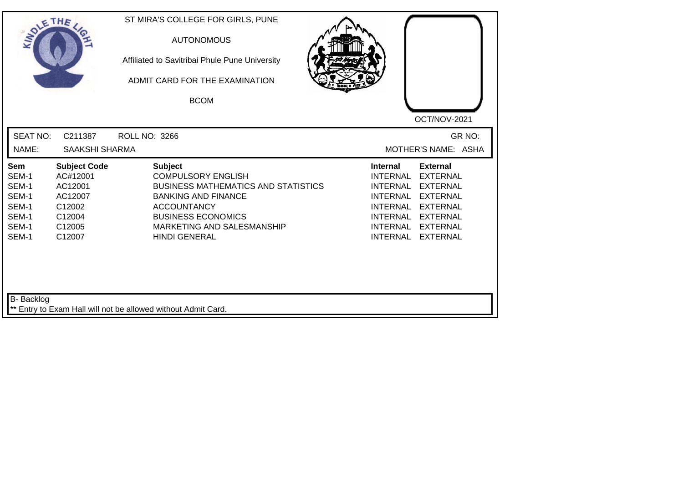| SOLE THE                                                           |                                                                                               | ST MIRA'S COLLEGE FOR GIRLS, PUNE<br><b>AUTONOMOUS</b><br>Affiliated to Savitribai Phule Pune University<br>ADMIT CARD FOR THE EXAMINATION<br><b>BCOM</b>                                                                        | OCT/NOV-2021                                                                                                                                                                                                                                                                                          |
|--------------------------------------------------------------------|-----------------------------------------------------------------------------------------------|----------------------------------------------------------------------------------------------------------------------------------------------------------------------------------------------------------------------------------|-------------------------------------------------------------------------------------------------------------------------------------------------------------------------------------------------------------------------------------------------------------------------------------------------------|
| <b>SEAT NO:</b><br>NAME:                                           | C211387<br><b>SAAKSHI SHARMA</b>                                                              | <b>ROLL NO: 3266</b>                                                                                                                                                                                                             | GR NO:<br>MOTHER'S NAME: ASHA                                                                                                                                                                                                                                                                         |
| Sem<br>SEM-1<br>SEM-1<br>SEM-1<br>SEM-1<br>SEM-1<br>SEM-1<br>SEM-1 | <b>Subject Code</b><br>AC#12001<br>AC12001<br>AC12007<br>C12002<br>C12004<br>C12005<br>C12007 | <b>Subject</b><br><b>COMPULSORY ENGLISH</b><br><b>BUSINESS MATHEMATICS AND STATISTICS</b><br><b>BANKING AND FINANCE</b><br><b>ACCOUNTANCY</b><br><b>BUSINESS ECONOMICS</b><br>MARKETING AND SALESMANSHIP<br><b>HINDI GENERAL</b> | <b>Internal</b><br><b>External</b><br><b>INTERNAL</b><br><b>EXTERNAL</b><br><b>INTERNAL</b><br><b>EXTERNAL</b><br><b>INTERNAL</b><br><b>EXTERNAL</b><br><b>INTERNAL</b><br><b>EXTERNAL</b><br>INTERNAL<br><b>EXTERNAL</b><br><b>INTERNAL</b><br><b>EXTERNAL</b><br><b>INTERNAL</b><br><b>EXTERNAL</b> |
| B- Backlog                                                         |                                                                                               | ** Entry to Exam Hall will not be allowed without Admit Card.                                                                                                                                                                    |                                                                                                                                                                                                                                                                                                       |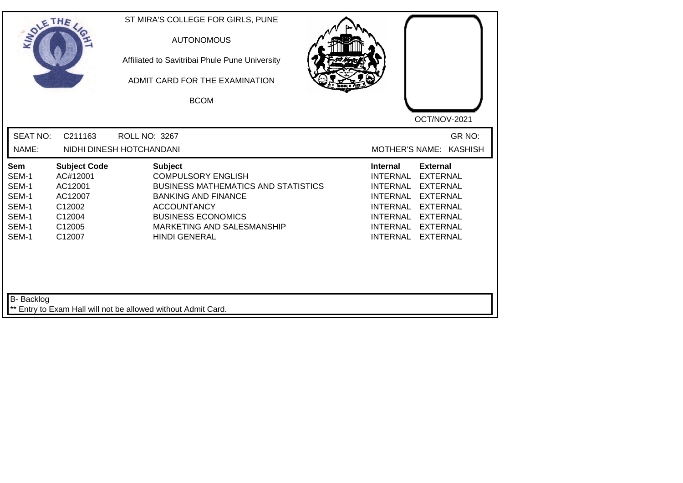| SOLETHE .                                                          |                                                                                               | ST MIRA'S COLLEGE FOR GIRLS, PUNE<br><b>AUTONOMOUS</b><br>Affiliated to Savitribai Phule Pune University<br>ADMIT CARD FOR THE EXAMINATION<br><b>BCOM</b>                                                                        |                                                                                                                                                                                                                                                                                                       |
|--------------------------------------------------------------------|-----------------------------------------------------------------------------------------------|----------------------------------------------------------------------------------------------------------------------------------------------------------------------------------------------------------------------------------|-------------------------------------------------------------------------------------------------------------------------------------------------------------------------------------------------------------------------------------------------------------------------------------------------------|
| <b>SEAT NO:</b><br>NAME:                                           | C211163                                                                                       | <b>ROLL NO: 3267</b><br>NIDHI DINESH HOTCHANDANI                                                                                                                                                                                 | OCT/NOV-2021<br>GR NO:<br><b>MOTHER'S NAME:</b><br><b>KASHISH</b>                                                                                                                                                                                                                                     |
| Sem<br>SEM-1<br>SEM-1<br>SEM-1<br>SEM-1<br>SEM-1<br>SEM-1<br>SEM-1 | <b>Subject Code</b><br>AC#12001<br>AC12001<br>AC12007<br>C12002<br>C12004<br>C12005<br>C12007 | <b>Subject</b><br><b>COMPULSORY ENGLISH</b><br><b>BUSINESS MATHEMATICS AND STATISTICS</b><br><b>BANKING AND FINANCE</b><br><b>ACCOUNTANCY</b><br><b>BUSINESS ECONOMICS</b><br>MARKETING AND SALESMANSHIP<br><b>HINDI GENERAL</b> | <b>External</b><br><b>Internal</b><br><b>EXTERNAL</b><br>INTERNAL<br><b>INTERNAL</b><br><b>EXTERNAL</b><br><b>INTERNAL</b><br><b>EXTERNAL</b><br><b>INTERNAL</b><br><b>EXTERNAL</b><br><b>INTERNAL</b><br><b>EXTERNAL</b><br><b>INTERNAL</b><br><b>EXTERNAL</b><br><b>INTERNAL</b><br><b>EXTERNAL</b> |
| B- Backlog                                                         |                                                                                               | ** Entry to Exam Hall will not be allowed without Admit Card.                                                                                                                                                                    |                                                                                                                                                                                                                                                                                                       |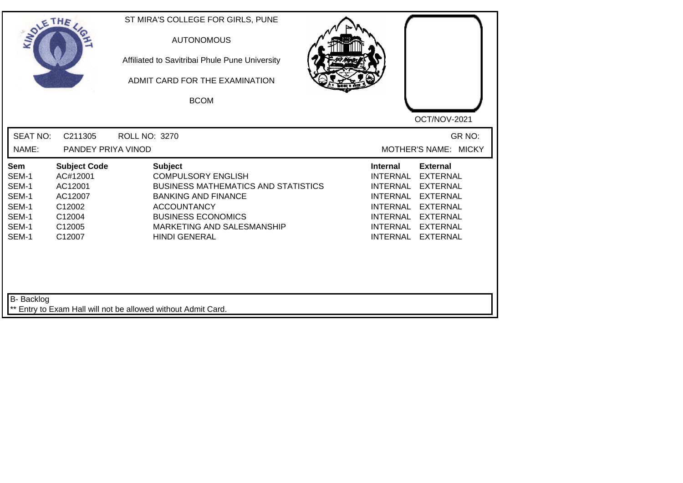| SOLE THE                                                           |                                                                                               | ST MIRA'S COLLEGE FOR GIRLS, PUNE<br><b>AUTONOMOUS</b><br>Affiliated to Savitribai Phule Pune University<br>ADMIT CARD FOR THE EXAMINATION<br><b>BCOM</b>                                                                        | OCT/NOV-2021                                                                                                                                                                                                                                                                                          |
|--------------------------------------------------------------------|-----------------------------------------------------------------------------------------------|----------------------------------------------------------------------------------------------------------------------------------------------------------------------------------------------------------------------------------|-------------------------------------------------------------------------------------------------------------------------------------------------------------------------------------------------------------------------------------------------------------------------------------------------------|
| <b>SEAT NO:</b><br>NAME:                                           | C211305<br>PANDEY PRIYA VINOD                                                                 | <b>ROLL NO: 3270</b>                                                                                                                                                                                                             | GR NO:<br>MOTHER'S NAME: MICKY                                                                                                                                                                                                                                                                        |
| Sem<br>SEM-1<br>SEM-1<br>SEM-1<br>SEM-1<br>SEM-1<br>SEM-1<br>SEM-1 | <b>Subject Code</b><br>AC#12001<br>AC12001<br>AC12007<br>C12002<br>C12004<br>C12005<br>C12007 | <b>Subject</b><br><b>COMPULSORY ENGLISH</b><br><b>BUSINESS MATHEMATICS AND STATISTICS</b><br><b>BANKING AND FINANCE</b><br><b>ACCOUNTANCY</b><br><b>BUSINESS ECONOMICS</b><br>MARKETING AND SALESMANSHIP<br><b>HINDI GENERAL</b> | <b>External</b><br>Internal<br><b>INTERNAL</b><br><b>EXTERNAL</b><br><b>INTERNAL</b><br><b>EXTERNAL</b><br><b>INTERNAL</b><br><b>EXTERNAL</b><br><b>INTERNAL</b><br><b>EXTERNAL</b><br><b>INTERNAL</b><br><b>EXTERNAL</b><br><b>INTERNAL</b><br><b>EXTERNAL</b><br><b>INTERNAL</b><br><b>EXTERNAL</b> |
| B- Backlog                                                         |                                                                                               | ** Entry to Exam Hall will not be allowed without Admit Card.                                                                                                                                                                    |                                                                                                                                                                                                                                                                                                       |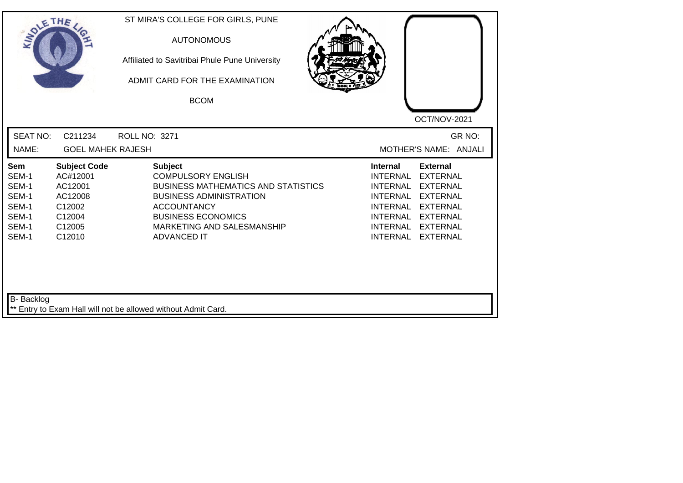| SOLE THE                                                           |                                                                                               | ST MIRA'S COLLEGE FOR GIRLS, PUNE<br><b>AUTONOMOUS</b><br>Affiliated to Savitribai Phule Pune University<br>ADMIT CARD FOR THE EXAMINATION<br><b>BCOM</b>                                                                          | OCT/NOV-2021                                                                                                                                                                                                                                                                                                 |
|--------------------------------------------------------------------|-----------------------------------------------------------------------------------------------|------------------------------------------------------------------------------------------------------------------------------------------------------------------------------------------------------------------------------------|--------------------------------------------------------------------------------------------------------------------------------------------------------------------------------------------------------------------------------------------------------------------------------------------------------------|
| <b>SEAT NO:</b><br>NAME:                                           | C211234<br><b>GOEL MAHEK RAJESH</b>                                                           | ROLL NO: 3271                                                                                                                                                                                                                      | GR NO:<br>MOTHER'S NAME: ANJALI                                                                                                                                                                                                                                                                              |
| Sem<br>SEM-1<br>SEM-1<br>SEM-1<br>SEM-1<br>SEM-1<br>SEM-1<br>SEM-1 | <b>Subject Code</b><br>AC#12001<br>AC12001<br>AC12008<br>C12002<br>C12004<br>C12005<br>C12010 | <b>Subject</b><br><b>COMPULSORY ENGLISH</b><br><b>BUSINESS MATHEMATICS AND STATISTICS</b><br><b>BUSINESS ADMINISTRATION</b><br><b>ACCOUNTANCY</b><br><b>BUSINESS ECONOMICS</b><br>MARKETING AND SALESMANSHIP<br><b>ADVANCED IT</b> | <b>External</b><br><b>Internal</b><br><b>INTERNAL</b><br><b>EXTERNAL</b><br><b>INTERNAL</b><br><b>EXTERNAL</b><br><b>INTERNAL</b><br><b>EXTERNAL</b><br><b>INTERNAL</b><br><b>EXTERNAL</b><br><b>INTERNAL</b><br><b>EXTERNAL</b><br><b>INTERNAL</b><br><b>EXTERNAL</b><br><b>INTERNAL</b><br><b>EXTERNAL</b> |
| B- Backlog                                                         |                                                                                               | ** Entry to Exam Hall will not be allowed without Admit Card.                                                                                                                                                                      |                                                                                                                                                                                                                                                                                                              |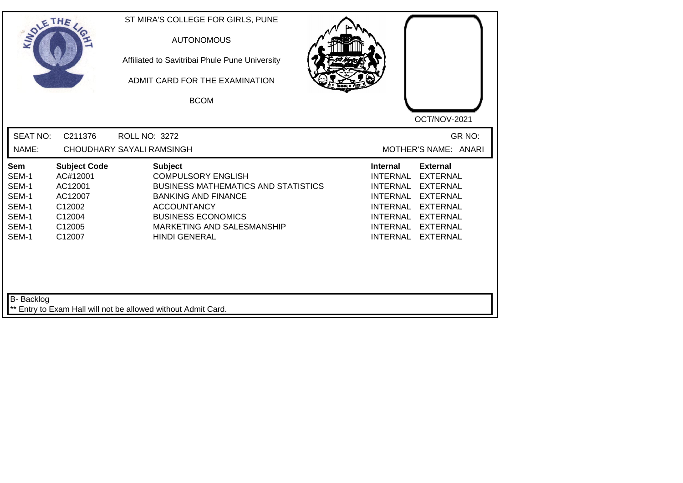| <b>SEAT NO:</b><br>C211376<br><b>ROLL NO: 3272</b><br>NAME:<br><b>CHOUDHARY SAYALI RAMSINGH</b><br><b>Subject Code</b><br><b>Subject</b><br><b>Internal</b><br><b>External</b><br>Sem<br>SEM-1<br>AC#12001<br><b>COMPULSORY ENGLISH</b><br><b>INTERNAL</b><br><b>EXTERNAL</b><br>SEM-1<br>AC12001<br><b>BUSINESS MATHEMATICS AND STATISTICS</b><br><b>INTERNAL</b><br><b>EXTERNAL</b><br>SEM-1<br>AC12007<br><b>BANKING AND FINANCE</b><br><b>INTERNAL</b><br><b>EXTERNAL</b><br>SEM-1<br>C12002<br><b>ACCOUNTANCY</b><br><b>INTERNAL</b><br><b>EXTERNAL</b><br>SEM-1<br><b>BUSINESS ECONOMICS</b><br>C12004<br>INTERNAL<br><b>EXTERNAL</b><br>SEM-1<br>C12005<br>MARKETING AND SALESMANSHIP<br><b>INTERNAL</b><br><b>EXTERNAL</b><br><b>INTERNAL</b><br>SEM-1<br>C12007<br><b>HINDI GENERAL</b><br><b>EXTERNAL</b> | SOLETHE , | ST MIRA'S COLLEGE FOR GIRLS, PUNE<br><b>AUTONOMOUS</b><br>Affiliated to Savitribai Phule Pune University<br>ADMIT CARD FOR THE EXAMINATION<br><b>BCOM</b> | OCT/NOV-2021                   |
|---------------------------------------------------------------------------------------------------------------------------------------------------------------------------------------------------------------------------------------------------------------------------------------------------------------------------------------------------------------------------------------------------------------------------------------------------------------------------------------------------------------------------------------------------------------------------------------------------------------------------------------------------------------------------------------------------------------------------------------------------------------------------------------------------------------------|-----------|-----------------------------------------------------------------------------------------------------------------------------------------------------------|--------------------------------|
|                                                                                                                                                                                                                                                                                                                                                                                                                                                                                                                                                                                                                                                                                                                                                                                                                     |           |                                                                                                                                                           | GR NO:<br>MOTHER'S NAME: ANARI |
|                                                                                                                                                                                                                                                                                                                                                                                                                                                                                                                                                                                                                                                                                                                                                                                                                     |           |                                                                                                                                                           |                                |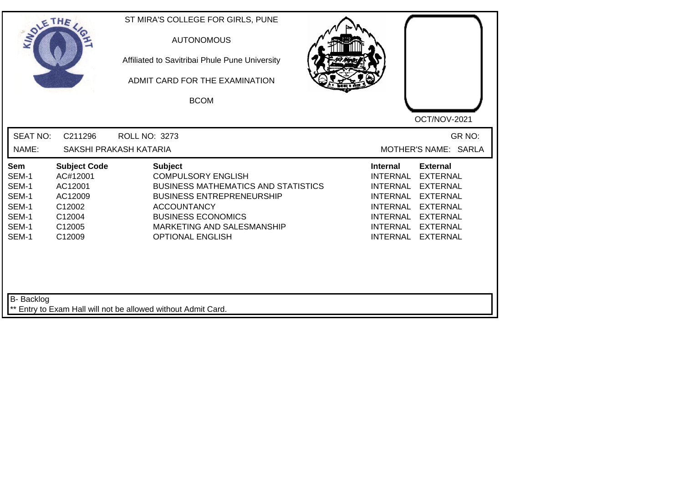| SOLETHE .                                                          |                                                                                               | ST MIRA'S COLLEGE FOR GIRLS, PUNE<br><b>AUTONOMOUS</b><br>Affiliated to Savitribai Phule Pune University<br>ADMIT CARD FOR THE EXAMINATION<br><b>BCOM</b>                                                                                 | OCT/NOV-2021                                                                                                                                                                                                                                                                                                 |
|--------------------------------------------------------------------|-----------------------------------------------------------------------------------------------|-------------------------------------------------------------------------------------------------------------------------------------------------------------------------------------------------------------------------------------------|--------------------------------------------------------------------------------------------------------------------------------------------------------------------------------------------------------------------------------------------------------------------------------------------------------------|
| <b>SEAT NO:</b><br>NAME:                                           | C211296                                                                                       | ROLL NO: 3273<br>SAKSHI PRAKASH KATARIA                                                                                                                                                                                                   | GR NO:<br>MOTHER'S NAME: SARLA                                                                                                                                                                                                                                                                               |
| Sem<br>SEM-1<br>SEM-1<br>SEM-1<br>SEM-1<br>SEM-1<br>SEM-1<br>SEM-1 | <b>Subject Code</b><br>AC#12001<br>AC12001<br>AC12009<br>C12002<br>C12004<br>C12005<br>C12009 | <b>Subject</b><br><b>COMPULSORY ENGLISH</b><br><b>BUSINESS MATHEMATICS AND STATISTICS</b><br><b>BUSINESS ENTREPRENEURSHIP</b><br><b>ACCOUNTANCY</b><br><b>BUSINESS ECONOMICS</b><br>MARKETING AND SALESMANSHIP<br><b>OPTIONAL ENGLISH</b> | <b>External</b><br><b>Internal</b><br><b>INTERNAL</b><br><b>EXTERNAL</b><br><b>INTERNAL</b><br><b>EXTERNAL</b><br><b>INTERNAL</b><br><b>EXTERNAL</b><br><b>INTERNAL</b><br><b>EXTERNAL</b><br><b>INTERNAL</b><br><b>EXTERNAL</b><br><b>INTERNAL</b><br><b>EXTERNAL</b><br><b>INTERNAL</b><br><b>EXTERNAL</b> |
| B- Backlog                                                         |                                                                                               | ** Entry to Exam Hall will not be allowed without Admit Card.                                                                                                                                                                             |                                                                                                                                                                                                                                                                                                              |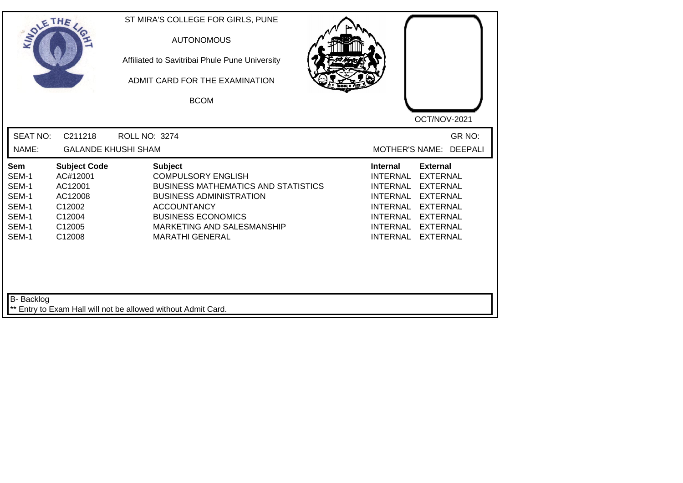| SOLETHE ,                                                          |                                                                                               | ST MIRA'S COLLEGE FOR GIRLS, PUNE<br><b>AUTONOMOUS</b><br>Affiliated to Savitribai Phule Pune University<br>ADMIT CARD FOR THE EXAMINATION<br><b>BCOM</b>                                                                              | OCT/NOV-2021                                                                                                                                                                                                                                                                                                 |
|--------------------------------------------------------------------|-----------------------------------------------------------------------------------------------|----------------------------------------------------------------------------------------------------------------------------------------------------------------------------------------------------------------------------------------|--------------------------------------------------------------------------------------------------------------------------------------------------------------------------------------------------------------------------------------------------------------------------------------------------------------|
| <b>SEAT NO:</b>                                                    | C211218                                                                                       | <b>ROLL NO: 3274</b>                                                                                                                                                                                                                   | GR NO:                                                                                                                                                                                                                                                                                                       |
| NAME:                                                              | <b>GALANDE KHUSHI SHAM</b>                                                                    |                                                                                                                                                                                                                                        | <b>DEEPALI</b><br>MOTHER'S NAME:                                                                                                                                                                                                                                                                             |
| Sem<br>SEM-1<br>SEM-1<br>SEM-1<br>SEM-1<br>SEM-1<br>SEM-1<br>SEM-1 | <b>Subject Code</b><br>AC#12001<br>AC12001<br>AC12008<br>C12002<br>C12004<br>C12005<br>C12008 | <b>Subject</b><br><b>COMPULSORY ENGLISH</b><br><b>BUSINESS MATHEMATICS AND STATISTICS</b><br><b>BUSINESS ADMINISTRATION</b><br><b>ACCOUNTANCY</b><br><b>BUSINESS ECONOMICS</b><br>MARKETING AND SALESMANSHIP<br><b>MARATHI GENERAL</b> | <b>External</b><br><b>Internal</b><br><b>INTERNAL</b><br><b>EXTERNAL</b><br><b>INTERNAL</b><br><b>EXTERNAL</b><br><b>INTERNAL</b><br><b>EXTERNAL</b><br><b>INTERNAL</b><br><b>EXTERNAL</b><br><b>INTERNAL</b><br><b>EXTERNAL</b><br><b>INTERNAL</b><br><b>EXTERNAL</b><br><b>INTERNAL</b><br><b>EXTERNAL</b> |
| <b>B-</b> Backlog                                                  |                                                                                               | ** Entry to Exam Hall will not be allowed without Admit Card.                                                                                                                                                                          |                                                                                                                                                                                                                                                                                                              |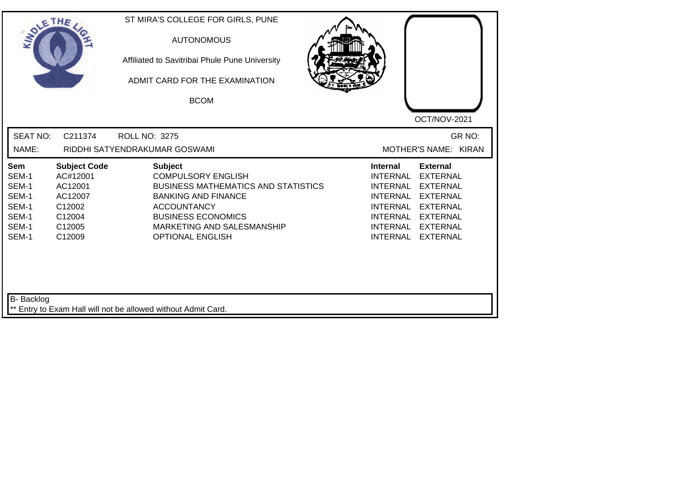| SOLE THE                                                           |                                                                                               | ST MIRA'S COLLEGE FOR GIRLS, PUNE<br><b>AUTONOMOUS</b><br>Affiliated to Savitribai Phule Pune University<br>ADMIT CARD FOR THE EXAMINATION<br><b>BCOM</b>                                                                           | OCT/NOV-2021                                                                                                                                                                                                                                                                                                 |
|--------------------------------------------------------------------|-----------------------------------------------------------------------------------------------|-------------------------------------------------------------------------------------------------------------------------------------------------------------------------------------------------------------------------------------|--------------------------------------------------------------------------------------------------------------------------------------------------------------------------------------------------------------------------------------------------------------------------------------------------------------|
| <b>SEAT NO:</b><br>NAME:                                           | C211374                                                                                       | <b>ROLL NO: 3275</b><br>RIDDHI SATYENDRAKUMAR GOSWAMI                                                                                                                                                                               | GR NO:<br>MOTHER'S NAME: KIRAN                                                                                                                                                                                                                                                                               |
| Sem<br>SEM-1<br>SEM-1<br>SEM-1<br>SEM-1<br>SEM-1<br>SEM-1<br>SEM-1 | <b>Subject Code</b><br>AC#12001<br>AC12001<br>AC12007<br>C12002<br>C12004<br>C12005<br>C12009 | <b>Subject</b><br><b>COMPULSORY ENGLISH</b><br><b>BUSINESS MATHEMATICS AND STATISTICS</b><br><b>BANKING AND FINANCE</b><br><b>ACCOUNTANCY</b><br><b>BUSINESS ECONOMICS</b><br>MARKETING AND SALESMANSHIP<br><b>OPTIONAL ENGLISH</b> | <b>External</b><br><b>Internal</b><br><b>INTERNAL</b><br><b>EXTERNAL</b><br><b>INTERNAL</b><br><b>EXTERNAL</b><br><b>INTERNAL</b><br><b>EXTERNAL</b><br><b>INTERNAL</b><br><b>EXTERNAL</b><br><b>INTERNAL</b><br><b>EXTERNAL</b><br><b>INTERNAL</b><br><b>EXTERNAL</b><br><b>INTERNAL</b><br><b>EXTERNAL</b> |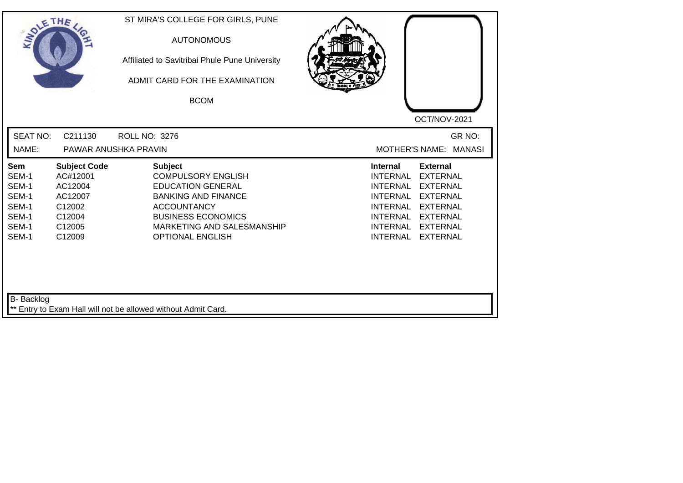| SOLETHE ,                                                          |                                                                                               | ST MIRA'S COLLEGE FOR GIRLS, PUNE<br><b>AUTONOMOUS</b><br>Affiliated to Savitribai Phule Pune University<br>ADMIT CARD FOR THE EXAMINATION<br><b>BCOM</b>                                                         | OCT/NOV-2021                                                                                                                                                                                                                                                                                                 |
|--------------------------------------------------------------------|-----------------------------------------------------------------------------------------------|-------------------------------------------------------------------------------------------------------------------------------------------------------------------------------------------------------------------|--------------------------------------------------------------------------------------------------------------------------------------------------------------------------------------------------------------------------------------------------------------------------------------------------------------|
| <b>SEAT NO:</b><br>NAME:                                           | C211130                                                                                       | <b>ROLL NO: 3276</b><br>PAWAR ANUSHKA PRAVIN                                                                                                                                                                      | GR NO:<br>MOTHER'S NAME: MANASI                                                                                                                                                                                                                                                                              |
| Sem<br>SEM-1<br>SEM-1<br>SEM-1<br>SEM-1<br>SEM-1<br>SEM-1<br>SEM-1 | <b>Subject Code</b><br>AC#12001<br>AC12004<br>AC12007<br>C12002<br>C12004<br>C12005<br>C12009 | <b>Subject</b><br><b>COMPULSORY ENGLISH</b><br><b>EDUCATION GENERAL</b><br><b>BANKING AND FINANCE</b><br><b>ACCOUNTANCY</b><br><b>BUSINESS ECONOMICS</b><br>MARKETING AND SALESMANSHIP<br><b>OPTIONAL ENGLISH</b> | <b>Internal</b><br><b>External</b><br><b>INTERNAL</b><br><b>EXTERNAL</b><br><b>EXTERNAL</b><br><b>INTERNAL</b><br><b>INTERNAL</b><br><b>EXTERNAL</b><br><b>INTERNAL</b><br><b>EXTERNAL</b><br><b>INTERNAL</b><br><b>EXTERNAL</b><br><b>INTERNAL</b><br><b>EXTERNAL</b><br><b>INTERNAL</b><br><b>EXTERNAL</b> |
| B- Backlog                                                         |                                                                                               | ** Entry to Exam Hall will not be allowed without Admit Card.                                                                                                                                                     |                                                                                                                                                                                                                                                                                                              |

┙╵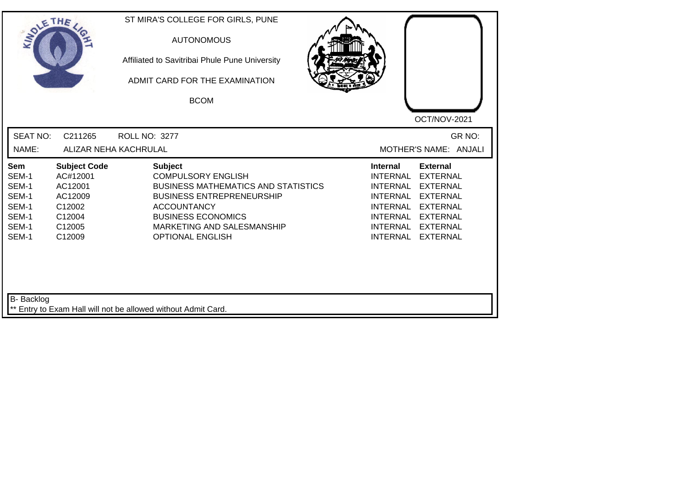| SOLE THE                                                                  |                                                                                               | ST MIRA'S COLLEGE FOR GIRLS, PUNE<br><b>AUTONOMOUS</b><br>Affiliated to Savitribai Phule Pune University<br>ADMIT CARD FOR THE EXAMINATION<br><b>BCOM</b>                                                                                 | OCT/NOV-2021                                                                                                                                                                                                                                                                                                 |
|---------------------------------------------------------------------------|-----------------------------------------------------------------------------------------------|-------------------------------------------------------------------------------------------------------------------------------------------------------------------------------------------------------------------------------------------|--------------------------------------------------------------------------------------------------------------------------------------------------------------------------------------------------------------------------------------------------------------------------------------------------------------|
| <b>SEAT NO:</b><br>NAME:                                                  | C211265                                                                                       | ROLL NO: 3277<br>ALIZAR NEHA KACHRULAL                                                                                                                                                                                                    | GR NO:<br>MOTHER'S NAME: ANJALI                                                                                                                                                                                                                                                                              |
| <b>Sem</b><br>SEM-1<br>SEM-1<br>SEM-1<br>SEM-1<br>SEM-1<br>SEM-1<br>SEM-1 | <b>Subject Code</b><br>AC#12001<br>AC12001<br>AC12009<br>C12002<br>C12004<br>C12005<br>C12009 | <b>Subject</b><br><b>COMPULSORY ENGLISH</b><br><b>BUSINESS MATHEMATICS AND STATISTICS</b><br><b>BUSINESS ENTREPRENEURSHIP</b><br><b>ACCOUNTANCY</b><br><b>BUSINESS ECONOMICS</b><br>MARKETING AND SALESMANSHIP<br><b>OPTIONAL ENGLISH</b> | <b>External</b><br><b>Internal</b><br><b>INTERNAL</b><br><b>EXTERNAL</b><br><b>INTERNAL</b><br><b>EXTERNAL</b><br><b>INTERNAL</b><br><b>EXTERNAL</b><br><b>INTERNAL</b><br><b>EXTERNAL</b><br><b>INTERNAL</b><br><b>EXTERNAL</b><br><b>INTERNAL</b><br><b>EXTERNAL</b><br><b>INTERNAL</b><br><b>EXTERNAL</b> |
| B- Backlog                                                                |                                                                                               | ** Entry to Exam Hall will not be allowed without Admit Card.                                                                                                                                                                             |                                                                                                                                                                                                                                                                                                              |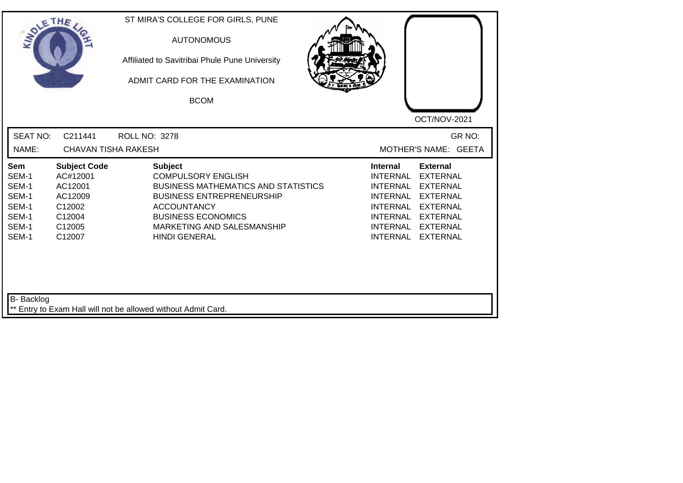| SOLE THE                                                           |                                                                                               | ST MIRA'S COLLEGE FOR GIRLS, PUNE<br><b>AUTONOMOUS</b><br>Affiliated to Savitribai Phule Pune University<br>ADMIT CARD FOR THE EXAMINATION<br><b>BCOM</b>                                                                              | OCT/NOV-2021                                                                                                                                                                                                                                                                                          |
|--------------------------------------------------------------------|-----------------------------------------------------------------------------------------------|----------------------------------------------------------------------------------------------------------------------------------------------------------------------------------------------------------------------------------------|-------------------------------------------------------------------------------------------------------------------------------------------------------------------------------------------------------------------------------------------------------------------------------------------------------|
| <b>SEAT NO:</b><br>NAME:                                           | C211441<br><b>CHAVAN TISHA RAKESH</b>                                                         | <b>ROLL NO: 3278</b>                                                                                                                                                                                                                   | GR NO:<br>MOTHER'S NAME: GEETA                                                                                                                                                                                                                                                                        |
| Sem<br>SEM-1<br>SEM-1<br>SEM-1<br>SEM-1<br>SEM-1<br>SEM-1<br>SEM-1 | <b>Subject Code</b><br>AC#12001<br>AC12001<br>AC12009<br>C12002<br>C12004<br>C12005<br>C12007 | <b>Subject</b><br><b>COMPULSORY ENGLISH</b><br><b>BUSINESS MATHEMATICS AND STATISTICS</b><br><b>BUSINESS ENTREPRENEURSHIP</b><br><b>ACCOUNTANCY</b><br><b>BUSINESS ECONOMICS</b><br>MARKETING AND SALESMANSHIP<br><b>HINDI GENERAL</b> | <b>Internal</b><br><b>External</b><br><b>INTERNAL</b><br><b>EXTERNAL</b><br><b>INTERNAL</b><br><b>EXTERNAL</b><br><b>INTERNAL</b><br><b>EXTERNAL</b><br><b>INTERNAL</b><br><b>EXTERNAL</b><br>INTERNAL<br><b>EXTERNAL</b><br><b>INTERNAL</b><br><b>EXTERNAL</b><br><b>INTERNAL</b><br><b>EXTERNAL</b> |
| B- Backlog                                                         |                                                                                               | ** Entry to Exam Hall will not be allowed without Admit Card.                                                                                                                                                                          |                                                                                                                                                                                                                                                                                                       |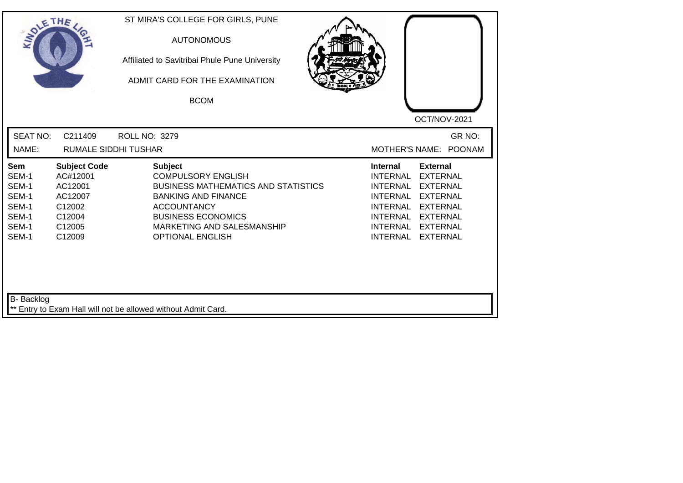| SOLETHE                                                            |                                                                                               | ST MIRA'S COLLEGE FOR GIRLS, PUNE<br><b>AUTONOMOUS</b><br>Affiliated to Savitribai Phule Pune University<br>ADMIT CARD FOR THE EXAMINATION<br><b>BCOM</b>                                                                           | OCT/NOV-2021                                                                                                                                                                                                                                                                                                 |
|--------------------------------------------------------------------|-----------------------------------------------------------------------------------------------|-------------------------------------------------------------------------------------------------------------------------------------------------------------------------------------------------------------------------------------|--------------------------------------------------------------------------------------------------------------------------------------------------------------------------------------------------------------------------------------------------------------------------------------------------------------|
| <b>SEAT NO:</b><br>NAME:                                           | C211409<br><b>RUMALE SIDDHI TUSHAR</b>                                                        | ROLL NO: 3279                                                                                                                                                                                                                       | GR NO:<br><b>POONAM</b><br><b>MOTHER'S NAME:</b>                                                                                                                                                                                                                                                             |
| Sem<br>SEM-1<br>SEM-1<br>SEM-1<br>SEM-1<br>SEM-1<br>SEM-1<br>SEM-1 | <b>Subject Code</b><br>AC#12001<br>AC12001<br>AC12007<br>C12002<br>C12004<br>C12005<br>C12009 | <b>Subject</b><br><b>COMPULSORY ENGLISH</b><br><b>BUSINESS MATHEMATICS AND STATISTICS</b><br><b>BANKING AND FINANCE</b><br><b>ACCOUNTANCY</b><br><b>BUSINESS ECONOMICS</b><br>MARKETING AND SALESMANSHIP<br><b>OPTIONAL ENGLISH</b> | <b>Internal</b><br><b>External</b><br><b>INTERNAL</b><br><b>EXTERNAL</b><br><b>INTERNAL</b><br><b>EXTERNAL</b><br><b>INTERNAL</b><br><b>EXTERNAL</b><br><b>INTERNAL</b><br><b>EXTERNAL</b><br><b>INTERNAL</b><br><b>EXTERNAL</b><br><b>EXTERNAL</b><br><b>INTERNAL</b><br><b>INTERNAL</b><br><b>EXTERNAL</b> |
| <b>B-</b> Backlog                                                  |                                                                                               | ** Entry to Exam Hall will not be allowed without Admit Card.                                                                                                                                                                       |                                                                                                                                                                                                                                                                                                              |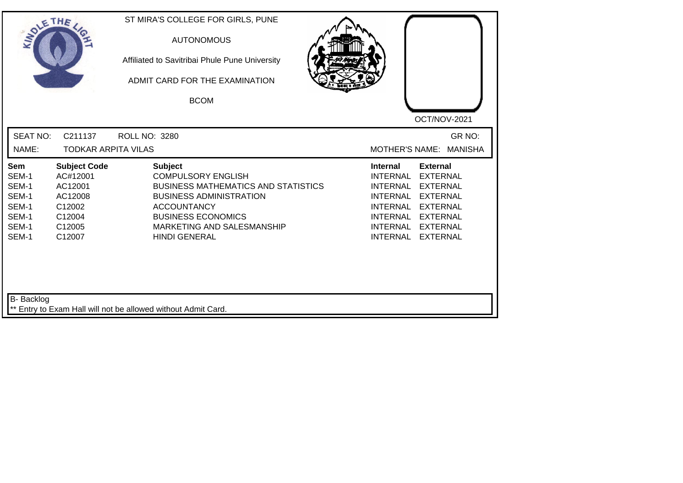| SOLETHE .                                                          |                                                                                               | ST MIRA'S COLLEGE FOR GIRLS, PUNE<br><b>AUTONOMOUS</b><br>Affiliated to Savitribai Phule Pune University<br>ADMIT CARD FOR THE EXAMINATION<br><b>BCOM</b>                                                                            | OCT/NOV-2021                                                                                                                                                                                                                                                        |
|--------------------------------------------------------------------|-----------------------------------------------------------------------------------------------|--------------------------------------------------------------------------------------------------------------------------------------------------------------------------------------------------------------------------------------|---------------------------------------------------------------------------------------------------------------------------------------------------------------------------------------------------------------------------------------------------------------------|
| <b>SEAT NO:</b>                                                    | C211137                                                                                       | <b>ROLL NO: 3280</b>                                                                                                                                                                                                                 | GR NO:                                                                                                                                                                                                                                                              |
| NAME:                                                              | <b>TODKAR ARPITA VILAS</b>                                                                    |                                                                                                                                                                                                                                      | MOTHER'S NAME:<br><b>MANISHA</b>                                                                                                                                                                                                                                    |
| Sem<br>SEM-1<br>SEM-1<br>SEM-1<br>SEM-1<br>SEM-1<br>SEM-1<br>SEM-1 | <b>Subject Code</b><br>AC#12001<br>AC12001<br>AC12008<br>C12002<br>C12004<br>C12005<br>C12007 | <b>Subject</b><br><b>COMPULSORY ENGLISH</b><br><b>BUSINESS MATHEMATICS AND STATISTICS</b><br><b>BUSINESS ADMINISTRATION</b><br><b>ACCOUNTANCY</b><br><b>BUSINESS ECONOMICS</b><br>MARKETING AND SALESMANSHIP<br><b>HINDI GENERAL</b> | <b>External</b><br><b>Internal</b><br><b>INTERNAL</b><br><b>EXTERNAL</b><br><b>INTERNAL</b><br><b>EXTERNAL</b><br><b>EXTERNAL</b><br>INTERNAL<br><b>INTERNAL</b><br><b>EXTERNAL</b><br>INTERNAL EXTERNAL<br>INTERNAL EXTERNAL<br><b>INTERNAL</b><br><b>EXTERNAL</b> |
| B- Backlog                                                         |                                                                                               | ** Entry to Exam Hall will not be allowed without Admit Card.                                                                                                                                                                        |                                                                                                                                                                                                                                                                     |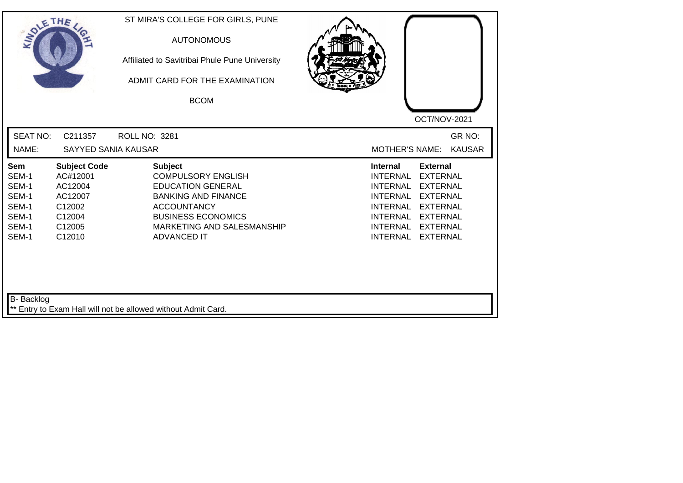| SOLE THE                                                           |                                                                                               | ST MIRA'S COLLEGE FOR GIRLS, PUNE<br><b>AUTONOMOUS</b><br>Affiliated to Savitribai Phule Pune University<br>ADMIT CARD FOR THE EXAMINATION<br><b>BCOM</b>                                                    | OCT/NOV-2021                                                                                                                                                                                                                                                                                                 |
|--------------------------------------------------------------------|-----------------------------------------------------------------------------------------------|--------------------------------------------------------------------------------------------------------------------------------------------------------------------------------------------------------------|--------------------------------------------------------------------------------------------------------------------------------------------------------------------------------------------------------------------------------------------------------------------------------------------------------------|
| <b>SEAT NO:</b><br>NAME:                                           | C211357<br>SAYYED SANIA KAUSAR                                                                | <b>ROLL NO: 3281</b>                                                                                                                                                                                         | GR NO:<br><b>KAUSAR</b><br><b>MOTHER'S NAME:</b>                                                                                                                                                                                                                                                             |
| Sem<br>SEM-1<br>SEM-1<br>SEM-1<br>SEM-1<br>SEM-1<br>SEM-1<br>SEM-1 | <b>Subject Code</b><br>AC#12001<br>AC12004<br>AC12007<br>C12002<br>C12004<br>C12005<br>C12010 | <b>Subject</b><br><b>COMPULSORY ENGLISH</b><br><b>EDUCATION GENERAL</b><br><b>BANKING AND FINANCE</b><br><b>ACCOUNTANCY</b><br><b>BUSINESS ECONOMICS</b><br>MARKETING AND SALESMANSHIP<br><b>ADVANCED IT</b> | <b>Internal</b><br><b>External</b><br><b>INTERNAL</b><br><b>EXTERNAL</b><br><b>EXTERNAL</b><br><b>INTERNAL</b><br><b>INTERNAL</b><br><b>EXTERNAL</b><br><b>INTERNAL</b><br><b>EXTERNAL</b><br><b>INTERNAL</b><br><b>EXTERNAL</b><br><b>EXTERNAL</b><br><b>INTERNAL</b><br><b>INTERNAL</b><br><b>EXTERNAL</b> |
| <b>B-</b> Backlog                                                  |                                                                                               | ** Entry to Exam Hall will not be allowed without Admit Card.                                                                                                                                                |                                                                                                                                                                                                                                                                                                              |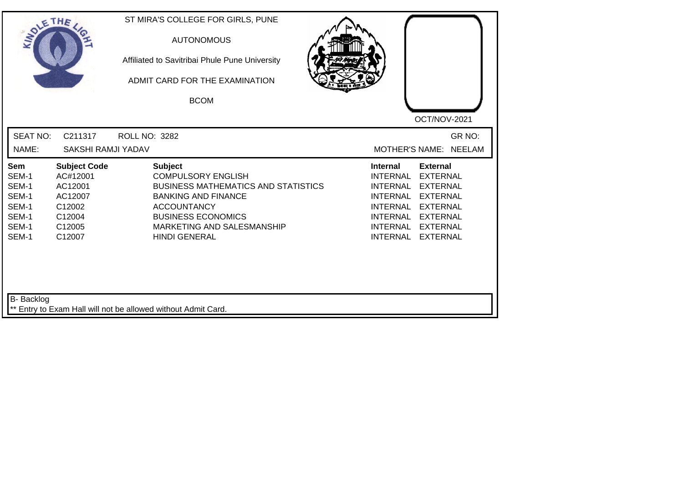| SOLE THE                                                                  |                                                                                               | ST MIRA'S COLLEGE FOR GIRLS, PUNE<br><b>AUTONOMOUS</b><br>Affiliated to Savitribai Phule Pune University<br>ADMIT CARD FOR THE EXAMINATION<br><b>BCOM</b>                                                                        | OCT/NOV-2021                                                                                                                                                                                                                                                                                          |
|---------------------------------------------------------------------------|-----------------------------------------------------------------------------------------------|----------------------------------------------------------------------------------------------------------------------------------------------------------------------------------------------------------------------------------|-------------------------------------------------------------------------------------------------------------------------------------------------------------------------------------------------------------------------------------------------------------------------------------------------------|
| <b>SEAT NO:</b><br>NAME:                                                  | C211317<br><b>SAKSHI RAMJI YADAV</b>                                                          | ROLL NO: 3282                                                                                                                                                                                                                    | GR NO:<br>MOTHER'S NAME: NEELAM                                                                                                                                                                                                                                                                       |
| <b>Sem</b><br>SEM-1<br>SEM-1<br>SEM-1<br>SEM-1<br>SEM-1<br>SEM-1<br>SEM-1 | <b>Subject Code</b><br>AC#12001<br>AC12001<br>AC12007<br>C12002<br>C12004<br>C12005<br>C12007 | <b>Subject</b><br><b>COMPULSORY ENGLISH</b><br><b>BUSINESS MATHEMATICS AND STATISTICS</b><br><b>BANKING AND FINANCE</b><br><b>ACCOUNTANCY</b><br><b>BUSINESS ECONOMICS</b><br>MARKETING AND SALESMANSHIP<br><b>HINDI GENERAL</b> | <b>External</b><br><b>Internal</b><br><b>INTERNAL</b><br><b>EXTERNAL</b><br><b>INTERNAL</b><br><b>EXTERNAL</b><br><b>INTERNAL</b><br><b>EXTERNAL</b><br><b>INTERNAL</b><br><b>EXTERNAL</b><br>INTERNAL<br><b>EXTERNAL</b><br><b>INTERNAL</b><br><b>EXTERNAL</b><br><b>INTERNAL</b><br><b>EXTERNAL</b> |
| B- Backlog                                                                |                                                                                               | ** Entry to Exam Hall will not be allowed without Admit Card.                                                                                                                                                                    |                                                                                                                                                                                                                                                                                                       |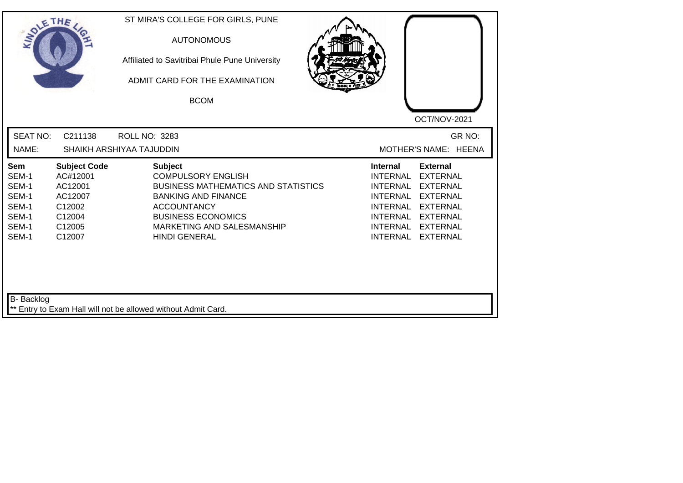| SOLE THE                                                                  |                                                                                               | ST MIRA'S COLLEGE FOR GIRLS, PUNE<br><b>AUTONOMOUS</b><br>Affiliated to Savitribai Phule Pune University<br>ADMIT CARD FOR THE EXAMINATION<br><b>BCOM</b>                                                                        | OCT/NOV-2021                                                                                                                                                                                                                                                                                          |
|---------------------------------------------------------------------------|-----------------------------------------------------------------------------------------------|----------------------------------------------------------------------------------------------------------------------------------------------------------------------------------------------------------------------------------|-------------------------------------------------------------------------------------------------------------------------------------------------------------------------------------------------------------------------------------------------------------------------------------------------------|
| <b>SEAT NO:</b><br>NAME:                                                  | C211138                                                                                       | ROLL NO: 3283<br>SHAIKH ARSHIYAA TAJUDDIN                                                                                                                                                                                        | GR NO:<br>MOTHER'S NAME: HEENA                                                                                                                                                                                                                                                                        |
| <b>Sem</b><br>SEM-1<br>SEM-1<br>SEM-1<br>SEM-1<br>SEM-1<br>SEM-1<br>SEM-1 | <b>Subject Code</b><br>AC#12001<br>AC12001<br>AC12007<br>C12002<br>C12004<br>C12005<br>C12007 | <b>Subject</b><br><b>COMPULSORY ENGLISH</b><br><b>BUSINESS MATHEMATICS AND STATISTICS</b><br><b>BANKING AND FINANCE</b><br><b>ACCOUNTANCY</b><br><b>BUSINESS ECONOMICS</b><br>MARKETING AND SALESMANSHIP<br><b>HINDI GENERAL</b> | <b>External</b><br>Internal<br><b>INTERNAL</b><br><b>EXTERNAL</b><br><b>INTERNAL</b><br><b>EXTERNAL</b><br><b>INTERNAL</b><br><b>EXTERNAL</b><br><b>INTERNAL</b><br><b>EXTERNAL</b><br><b>INTERNAL</b><br><b>EXTERNAL</b><br><b>INTERNAL</b><br><b>EXTERNAL</b><br><b>INTERNAL</b><br><b>EXTERNAL</b> |
| B- Backlog                                                                |                                                                                               | ** Entry to Exam Hall will not be allowed without Admit Card.                                                                                                                                                                    |                                                                                                                                                                                                                                                                                                       |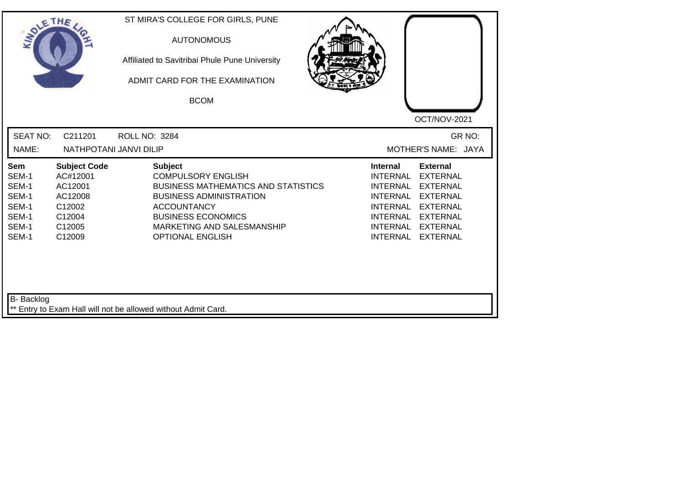| SOLE THE                                                           |                                                                                               | ST MIRA'S COLLEGE FOR GIRLS, PUNE<br><b>AUTONOMOUS</b><br>Affiliated to Savitribai Phule Pune University<br>ADMIT CARD FOR THE EXAMINATION<br><b>BCOM</b>                                                                               | OCT/NOV-2021                                                                                                                                                                                                                                                                                          |
|--------------------------------------------------------------------|-----------------------------------------------------------------------------------------------|-----------------------------------------------------------------------------------------------------------------------------------------------------------------------------------------------------------------------------------------|-------------------------------------------------------------------------------------------------------------------------------------------------------------------------------------------------------------------------------------------------------------------------------------------------------|
| <b>SEAT NO:</b><br>NAME:                                           | C211201<br>NATHPOTANI JANVI DILIP                                                             | ROLL NO: 3284                                                                                                                                                                                                                           | GR NO:<br>MOTHER'S NAME: JAYA                                                                                                                                                                                                                                                                         |
| Sem<br>SEM-1<br>SEM-1<br>SEM-1<br>SEM-1<br>SEM-1<br>SEM-1<br>SEM-1 | <b>Subject Code</b><br>AC#12001<br>AC12001<br>AC12008<br>C12002<br>C12004<br>C12005<br>C12009 | <b>Subject</b><br><b>COMPULSORY ENGLISH</b><br><b>BUSINESS MATHEMATICS AND STATISTICS</b><br><b>BUSINESS ADMINISTRATION</b><br><b>ACCOUNTANCY</b><br><b>BUSINESS ECONOMICS</b><br>MARKETING AND SALESMANSHIP<br><b>OPTIONAL ENGLISH</b> | <b>External</b><br><b>Internal</b><br><b>INTERNAL</b><br><b>EXTERNAL</b><br><b>INTERNAL</b><br><b>EXTERNAL</b><br><b>INTERNAL</b><br><b>EXTERNAL</b><br><b>INTERNAL</b><br><b>EXTERNAL</b><br><b>INTERNAL</b><br><b>EXTERNAL</b><br>INTERNAL<br><b>EXTERNAL</b><br><b>INTERNAL</b><br><b>EXTERNAL</b> |
| <b>B-</b> Backlog                                                  |                                                                                               | ** Entry to Exam Hall will not be allowed without Admit Card.                                                                                                                                                                           |                                                                                                                                                                                                                                                                                                       |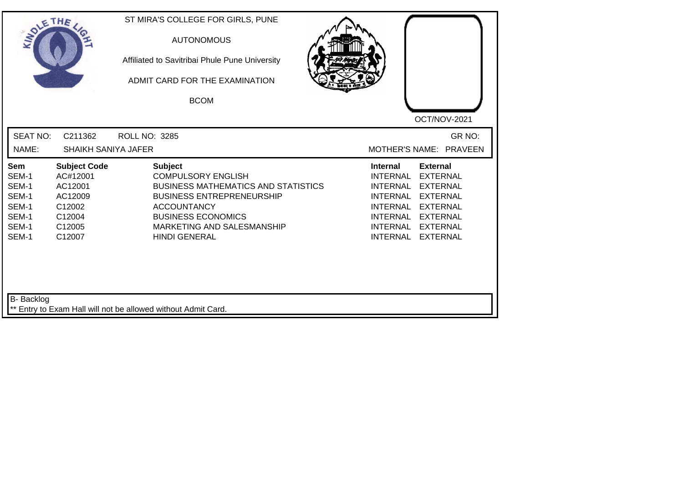| SOLETHE ,                                                          |                                                                                               | ST MIRA'S COLLEGE FOR GIRLS, PUNE<br><b>AUTONOMOUS</b><br>Affiliated to Savitribai Phule Pune University<br>ADMIT CARD FOR THE EXAMINATION<br><b>BCOM</b>                                                                              | OCT/NOV-2021                                                                                                                                                                                                                                                        |
|--------------------------------------------------------------------|-----------------------------------------------------------------------------------------------|----------------------------------------------------------------------------------------------------------------------------------------------------------------------------------------------------------------------------------------|---------------------------------------------------------------------------------------------------------------------------------------------------------------------------------------------------------------------------------------------------------------------|
| <b>SEAT NO:</b><br>NAME:                                           | C211362<br><b>SHAIKH SANIYA JAFER</b>                                                         | <b>ROLL NO: 3285</b>                                                                                                                                                                                                                   | GR NO:<br>MOTHER'S NAME: PRAVEEN                                                                                                                                                                                                                                    |
| Sem<br>SEM-1<br>SEM-1<br>SEM-1<br>SEM-1<br>SEM-1<br>SEM-1<br>SEM-1 | <b>Subject Code</b><br>AC#12001<br>AC12001<br>AC12009<br>C12002<br>C12004<br>C12005<br>C12007 | <b>Subject</b><br><b>COMPULSORY ENGLISH</b><br><b>BUSINESS MATHEMATICS AND STATISTICS</b><br><b>BUSINESS ENTREPRENEURSHIP</b><br><b>ACCOUNTANCY</b><br><b>BUSINESS ECONOMICS</b><br>MARKETING AND SALESMANSHIP<br><b>HINDI GENERAL</b> | <b>External</b><br>Internal<br><b>EXTERNAL</b><br><b>INTERNAL</b><br><b>INTERNAL</b><br><b>EXTERNAL</b><br><b>INTERNAL</b><br><b>EXTERNAL</b><br><b>INTERNAL</b><br><b>EXTERNAL</b><br>INTERNAL EXTERNAL<br>INTERNAL EXTERNAL<br><b>EXTERNAL</b><br><b>INTERNAL</b> |
| B- Backlog                                                         |                                                                                               | ** Entry to Exam Hall will not be allowed without Admit Card.                                                                                                                                                                          |                                                                                                                                                                                                                                                                     |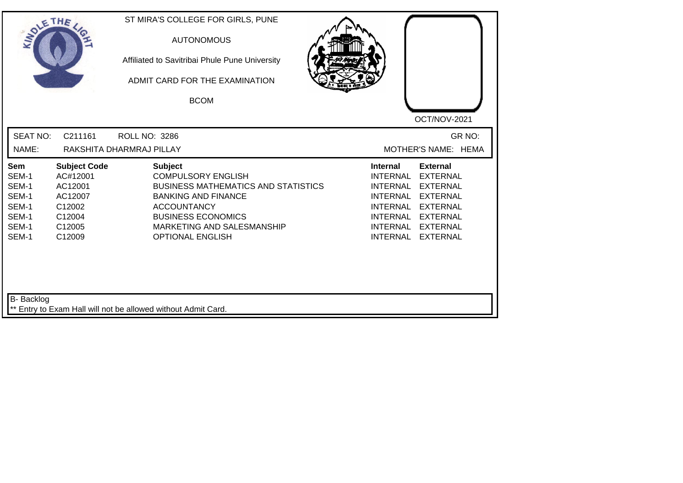| <b>SEAT NO:</b><br>C211161<br>GR NO:<br><b>ROLL NO: 3286</b><br>NAME:<br>RAKSHITA DHARMRAJ PILLAY<br>MOTHER'S NAME: HEMA<br><b>Subject Code</b><br><b>Subject</b><br><b>Internal</b><br><b>External</b><br><b>Sem</b><br>SEM-1<br><b>COMPULSORY ENGLISH</b><br><b>INTERNAL</b><br><b>EXTERNAL</b><br>AC#12001<br>SEM-1<br><b>BUSINESS MATHEMATICS AND STATISTICS</b><br>AC12001<br><b>INTERNAL</b><br><b>EXTERNAL</b><br>SEM-1<br><b>BANKING AND FINANCE</b><br><b>INTERNAL</b><br><b>EXTERNAL</b><br>AC12007<br>SEM-1<br>C12002<br><b>ACCOUNTANCY</b><br><b>INTERNAL</b><br><b>EXTERNAL</b><br>SEM-1<br><b>BUSINESS ECONOMICS</b><br>C12004<br><b>INTERNAL</b><br><b>EXTERNAL</b><br>SEM-1<br>C12005<br>MARKETING AND SALESMANSHIP<br><b>INTERNAL</b><br><b>EXTERNAL</b><br>SEM-1<br>C12009<br><b>OPTIONAL ENGLISH</b><br><b>INTERNAL</b><br><b>EXTERNAL</b> | SOLETHE , | ST MIRA'S COLLEGE FOR GIRLS, PUNE<br><b>AUTONOMOUS</b><br>Affiliated to Savitribai Phule Pune University<br>ADMIT CARD FOR THE EXAMINATION<br><b>BCOM</b> | OCT/NOV-2021 |
|---------------------------------------------------------------------------------------------------------------------------------------------------------------------------------------------------------------------------------------------------------------------------------------------------------------------------------------------------------------------------------------------------------------------------------------------------------------------------------------------------------------------------------------------------------------------------------------------------------------------------------------------------------------------------------------------------------------------------------------------------------------------------------------------------------------------------------------------------------------|-----------|-----------------------------------------------------------------------------------------------------------------------------------------------------------|--------------|
|                                                                                                                                                                                                                                                                                                                                                                                                                                                                                                                                                                                                                                                                                                                                                                                                                                                               |           |                                                                                                                                                           |              |
|                                                                                                                                                                                                                                                                                                                                                                                                                                                                                                                                                                                                                                                                                                                                                                                                                                                               |           |                                                                                                                                                           |              |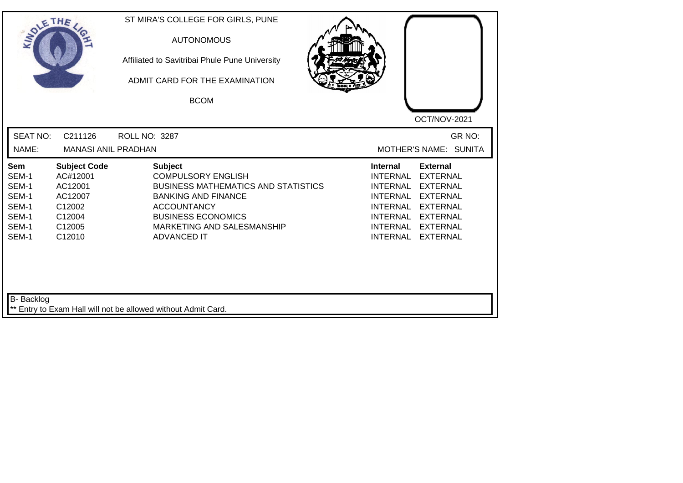| SOLETHE .                                                          |                                                                                               | ST MIRA'S COLLEGE FOR GIRLS, PUNE<br><b>AUTONOMOUS</b><br>Affiliated to Savitribai Phule Pune University<br>ADMIT CARD FOR THE EXAMINATION<br><b>BCOM</b>                                                                      |                                                                                                                |                                                                                                                                                          |
|--------------------------------------------------------------------|-----------------------------------------------------------------------------------------------|--------------------------------------------------------------------------------------------------------------------------------------------------------------------------------------------------------------------------------|----------------------------------------------------------------------------------------------------------------|----------------------------------------------------------------------------------------------------------------------------------------------------------|
|                                                                    |                                                                                               |                                                                                                                                                                                                                                |                                                                                                                | OCT/NOV-2021                                                                                                                                             |
| <b>SEAT NO:</b><br>NAME:                                           | C211126<br><b>MANASI ANIL PRADHAN</b>                                                         | <b>ROLL NO: 3287</b>                                                                                                                                                                                                           |                                                                                                                | GR NO:<br>MOTHER'S NAME: SUNITA                                                                                                                          |
| Sem<br>SEM-1<br>SEM-1<br>SEM-1<br>SEM-1<br>SEM-1<br>SEM-1<br>SEM-1 | <b>Subject Code</b><br>AC#12001<br>AC12001<br>AC12007<br>C12002<br>C12004<br>C12005<br>C12010 | <b>Subject</b><br><b>COMPULSORY ENGLISH</b><br><b>BUSINESS MATHEMATICS AND STATISTICS</b><br><b>BANKING AND FINANCE</b><br><b>ACCOUNTANCY</b><br><b>BUSINESS ECONOMICS</b><br>MARKETING AND SALESMANSHIP<br><b>ADVANCED IT</b> | <b>Internal</b><br><b>INTERNAL</b><br><b>INTERNAL</b><br><b>INTERNAL</b><br><b>INTERNAL</b><br><b>INTERNAL</b> | <b>External</b><br><b>EXTERNAL</b><br><b>EXTERNAL</b><br>INTERNAL EXTERNAL<br><b>EXTERNAL</b><br>INTERNAL EXTERNAL<br><b>EXTERNAL</b><br><b>EXTERNAL</b> |
| B- Backlog                                                         |                                                                                               | ** Entry to Exam Hall will not be allowed without Admit Card.                                                                                                                                                                  |                                                                                                                |                                                                                                                                                          |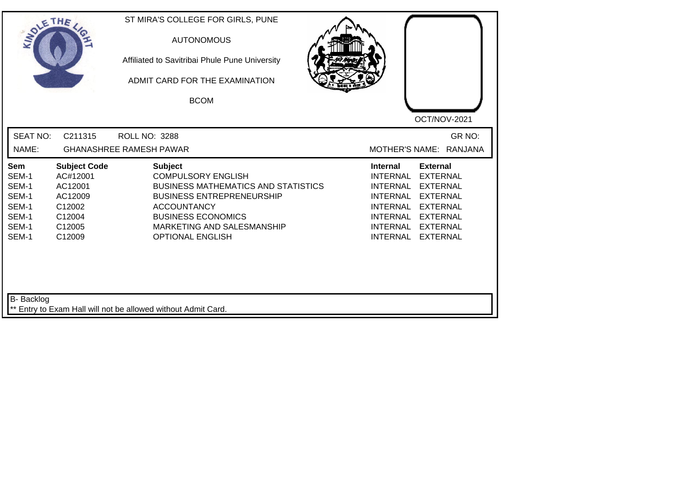| SOLETHE .                                                                 |                                                                                               | ST MIRA'S COLLEGE FOR GIRLS, PUNE<br><b>AUTONOMOUS</b><br>Affiliated to Savitribai Phule Pune University<br>ADMIT CARD FOR THE EXAMINATION<br><b>BCOM</b>                                                                                 | OCT/NOV-2021                                                                                                                                                                                                                                                                                                 |
|---------------------------------------------------------------------------|-----------------------------------------------------------------------------------------------|-------------------------------------------------------------------------------------------------------------------------------------------------------------------------------------------------------------------------------------------|--------------------------------------------------------------------------------------------------------------------------------------------------------------------------------------------------------------------------------------------------------------------------------------------------------------|
| <b>SEAT NO:</b><br>NAME:                                                  | C211315                                                                                       | <b>ROLL NO: 3288</b><br><b>GHANASHREE RAMESH PAWAR</b>                                                                                                                                                                                    | GR NO:<br>MOTHER'S NAME: RANJANA                                                                                                                                                                                                                                                                             |
| <b>Sem</b><br>SEM-1<br>SEM-1<br>SEM-1<br>SEM-1<br>SEM-1<br>SEM-1<br>SEM-1 | <b>Subject Code</b><br>AC#12001<br>AC12001<br>AC12009<br>C12002<br>C12004<br>C12005<br>C12009 | <b>Subject</b><br><b>COMPULSORY ENGLISH</b><br><b>BUSINESS MATHEMATICS AND STATISTICS</b><br><b>BUSINESS ENTREPRENEURSHIP</b><br><b>ACCOUNTANCY</b><br><b>BUSINESS ECONOMICS</b><br>MARKETING AND SALESMANSHIP<br><b>OPTIONAL ENGLISH</b> | <b>External</b><br><b>Internal</b><br><b>INTERNAL</b><br><b>EXTERNAL</b><br><b>INTERNAL</b><br><b>EXTERNAL</b><br><b>INTERNAL</b><br><b>EXTERNAL</b><br><b>INTERNAL</b><br><b>EXTERNAL</b><br><b>INTERNAL</b><br><b>EXTERNAL</b><br><b>INTERNAL</b><br><b>EXTERNAL</b><br><b>INTERNAL</b><br><b>EXTERNAL</b> |
| B- Backlog                                                                |                                                                                               | ** Entry to Exam Hall will not be allowed without Admit Card.                                                                                                                                                                             |                                                                                                                                                                                                                                                                                                              |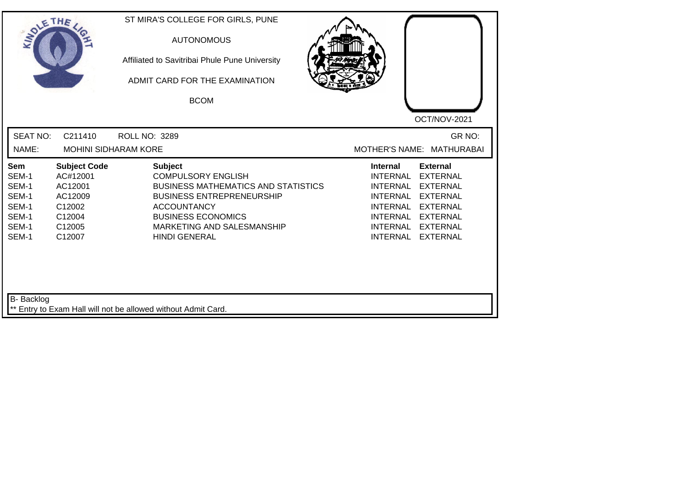| SOLETHE,                                                           |                                                                                               | ST MIRA'S COLLEGE FOR GIRLS, PUNE<br><b>AUTONOMOUS</b><br>Affiliated to Savitribai Phule Pune University<br>ADMIT CARD FOR THE EXAMINATION<br><b>BCOM</b>                                                                              |                                                                                                                                                                                                                                   |
|--------------------------------------------------------------------|-----------------------------------------------------------------------------------------------|----------------------------------------------------------------------------------------------------------------------------------------------------------------------------------------------------------------------------------------|-----------------------------------------------------------------------------------------------------------------------------------------------------------------------------------------------------------------------------------|
|                                                                    |                                                                                               |                                                                                                                                                                                                                                        | OCT/NOV-2021                                                                                                                                                                                                                      |
| <b>SEAT NO:</b><br>NAME:                                           | C211410<br><b>MOHINI SIDHARAM KORE</b>                                                        | ROLL NO: 3289                                                                                                                                                                                                                          | GR NO:<br>MOTHER'S NAME: MATHURABAI                                                                                                                                                                                               |
| Sem<br>SEM-1<br>SEM-1<br>SEM-1<br>SEM-1<br>SEM-1<br>SEM-1<br>SEM-1 | <b>Subject Code</b><br>AC#12001<br>AC12001<br>AC12009<br>C12002<br>C12004<br>C12005<br>C12007 | <b>Subject</b><br><b>COMPULSORY ENGLISH</b><br><b>BUSINESS MATHEMATICS AND STATISTICS</b><br><b>BUSINESS ENTREPRENEURSHIP</b><br><b>ACCOUNTANCY</b><br><b>BUSINESS ECONOMICS</b><br>MARKETING AND SALESMANSHIP<br><b>HINDI GENERAL</b> | <b>External</b><br><b>Internal</b><br><b>INTERNAL</b><br><b>EXTERNAL</b><br>INTERNAL EXTERNAL<br>INTERNAL EXTERNAL<br>INTERNAL EXTERNAL<br><b>INTERNAL</b><br><b>EXTERNAL</b><br>INTERNAL EXTERNAL<br>INTERNAL<br><b>EXTERNAL</b> |
| B- Backlog                                                         |                                                                                               | ** Entry to Exam Hall will not be allowed without Admit Card.                                                                                                                                                                          |                                                                                                                                                                                                                                   |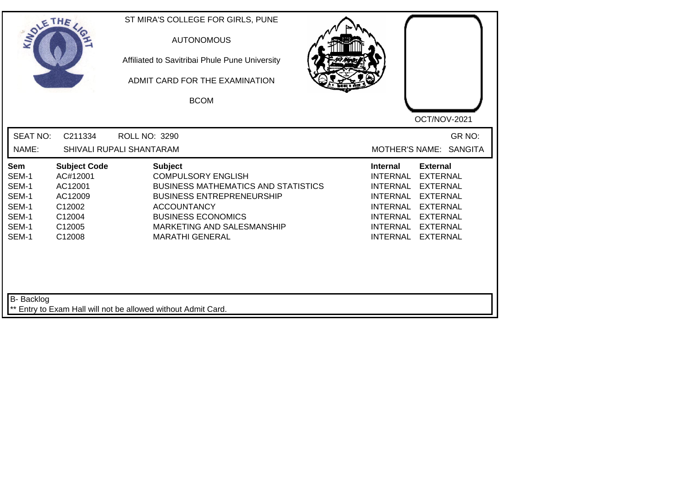| SOLETHE ,                                                          |                                                                                               | ST MIRA'S COLLEGE FOR GIRLS, PUNE<br><b>AUTONOMOUS</b><br>Affiliated to Savitribai Phule Pune University<br>ADMIT CARD FOR THE EXAMINATION<br><b>BCOM</b>                                                                                | OCT/NOV-2021                                                                                                                                                                                                                                                                                                 |
|--------------------------------------------------------------------|-----------------------------------------------------------------------------------------------|------------------------------------------------------------------------------------------------------------------------------------------------------------------------------------------------------------------------------------------|--------------------------------------------------------------------------------------------------------------------------------------------------------------------------------------------------------------------------------------------------------------------------------------------------------------|
| <b>SEAT NO:</b><br>NAME:                                           | C211334                                                                                       | <b>ROLL NO: 3290</b><br>SHIVALI RUPALI SHANTARAM                                                                                                                                                                                         | GR NO:<br><b>SANGITA</b><br><b>MOTHER'S NAME:</b>                                                                                                                                                                                                                                                            |
| Sem<br>SEM-1<br>SEM-1<br>SEM-1<br>SEM-1<br>SEM-1<br>SEM-1<br>SEM-1 | <b>Subject Code</b><br>AC#12001<br>AC12001<br>AC12009<br>C12002<br>C12004<br>C12005<br>C12008 | <b>Subject</b><br><b>COMPULSORY ENGLISH</b><br><b>BUSINESS MATHEMATICS AND STATISTICS</b><br><b>BUSINESS ENTREPRENEURSHIP</b><br><b>ACCOUNTANCY</b><br><b>BUSINESS ECONOMICS</b><br>MARKETING AND SALESMANSHIP<br><b>MARATHI GENERAL</b> | <b>External</b><br><b>Internal</b><br><b>INTERNAL</b><br><b>EXTERNAL</b><br><b>EXTERNAL</b><br><b>INTERNAL</b><br><b>EXTERNAL</b><br><b>INTERNAL</b><br><b>INTERNAL</b><br><b>EXTERNAL</b><br><b>INTERNAL</b><br><b>EXTERNAL</b><br><b>INTERNAL</b><br><b>EXTERNAL</b><br><b>INTERNAL</b><br><b>EXTERNAL</b> |
| <b>B-</b> Backlog                                                  |                                                                                               | ** Entry to Exam Hall will not be allowed without Admit Card.                                                                                                                                                                            |                                                                                                                                                                                                                                                                                                              |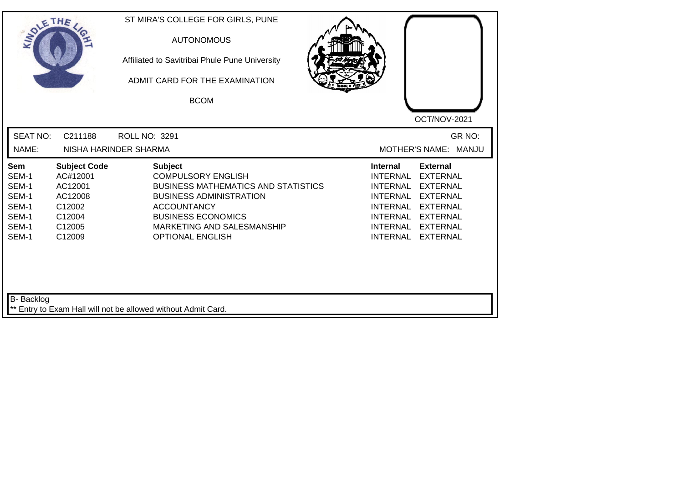| SOLETHE .                                                          |                                                                                               | ST MIRA'S COLLEGE FOR GIRLS, PUNE<br><b>AUTONOMOUS</b><br>Affiliated to Savitribai Phule Pune University<br>ADMIT CARD FOR THE EXAMINATION<br><b>BCOM</b>                                                                               | OCT/NOV-2021                                                                                                                                                                                                                                                                                          |
|--------------------------------------------------------------------|-----------------------------------------------------------------------------------------------|-----------------------------------------------------------------------------------------------------------------------------------------------------------------------------------------------------------------------------------------|-------------------------------------------------------------------------------------------------------------------------------------------------------------------------------------------------------------------------------------------------------------------------------------------------------|
| <b>SEAT NO:</b><br>NAME:                                           | C211188                                                                                       | ROLL NO: 3291<br>NISHA HARINDER SHARMA                                                                                                                                                                                                  | GR NO:<br>MOTHER'S NAME: MANJU                                                                                                                                                                                                                                                                        |
| Sem<br>SEM-1<br>SEM-1<br>SEM-1<br>SEM-1<br>SEM-1<br>SEM-1<br>SEM-1 | <b>Subject Code</b><br>AC#12001<br>AC12001<br>AC12008<br>C12002<br>C12004<br>C12005<br>C12009 | <b>Subject</b><br><b>COMPULSORY ENGLISH</b><br><b>BUSINESS MATHEMATICS AND STATISTICS</b><br><b>BUSINESS ADMINISTRATION</b><br><b>ACCOUNTANCY</b><br><b>BUSINESS ECONOMICS</b><br>MARKETING AND SALESMANSHIP<br><b>OPTIONAL ENGLISH</b> | <b>External</b><br><b>Internal</b><br><b>INTERNAL</b><br><b>EXTERNAL</b><br><b>INTERNAL</b><br><b>EXTERNAL</b><br><b>INTERNAL</b><br><b>EXTERNAL</b><br><b>INTERNAL</b><br><b>EXTERNAL</b><br><b>INTERNAL</b><br><b>EXTERNAL</b><br>INTERNAL<br><b>EXTERNAL</b><br><b>INTERNAL</b><br><b>EXTERNAL</b> |
| <b>B-</b> Backlog                                                  |                                                                                               | ** Entry to Exam Hall will not be allowed without Admit Card.                                                                                                                                                                           |                                                                                                                                                                                                                                                                                                       |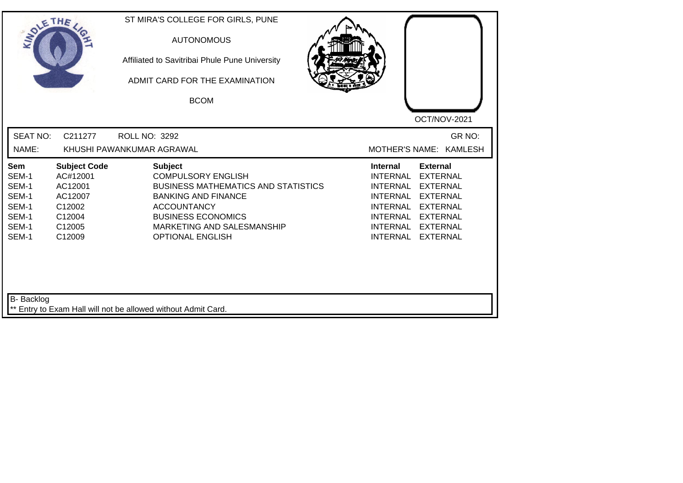|                                                                           | SOLETHE .                                                                                     | <b>AUTONOMOUS</b><br>Affiliated to Savitribai Phule Pune University<br>ADMIT CARD FOR THE EXAMINATION<br><b>BCOM</b>                                                                                                                | OCT/NOV-2021                                                                                                                                                                                                                                                                                   |
|---------------------------------------------------------------------------|-----------------------------------------------------------------------------------------------|-------------------------------------------------------------------------------------------------------------------------------------------------------------------------------------------------------------------------------------|------------------------------------------------------------------------------------------------------------------------------------------------------------------------------------------------------------------------------------------------------------------------------------------------|
| <b>SEAT NO:</b><br>NAME:                                                  | C211277<br>ROLL NO: 3292<br>KHUSHI PAWANKUMAR AGRAWAL                                         |                                                                                                                                                                                                                                     | GR NO:<br>MOTHER'S NAME: KAMLESH                                                                                                                                                                                                                                                               |
| <b>Sem</b><br>SEM-1<br>SEM-1<br>SEM-1<br>SEM-1<br>SEM-1<br>SEM-1<br>SEM-1 | <b>Subject Code</b><br>AC#12001<br>AC12001<br>AC12007<br>C12002<br>C12004<br>C12005<br>C12009 | <b>Subject</b><br><b>COMPULSORY ENGLISH</b><br><b>BUSINESS MATHEMATICS AND STATISTICS</b><br><b>BANKING AND FINANCE</b><br><b>ACCOUNTANCY</b><br><b>BUSINESS ECONOMICS</b><br>MARKETING AND SALESMANSHIP<br><b>OPTIONAL ENGLISH</b> | <b>Internal</b><br><b>External</b><br><b>INTERNAL</b><br><b>EXTERNAL</b><br><b>INTERNAL</b><br><b>EXTERNAL</b><br><b>INTERNAL</b><br><b>EXTERNAL</b><br><b>INTERNAL</b><br><b>EXTERNAL</b><br>INTERNAL<br><b>EXTERNAL</b><br><b>INTERNAL</b><br><b>EXTERNAL</b><br>INTERNAL<br><b>EXTERNAL</b> |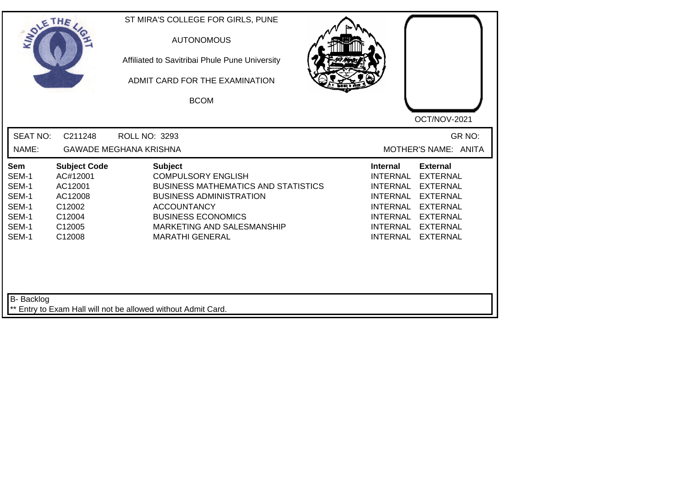|                                                                                                                                                                            | Affiliated to Savitribai Phule Pune University<br>ADMIT CARD FOR THE EXAMINATION<br><b>BCOM</b>                                                                                                                                        | OCT/NOV-2021                                                                                                                                                                                                                                                                                   |
|----------------------------------------------------------------------------------------------------------------------------------------------------------------------------|----------------------------------------------------------------------------------------------------------------------------------------------------------------------------------------------------------------------------------------|------------------------------------------------------------------------------------------------------------------------------------------------------------------------------------------------------------------------------------------------------------------------------------------------|
| <b>SEAT NO:</b><br>C211248<br>NAME:                                                                                                                                        | ROLL NO: 3293<br><b>GAWADE MEGHANA KRISHNA</b>                                                                                                                                                                                         | GR NO:<br>MOTHER'S NAME: ANITA                                                                                                                                                                                                                                                                 |
| <b>Subject Code</b><br><b>Sem</b><br>SEM-1<br>AC#12001<br>SEM-1<br>AC12001<br>SEM-1<br>AC12008<br>SEM-1<br>C12002<br>SEM-1<br>C12004<br>SEM-1<br>C12005<br>SEM-1<br>C12008 | <b>Subject</b><br><b>COMPULSORY ENGLISH</b><br><b>BUSINESS MATHEMATICS AND STATISTICS</b><br><b>BUSINESS ADMINISTRATION</b><br><b>ACCOUNTANCY</b><br><b>BUSINESS ECONOMICS</b><br>MARKETING AND SALESMANSHIP<br><b>MARATHI GENERAL</b> | <b>Internal</b><br><b>External</b><br><b>INTERNAL</b><br><b>EXTERNAL</b><br><b>INTERNAL</b><br><b>EXTERNAL</b><br><b>INTERNAL</b><br><b>EXTERNAL</b><br><b>INTERNAL</b><br><b>EXTERNAL</b><br>INTERNAL<br><b>EXTERNAL</b><br><b>INTERNAL</b><br><b>EXTERNAL</b><br>INTERNAL<br><b>EXTERNAL</b> |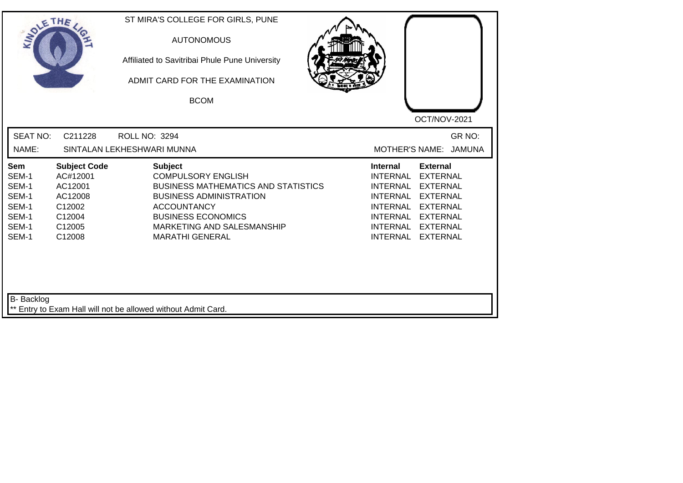|                                                                           |                                                                                               | Affiliated to Savitribai Phule Pune University<br>ADMIT CARD FOR THE EXAMINATION<br><b>BCOM</b>                                                                                                                                        | OCT/NOV-2021                                                                                                                                                                                                                                                                                          |
|---------------------------------------------------------------------------|-----------------------------------------------------------------------------------------------|----------------------------------------------------------------------------------------------------------------------------------------------------------------------------------------------------------------------------------------|-------------------------------------------------------------------------------------------------------------------------------------------------------------------------------------------------------------------------------------------------------------------------------------------------------|
| <b>SEAT NO:</b><br>NAME:                                                  | C211228<br><b>ROLL NO: 3294</b><br>SINTALAN LEKHESHWARI MUNNA                                 |                                                                                                                                                                                                                                        | GR NO:<br>MOTHER'S NAME: JAMUNA                                                                                                                                                                                                                                                                       |
| <b>Sem</b><br>SEM-1<br>SEM-1<br>SEM-1<br>SEM-1<br>SEM-1<br>SEM-1<br>SEM-1 | <b>Subject Code</b><br>AC#12001<br>AC12001<br>AC12008<br>C12002<br>C12004<br>C12005<br>C12008 | <b>Subject</b><br><b>COMPULSORY ENGLISH</b><br><b>BUSINESS MATHEMATICS AND STATISTICS</b><br><b>BUSINESS ADMINISTRATION</b><br><b>ACCOUNTANCY</b><br><b>BUSINESS ECONOMICS</b><br>MARKETING AND SALESMANSHIP<br><b>MARATHI GENERAL</b> | <b>Internal</b><br><b>External</b><br><b>INTERNAL</b><br><b>EXTERNAL</b><br><b>INTERNAL</b><br><b>EXTERNAL</b><br><b>INTERNAL</b><br><b>EXTERNAL</b><br><b>INTERNAL</b><br><b>EXTERNAL</b><br>INTERNAL<br><b>EXTERNAL</b><br><b>INTERNAL</b><br><b>EXTERNAL</b><br><b>INTERNAL</b><br><b>EXTERNAL</b> |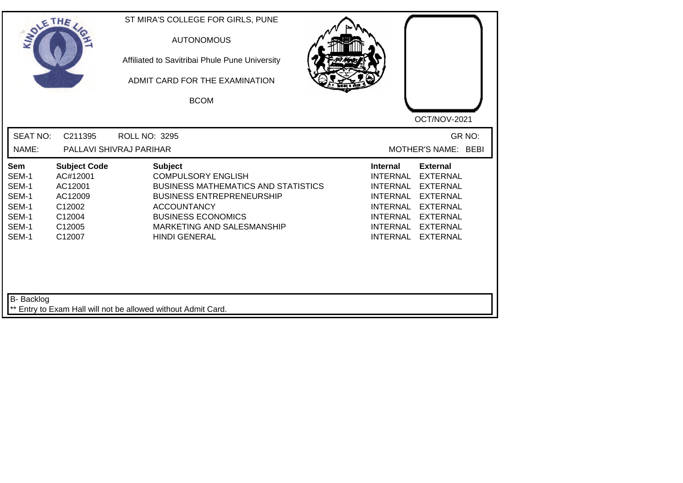| SOLE THE                                                                  |                                                                                               | ST MIRA'S COLLEGE FOR GIRLS, PUNE<br><b>AUTONOMOUS</b><br>Affiliated to Savitribai Phule Pune University<br>ADMIT CARD FOR THE EXAMINATION<br><b>BCOM</b>                                                                              | OCT/NOV-2021                                                                                                                                                                                                                                                                                   |
|---------------------------------------------------------------------------|-----------------------------------------------------------------------------------------------|----------------------------------------------------------------------------------------------------------------------------------------------------------------------------------------------------------------------------------------|------------------------------------------------------------------------------------------------------------------------------------------------------------------------------------------------------------------------------------------------------------------------------------------------|
| <b>SEAT NO:</b><br>NAME:                                                  | C211395                                                                                       | ROLL NO: 3295<br>PALLAVI SHIVRAJ PARIHAR                                                                                                                                                                                               | GR NO:<br>MOTHER'S NAME: BEBI                                                                                                                                                                                                                                                                  |
| <b>Sem</b><br>SEM-1<br>SEM-1<br>SEM-1<br>SEM-1<br>SEM-1<br>SEM-1<br>SEM-1 | <b>Subject Code</b><br>AC#12001<br>AC12001<br>AC12009<br>C12002<br>C12004<br>C12005<br>C12007 | <b>Subject</b><br><b>COMPULSORY ENGLISH</b><br><b>BUSINESS MATHEMATICS AND STATISTICS</b><br><b>BUSINESS ENTREPRENEURSHIP</b><br><b>ACCOUNTANCY</b><br><b>BUSINESS ECONOMICS</b><br>MARKETING AND SALESMANSHIP<br><b>HINDI GENERAL</b> | <b>External</b><br>Internal<br><b>INTERNAL</b><br><b>EXTERNAL</b><br><b>INTERNAL</b><br><b>EXTERNAL</b><br><b>INTERNAL</b><br><b>EXTERNAL</b><br><b>INTERNAL</b><br><b>EXTERNAL</b><br>INTERNAL<br><b>EXTERNAL</b><br><b>INTERNAL</b><br><b>EXTERNAL</b><br><b>INTERNAL</b><br><b>EXTERNAL</b> |
| B- Backlog                                                                |                                                                                               | ** Entry to Exam Hall will not be allowed without Admit Card.                                                                                                                                                                          |                                                                                                                                                                                                                                                                                                |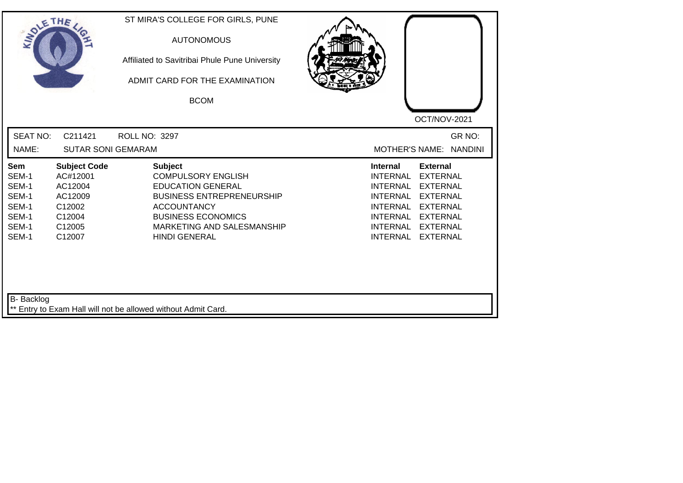| SOLETHE ,                                                          |                                                                                               | ST MIRA'S COLLEGE FOR GIRLS, PUNE<br><b>AUTONOMOUS</b><br>Affiliated to Savitribai Phule Pune University<br>ADMIT CARD FOR THE EXAMINATION<br><b>BCOM</b>                                                            |                                                                                                                                                                                                                                                                                                              |
|--------------------------------------------------------------------|-----------------------------------------------------------------------------------------------|----------------------------------------------------------------------------------------------------------------------------------------------------------------------------------------------------------------------|--------------------------------------------------------------------------------------------------------------------------------------------------------------------------------------------------------------------------------------------------------------------------------------------------------------|
|                                                                    |                                                                                               |                                                                                                                                                                                                                      | OCT/NOV-2021                                                                                                                                                                                                                                                                                                 |
| <b>SEAT NO:</b><br>NAME:                                           | C211421<br><b>SUTAR SONI GEMARAM</b>                                                          | <b>ROLL NO: 3297</b>                                                                                                                                                                                                 | GR NO:<br>MOTHER'S NAME: NANDINI                                                                                                                                                                                                                                                                             |
| Sem<br>SEM-1<br>SEM-1<br>SEM-1<br>SEM-1<br>SEM-1<br>SEM-1<br>SEM-1 | <b>Subject Code</b><br>AC#12001<br>AC12004<br>AC12009<br>C12002<br>C12004<br>C12005<br>C12007 | <b>Subject</b><br><b>COMPULSORY ENGLISH</b><br><b>EDUCATION GENERAL</b><br><b>BUSINESS ENTREPRENEURSHIP</b><br><b>ACCOUNTANCY</b><br><b>BUSINESS ECONOMICS</b><br>MARKETING AND SALESMANSHIP<br><b>HINDI GENERAL</b> | <b>External</b><br><b>Internal</b><br><b>INTERNAL</b><br><b>EXTERNAL</b><br><b>INTERNAL</b><br><b>EXTERNAL</b><br><b>INTERNAL</b><br><b>EXTERNAL</b><br><b>INTERNAL</b><br><b>EXTERNAL</b><br><b>INTERNAL</b><br><b>EXTERNAL</b><br><b>INTERNAL</b><br><b>EXTERNAL</b><br><b>INTERNAL</b><br><b>EXTERNAL</b> |
| <b>B-</b> Backlog                                                  |                                                                                               | ** Entry to Exam Hall will not be allowed without Admit Card.                                                                                                                                                        |                                                                                                                                                                                                                                                                                                              |

┛╹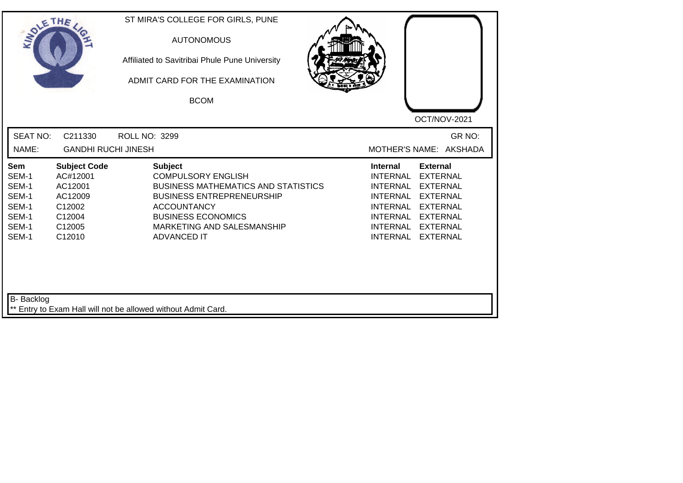| SOLETHE .                                                                 |                                                                                               | ST MIRA'S COLLEGE FOR GIRLS, PUNE<br><b>AUTONOMOUS</b><br>Affiliated to Savitribai Phule Pune University<br>ADMIT CARD FOR THE EXAMINATION<br><b>BCOM</b>                                                                            | OCT/NOV-2021                                                                                                                                                                                                                                                                                          |
|---------------------------------------------------------------------------|-----------------------------------------------------------------------------------------------|--------------------------------------------------------------------------------------------------------------------------------------------------------------------------------------------------------------------------------------|-------------------------------------------------------------------------------------------------------------------------------------------------------------------------------------------------------------------------------------------------------------------------------------------------------|
| <b>SEAT NO:</b><br>NAME:                                                  | C211330<br><b>GANDHI RUCHI JINESH</b>                                                         | ROLL NO: 3299                                                                                                                                                                                                                        | GR NO:<br>MOTHER'S NAME: AKSHADA                                                                                                                                                                                                                                                                      |
| <b>Sem</b><br>SEM-1<br>SEM-1<br>SEM-1<br>SEM-1<br>SEM-1<br>SEM-1<br>SEM-1 | <b>Subject Code</b><br>AC#12001<br>AC12001<br>AC12009<br>C12002<br>C12004<br>C12005<br>C12010 | <b>Subject</b><br><b>COMPULSORY ENGLISH</b><br><b>BUSINESS MATHEMATICS AND STATISTICS</b><br><b>BUSINESS ENTREPRENEURSHIP</b><br><b>ACCOUNTANCY</b><br><b>BUSINESS ECONOMICS</b><br>MARKETING AND SALESMANSHIP<br><b>ADVANCED IT</b> | <b>Internal</b><br><b>External</b><br><b>EXTERNAL</b><br><b>INTERNAL</b><br><b>INTERNAL</b><br><b>EXTERNAL</b><br>INTERNAL<br><b>EXTERNAL</b><br><b>INTERNAL</b><br><b>EXTERNAL</b><br><b>INTERNAL</b><br><b>EXTERNAL</b><br><b>INTERNAL</b><br><b>EXTERNAL</b><br><b>INTERNAL</b><br><b>EXTERNAL</b> |
| <b>B-</b> Backlog                                                         |                                                                                               | ** Entry to Exam Hall will not be allowed without Admit Card.                                                                                                                                                                        |                                                                                                                                                                                                                                                                                                       |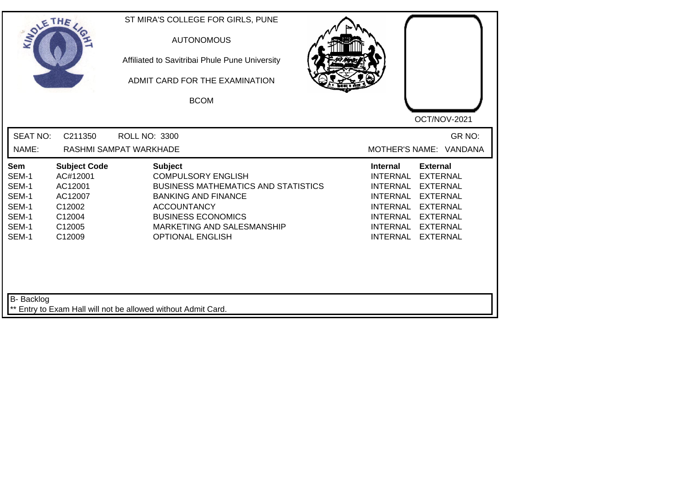| SOLETHE ,                                                                                                                                                                  | ST MIRA'S COLLEGE FOR GIRLS, PUNE<br><b>AUTONOMOUS</b><br>Affiliated to Savitribai Phule Pune University<br>ADMIT CARD FOR THE EXAMINATION<br><b>BCOM</b>                                                                           | OCT/NOV-2021                                                                                                                                                                                                                                                                                          |
|----------------------------------------------------------------------------------------------------------------------------------------------------------------------------|-------------------------------------------------------------------------------------------------------------------------------------------------------------------------------------------------------------------------------------|-------------------------------------------------------------------------------------------------------------------------------------------------------------------------------------------------------------------------------------------------------------------------------------------------------|
| <b>SEAT NO:</b><br>C211350<br>NAME:                                                                                                                                        | <b>ROLL NO: 3300</b><br>RASHMI SAMPAT WARKHADE                                                                                                                                                                                      | GR NO:<br>MOTHER'S NAME: VANDANA                                                                                                                                                                                                                                                                      |
| <b>Subject Code</b><br><b>Sem</b><br>SEM-1<br>AC#12001<br>SEM-1<br>AC12001<br>SEM-1<br>AC12007<br>SEM-1<br>C12002<br>SEM-1<br>C12004<br>SEM-1<br>C12005<br>SEM-1<br>C12009 | <b>Subject</b><br><b>COMPULSORY ENGLISH</b><br><b>BUSINESS MATHEMATICS AND STATISTICS</b><br><b>BANKING AND FINANCE</b><br><b>ACCOUNTANCY</b><br><b>BUSINESS ECONOMICS</b><br>MARKETING AND SALESMANSHIP<br><b>OPTIONAL ENGLISH</b> | <b>Internal</b><br><b>External</b><br><b>INTERNAL</b><br><b>EXTERNAL</b><br><b>INTERNAL</b><br><b>EXTERNAL</b><br><b>INTERNAL</b><br><b>EXTERNAL</b><br><b>INTERNAL</b><br><b>EXTERNAL</b><br>INTERNAL<br><b>EXTERNAL</b><br><b>INTERNAL</b><br><b>EXTERNAL</b><br><b>INTERNAL</b><br><b>EXTERNAL</b> |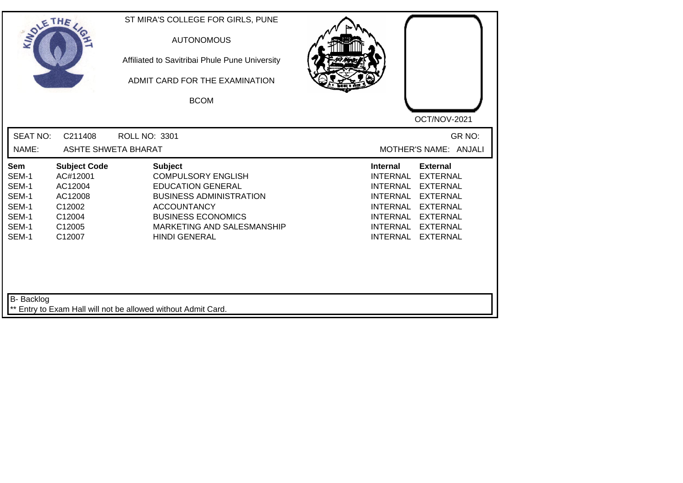| SOLETHE .                                                                 |                                                                                               | ST MIRA'S COLLEGE FOR GIRLS, PUNE<br><b>AUTONOMOUS</b><br>Affiliated to Savitribai Phule Pune University<br>ADMIT CARD FOR THE EXAMINATION<br><b>BCOM</b>                                                          | OCT/NOV-2021                                                                                                                                                                                                                                                                                                 |
|---------------------------------------------------------------------------|-----------------------------------------------------------------------------------------------|--------------------------------------------------------------------------------------------------------------------------------------------------------------------------------------------------------------------|--------------------------------------------------------------------------------------------------------------------------------------------------------------------------------------------------------------------------------------------------------------------------------------------------------------|
| <b>SEAT NO:</b><br>NAME:                                                  | C211408<br><b>ASHTE SHWETA BHARAT</b>                                                         | <b>ROLL NO: 3301</b>                                                                                                                                                                                               | GR NO:<br>MOTHER'S NAME: ANJALI                                                                                                                                                                                                                                                                              |
| <b>Sem</b><br>SEM-1<br>SEM-1<br>SEM-1<br>SEM-1<br>SEM-1<br>SEM-1<br>SEM-1 | <b>Subject Code</b><br>AC#12001<br>AC12004<br>AC12008<br>C12002<br>C12004<br>C12005<br>C12007 | <b>Subject</b><br><b>COMPULSORY ENGLISH</b><br><b>EDUCATION GENERAL</b><br><b>BUSINESS ADMINISTRATION</b><br><b>ACCOUNTANCY</b><br><b>BUSINESS ECONOMICS</b><br>MARKETING AND SALESMANSHIP<br><b>HINDI GENERAL</b> | <b>Internal</b><br><b>External</b><br><b>INTERNAL</b><br><b>EXTERNAL</b><br><b>INTERNAL</b><br><b>EXTERNAL</b><br><b>INTERNAL</b><br><b>EXTERNAL</b><br><b>INTERNAL</b><br><b>EXTERNAL</b><br><b>INTERNAL</b><br><b>EXTERNAL</b><br><b>INTERNAL</b><br><b>EXTERNAL</b><br><b>INTERNAL</b><br><b>EXTERNAL</b> |
| <b>B-</b> Backlog                                                         |                                                                                               | ** Entry to Exam Hall will not be allowed without Admit Card.                                                                                                                                                      |                                                                                                                                                                                                                                                                                                              |

┛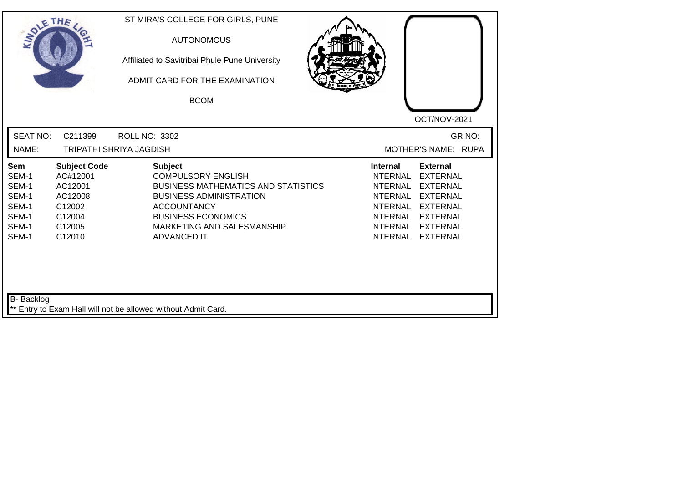| SOLE THE                                                                  |                                                                                               | ST MIRA'S COLLEGE FOR GIRLS, PUNE<br><b>AUTONOMOUS</b><br>Affiliated to Savitribai Phule Pune University<br>ADMIT CARD FOR THE EXAMINATION<br><b>BCOM</b>                                                                          | OCT/NOV-2021                                                                                                                                                                                                                                                                                                 |
|---------------------------------------------------------------------------|-----------------------------------------------------------------------------------------------|------------------------------------------------------------------------------------------------------------------------------------------------------------------------------------------------------------------------------------|--------------------------------------------------------------------------------------------------------------------------------------------------------------------------------------------------------------------------------------------------------------------------------------------------------------|
| <b>SEAT NO:</b><br>NAME:                                                  | C211399                                                                                       | ROLL NO: 3302<br><b>TRIPATHI SHRIYA JAGDISH</b>                                                                                                                                                                                    | GR NO:<br>MOTHER'S NAME: RUPA                                                                                                                                                                                                                                                                                |
| <b>Sem</b><br>SEM-1<br>SEM-1<br>SEM-1<br>SEM-1<br>SEM-1<br>SEM-1<br>SEM-1 | <b>Subject Code</b><br>AC#12001<br>AC12001<br>AC12008<br>C12002<br>C12004<br>C12005<br>C12010 | <b>Subject</b><br><b>COMPULSORY ENGLISH</b><br><b>BUSINESS MATHEMATICS AND STATISTICS</b><br><b>BUSINESS ADMINISTRATION</b><br><b>ACCOUNTANCY</b><br><b>BUSINESS ECONOMICS</b><br>MARKETING AND SALESMANSHIP<br><b>ADVANCED IT</b> | <b>External</b><br><b>Internal</b><br><b>INTERNAL</b><br><b>EXTERNAL</b><br><b>INTERNAL</b><br><b>EXTERNAL</b><br><b>INTERNAL</b><br><b>EXTERNAL</b><br><b>INTERNAL</b><br><b>EXTERNAL</b><br><b>INTERNAL</b><br><b>EXTERNAL</b><br><b>INTERNAL</b><br><b>EXTERNAL</b><br><b>INTERNAL</b><br><b>EXTERNAL</b> |
| B- Backlog                                                                |                                                                                               | ** Entry to Exam Hall will not be allowed without Admit Card.                                                                                                                                                                      |                                                                                                                                                                                                                                                                                                              |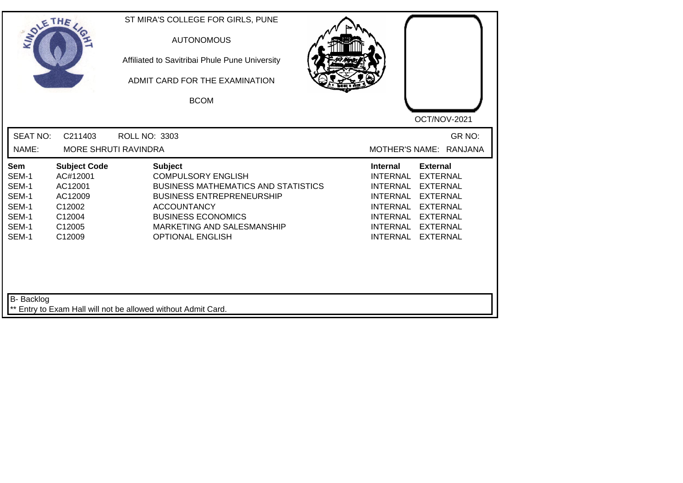| <b>SEAT NO:</b><br>GR NO:<br>C211403<br><b>ROLL NO: 3303</b><br>NAME:<br>MORE SHRUTI RAVINDRA<br>MOTHER'S NAME: RANJANA<br><b>Subject Code</b><br><b>Subject</b><br><b>Internal</b><br><b>External</b><br><b>Sem</b><br>AC#12001<br><b>COMPULSORY ENGLISH</b><br><b>INTERNAL</b><br><b>EXTERNAL</b><br>SEM-1<br>SEM-1<br>AC12001<br><b>BUSINESS MATHEMATICS AND STATISTICS</b><br><b>INTERNAL</b><br><b>EXTERNAL</b><br>SEM-1<br>AC12009<br><b>BUSINESS ENTREPRENEURSHIP</b><br><b>INTERNAL</b><br><b>EXTERNAL</b><br>SEM-1<br>C12002<br><b>ACCOUNTANCY</b><br><b>INTERNAL</b><br><b>EXTERNAL</b><br>SEM-1<br><b>BUSINESS ECONOMICS</b><br>C12004<br>INTERNAL<br><b>EXTERNAL</b><br>SEM-1<br>C12005<br>MARKETING AND SALESMANSHIP<br><b>INTERNAL</b><br><b>EXTERNAL</b><br>SEM-1<br><b>INTERNAL</b><br>C12009<br><b>OPTIONAL ENGLISH</b><br><b>EXTERNAL</b> | SOLETHE . | ST MIRA'S COLLEGE FOR GIRLS, PUNE<br><b>AUTONOMOUS</b><br>Affiliated to Savitribai Phule Pune University<br>ADMIT CARD FOR THE EXAMINATION<br><b>BCOM</b> | OCT/NOV-2021 |
|-------------------------------------------------------------------------------------------------------------------------------------------------------------------------------------------------------------------------------------------------------------------------------------------------------------------------------------------------------------------------------------------------------------------------------------------------------------------------------------------------------------------------------------------------------------------------------------------------------------------------------------------------------------------------------------------------------------------------------------------------------------------------------------------------------------------------------------------------------------|-----------|-----------------------------------------------------------------------------------------------------------------------------------------------------------|--------------|
|                                                                                                                                                                                                                                                                                                                                                                                                                                                                                                                                                                                                                                                                                                                                                                                                                                                             |           |                                                                                                                                                           |              |
|                                                                                                                                                                                                                                                                                                                                                                                                                                                                                                                                                                                                                                                                                                                                                                                                                                                             |           |                                                                                                                                                           |              |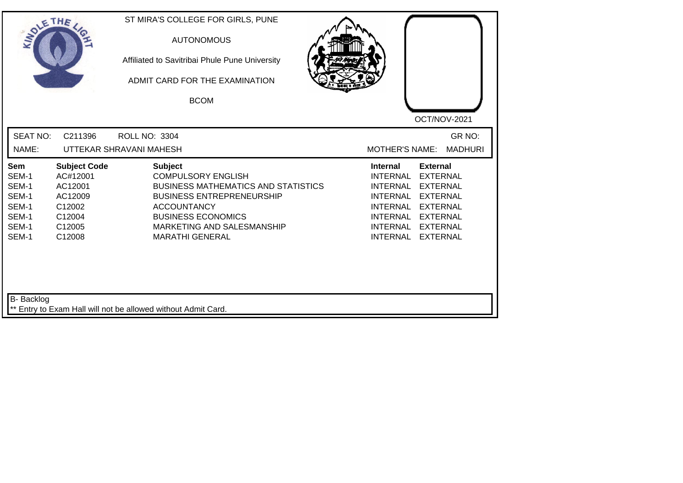| SOLE THE                                                                  |                                                                                               | ST MIRA'S COLLEGE FOR GIRLS, PUNE<br><b>AUTONOMOUS</b><br>Affiliated to Savitribai Phule Pune University<br>ADMIT CARD FOR THE EXAMINATION<br><b>BCOM</b>                                                                                | OCT/NOV-2021                                                                                                                                                                                                                                                                                                 |
|---------------------------------------------------------------------------|-----------------------------------------------------------------------------------------------|------------------------------------------------------------------------------------------------------------------------------------------------------------------------------------------------------------------------------------------|--------------------------------------------------------------------------------------------------------------------------------------------------------------------------------------------------------------------------------------------------------------------------------------------------------------|
| <b>SEAT NO:</b><br>NAME:                                                  | C211396                                                                                       | <b>ROLL NO: 3304</b><br>UTTEKAR SHRAVANI MAHESH                                                                                                                                                                                          | GR NO:<br><b>MOTHER'S NAME:</b><br><b>MADHURI</b>                                                                                                                                                                                                                                                            |
| <b>Sem</b><br>SEM-1<br>SEM-1<br>SEM-1<br>SEM-1<br>SEM-1<br>SEM-1<br>SEM-1 | <b>Subject Code</b><br>AC#12001<br>AC12001<br>AC12009<br>C12002<br>C12004<br>C12005<br>C12008 | <b>Subject</b><br><b>COMPULSORY ENGLISH</b><br><b>BUSINESS MATHEMATICS AND STATISTICS</b><br><b>BUSINESS ENTREPRENEURSHIP</b><br><b>ACCOUNTANCY</b><br><b>BUSINESS ECONOMICS</b><br>MARKETING AND SALESMANSHIP<br><b>MARATHI GENERAL</b> | <b>External</b><br><b>Internal</b><br><b>INTERNAL</b><br><b>EXTERNAL</b><br><b>INTERNAL</b><br><b>EXTERNAL</b><br><b>INTERNAL</b><br><b>EXTERNAL</b><br><b>INTERNAL</b><br><b>EXTERNAL</b><br><b>INTERNAL</b><br><b>EXTERNAL</b><br><b>INTERNAL</b><br><b>EXTERNAL</b><br><b>INTERNAL</b><br><b>EXTERNAL</b> |
| B- Backlog                                                                |                                                                                               | ** Entry to Exam Hall will not be allowed without Admit Card.                                                                                                                                                                            |                                                                                                                                                                                                                                                                                                              |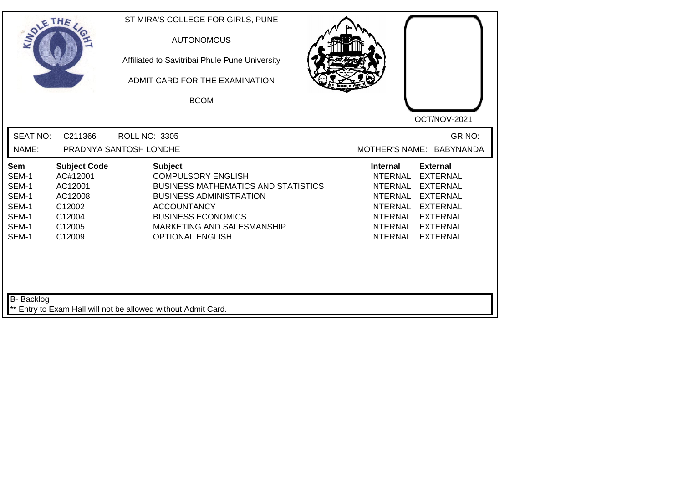| SOLETHE .                                                                 |                                                                                               | ST MIRA'S COLLEGE FOR GIRLS, PUNE<br><b>AUTONOMOUS</b><br>Affiliated to Savitribai Phule Pune University<br>ADMIT CARD FOR THE EXAMINATION<br><b>BCOM</b>                                                                               | OCT/NOV-2021                                                                                                                                                                                                                                                                                          |
|---------------------------------------------------------------------------|-----------------------------------------------------------------------------------------------|-----------------------------------------------------------------------------------------------------------------------------------------------------------------------------------------------------------------------------------------|-------------------------------------------------------------------------------------------------------------------------------------------------------------------------------------------------------------------------------------------------------------------------------------------------------|
| <b>SEAT NO:</b><br>NAME:                                                  | C211366                                                                                       | ROLL NO: 3305<br>PRADNYA SANTOSH LONDHE                                                                                                                                                                                                 | GR NO:<br>MOTHER'S NAME: BABYNANDA                                                                                                                                                                                                                                                                    |
| <b>Sem</b><br>SEM-1<br>SEM-1<br>SEM-1<br>SEM-1<br>SEM-1<br>SEM-1<br>SEM-1 | <b>Subject Code</b><br>AC#12001<br>AC12001<br>AC12008<br>C12002<br>C12004<br>C12005<br>C12009 | <b>Subject</b><br><b>COMPULSORY ENGLISH</b><br><b>BUSINESS MATHEMATICS AND STATISTICS</b><br><b>BUSINESS ADMINISTRATION</b><br><b>ACCOUNTANCY</b><br><b>BUSINESS ECONOMICS</b><br>MARKETING AND SALESMANSHIP<br><b>OPTIONAL ENGLISH</b> | <b>Internal</b><br><b>External</b><br><b>INTERNAL</b><br><b>EXTERNAL</b><br><b>EXTERNAL</b><br>INTERNAL<br><b>INTERNAL</b><br><b>EXTERNAL</b><br><b>INTERNAL</b><br><b>EXTERNAL</b><br><b>INTERNAL</b><br><b>EXTERNAL</b><br><b>INTERNAL</b><br><b>EXTERNAL</b><br><b>INTERNAL</b><br><b>EXTERNAL</b> |
| <b>B-</b> Backlog                                                         |                                                                                               | ** Entry to Exam Hall will not be allowed without Admit Card.                                                                                                                                                                           |                                                                                                                                                                                                                                                                                                       |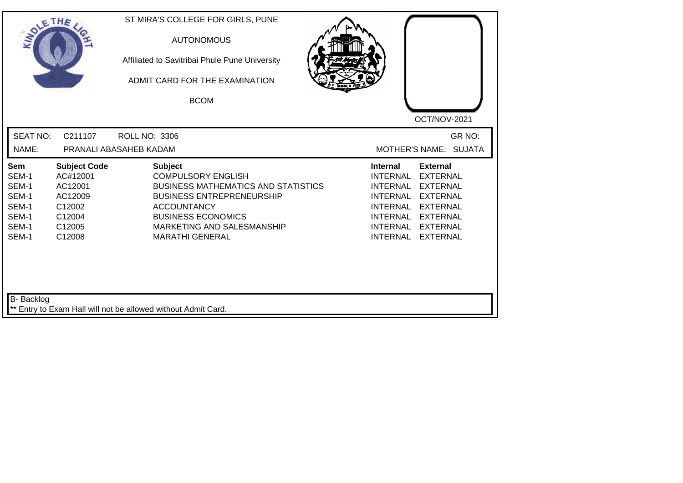| SOLE THE                                                           |                                                                                               | ST MIRA'S COLLEGE FOR GIRLS, PUNE<br><b>AUTONOMOUS</b><br>Affiliated to Savitribai Phule Pune University<br>ADMIT CARD FOR THE EXAMINATION<br><b>BCOM</b>                                                                                | OCT/NOV-2021                                                                                                                                                                                                                                                                                |
|--------------------------------------------------------------------|-----------------------------------------------------------------------------------------------|------------------------------------------------------------------------------------------------------------------------------------------------------------------------------------------------------------------------------------------|---------------------------------------------------------------------------------------------------------------------------------------------------------------------------------------------------------------------------------------------------------------------------------------------|
| <b>SEAT NO:</b><br>NAME:                                           | C211107                                                                                       | <b>ROLL NO: 3306</b><br>PRANALI ABASAHEB KADAM                                                                                                                                                                                           | GR NO:<br>MOTHER'S NAME: SUJATA                                                                                                                                                                                                                                                             |
| Sem<br>SEM-1<br>SEM-1<br>SEM-1<br>SEM-1<br>SEM-1<br>SEM-1<br>SEM-1 | <b>Subject Code</b><br>AC#12001<br>AC12001<br>AC12009<br>C12002<br>C12004<br>C12005<br>C12008 | <b>Subject</b><br><b>COMPULSORY ENGLISH</b><br><b>BUSINESS MATHEMATICS AND STATISTICS</b><br><b>BUSINESS ENTREPRENEURSHIP</b><br><b>ACCOUNTANCY</b><br><b>BUSINESS ECONOMICS</b><br>MARKETING AND SALESMANSHIP<br><b>MARATHI GENERAL</b> | <b>External</b><br><b>Internal</b><br><b>INTERNAL</b><br><b>EXTERNAL</b><br><b>INTERNAL</b><br><b>EXTERNAL</b><br><b>INTERNAL</b><br><b>EXTERNAL</b><br><b>INTERNAL</b><br><b>EXTERNAL</b><br><b>INTERNAL</b><br><b>EXTERNAL</b><br>INTERNAL EXTERNAL<br><b>INTERNAL</b><br><b>EXTERNAL</b> |
| <b>B-</b> Backlog                                                  |                                                                                               | ** Entry to Exam Hall will not be allowed without Admit Card.                                                                                                                                                                            |                                                                                                                                                                                                                                                                                             |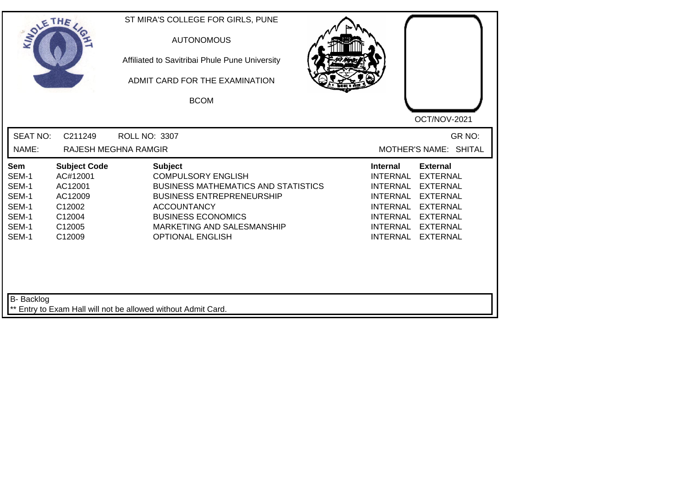| <b>SEAT NO:</b><br>C211249<br>ROLL NO: 3307<br>NAME:<br><b>RAJESH MEGHNA RAMGIR</b><br><b>Subject Code</b><br><b>Subject</b><br><b>Internal</b><br><b>External</b><br><b>Sem</b><br>SEM-1<br>AC#12001<br><b>COMPULSORY ENGLISH</b><br><b>INTERNAL</b><br><b>EXTERNAL</b><br>SEM-1<br>AC12001<br><b>BUSINESS MATHEMATICS AND STATISTICS</b><br><b>INTERNAL</b><br><b>EXTERNAL</b><br>SEM-1<br>AC12009<br><b>BUSINESS ENTREPRENEURSHIP</b><br><b>INTERNAL</b><br><b>EXTERNAL</b><br>SEM-1<br>C12002<br><b>ACCOUNTANCY</b><br><b>INTERNAL</b><br><b>EXTERNAL</b> | SOLETHE . |        | ST MIRA'S COLLEGE FOR GIRLS, PUNE<br><b>AUTONOMOUS</b><br>Affiliated to Savitribai Phule Pune University<br>ADMIT CARD FOR THE EXAMINATION<br><b>BCOM</b> | OCT/NOV-2021                    |
|---------------------------------------------------------------------------------------------------------------------------------------------------------------------------------------------------------------------------------------------------------------------------------------------------------------------------------------------------------------------------------------------------------------------------------------------------------------------------------------------------------------------------------------------------------------|-----------|--------|-----------------------------------------------------------------------------------------------------------------------------------------------------------|---------------------------------|
|                                                                                                                                                                                                                                                                                                                                                                                                                                                                                                                                                               |           |        |                                                                                                                                                           | GR NO:<br>MOTHER'S NAME: SHITAL |
| SEM-1<br>C12005<br>MARKETING AND SALESMANSHIP<br><b>INTERNAL</b><br><b>EXTERNAL</b><br>SEM-1<br>C12009<br><b>OPTIONAL ENGLISH</b><br><b>INTERNAL</b><br><b>EXTERNAL</b>                                                                                                                                                                                                                                                                                                                                                                                       | SEM-1     | C12004 | <b>BUSINESS ECONOMICS</b>                                                                                                                                 | INTERNAL<br><b>EXTERNAL</b>     |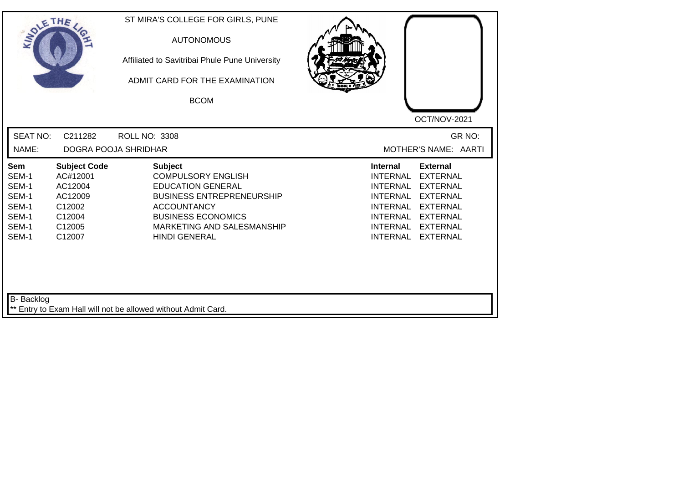| SOLETHE .                                                          |                                                                                               | ST MIRA'S COLLEGE FOR GIRLS, PUNE<br><b>AUTONOMOUS</b><br>Affiliated to Savitribai Phule Pune University<br>ADMIT CARD FOR THE EXAMINATION<br><b>BCOM</b>                                                            | OCT/NOV-2021                                                                                                                                                                                                                                                                                |
|--------------------------------------------------------------------|-----------------------------------------------------------------------------------------------|----------------------------------------------------------------------------------------------------------------------------------------------------------------------------------------------------------------------|---------------------------------------------------------------------------------------------------------------------------------------------------------------------------------------------------------------------------------------------------------------------------------------------|
| <b>SEAT NO:</b><br>NAME:                                           | C211282                                                                                       | <b>ROLL NO: 3308</b><br><b>DOGRA POOJA SHRIDHAR</b>                                                                                                                                                                  | GR NO:<br>MOTHER'S NAME: AARTI                                                                                                                                                                                                                                                              |
| Sem<br>SEM-1<br>SEM-1<br>SEM-1<br>SEM-1<br>SEM-1<br>SEM-1<br>SEM-1 | <b>Subject Code</b><br>AC#12001<br>AC12004<br>AC12009<br>C12002<br>C12004<br>C12005<br>C12007 | <b>Subject</b><br><b>COMPULSORY ENGLISH</b><br><b>EDUCATION GENERAL</b><br><b>BUSINESS ENTREPRENEURSHIP</b><br><b>ACCOUNTANCY</b><br><b>BUSINESS ECONOMICS</b><br>MARKETING AND SALESMANSHIP<br><b>HINDI GENERAL</b> | <b>External</b><br><b>Internal</b><br><b>INTERNAL</b><br><b>EXTERNAL</b><br><b>INTERNAL</b><br><b>EXTERNAL</b><br><b>EXTERNAL</b><br><b>INTERNAL</b><br><b>EXTERNAL</b><br><b>INTERNAL</b><br>INTERNAL EXTERNAL<br><b>INTERNAL</b><br><b>EXTERNAL</b><br><b>INTERNAL</b><br><b>EXTERNAL</b> |
| <b>B-</b> Backlog                                                  |                                                                                               | ** Entry to Exam Hall will not be allowed without Admit Card.                                                                                                                                                        |                                                                                                                                                                                                                                                                                             |

┛╵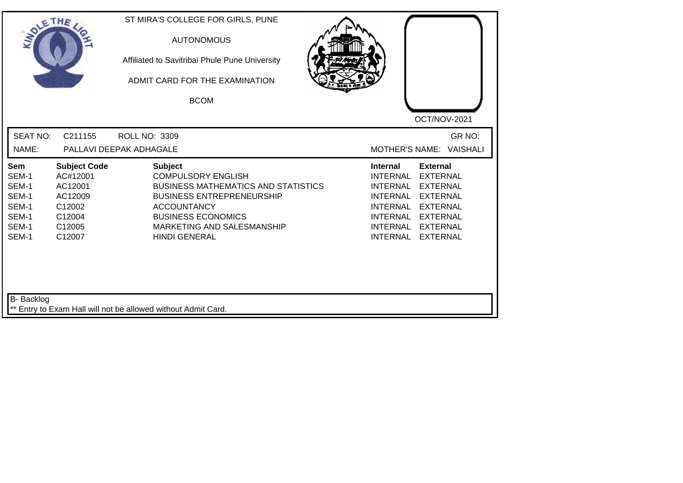| SOLETHE .                                                          |                                                                                               | ST MIRA'S COLLEGE FOR GIRLS, PUNE<br><b>AUTONOMOUS</b><br>Affiliated to Savitribai Phule Pune University<br>ADMIT CARD FOR THE EXAMINATION<br><b>BCOM</b>                                                                              | OCT/NOV-2021                                                                                                                                                                                                                                                                                          |
|--------------------------------------------------------------------|-----------------------------------------------------------------------------------------------|----------------------------------------------------------------------------------------------------------------------------------------------------------------------------------------------------------------------------------------|-------------------------------------------------------------------------------------------------------------------------------------------------------------------------------------------------------------------------------------------------------------------------------------------------------|
| <b>SEAT NO:</b><br>NAME:                                           | C211155                                                                                       | <b>ROLL NO: 3309</b><br>PALLAVI DEEPAK ADHAGALE                                                                                                                                                                                        | GR NO:<br><b>VAISHALI</b><br>MOTHER'S NAME:                                                                                                                                                                                                                                                           |
| Sem<br>SEM-1<br>SEM-1<br>SEM-1<br>SEM-1<br>SEM-1<br>SEM-1<br>SEM-1 | <b>Subject Code</b><br>AC#12001<br>AC12001<br>AC12009<br>C12002<br>C12004<br>C12005<br>C12007 | <b>Subject</b><br><b>COMPULSORY ENGLISH</b><br><b>BUSINESS MATHEMATICS AND STATISTICS</b><br><b>BUSINESS ENTREPRENEURSHIP</b><br><b>ACCOUNTANCY</b><br><b>BUSINESS ECONOMICS</b><br>MARKETING AND SALESMANSHIP<br><b>HINDI GENERAL</b> | <b>External</b><br><b>Internal</b><br><b>EXTERNAL</b><br>INTERNAL<br><b>INTERNAL</b><br><b>EXTERNAL</b><br><b>INTERNAL</b><br><b>EXTERNAL</b><br><b>INTERNAL</b><br><b>EXTERNAL</b><br><b>INTERNAL</b><br><b>EXTERNAL</b><br><b>INTERNAL</b><br><b>EXTERNAL</b><br><b>INTERNAL</b><br><b>EXTERNAL</b> |
| B- Backlog                                                         |                                                                                               | ** Entry to Exam Hall will not be allowed without Admit Card.                                                                                                                                                                          |                                                                                                                                                                                                                                                                                                       |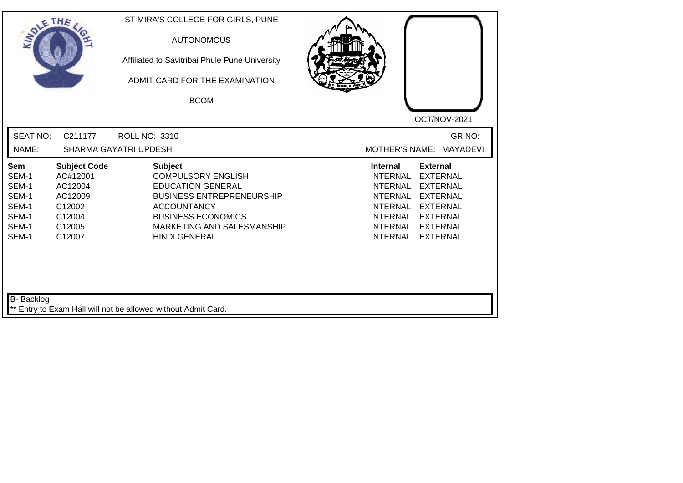| SOLETHE .                                                                 |                                                                                               | ST MIRA'S COLLEGE FOR GIRLS, PUNE<br><b>AUTONOMOUS</b><br>Affiliated to Savitribai Phule Pune University<br>ADMIT CARD FOR THE EXAMINATION<br><b>BCOM</b>                                                            |                                                                                                                                                                                                                                                                                                       |
|---------------------------------------------------------------------------|-----------------------------------------------------------------------------------------------|----------------------------------------------------------------------------------------------------------------------------------------------------------------------------------------------------------------------|-------------------------------------------------------------------------------------------------------------------------------------------------------------------------------------------------------------------------------------------------------------------------------------------------------|
| <b>SEAT NO:</b><br>NAME:                                                  | C211177                                                                                       | <b>ROLL NO: 3310</b><br><b>SHARMA GAYATRI UPDESH</b>                                                                                                                                                                 | OCT/NOV-2021<br>GR NO:<br><b>MAYADEVI</b><br><b>MOTHER'S NAME:</b>                                                                                                                                                                                                                                    |
| <b>Sem</b><br>SEM-1<br>SEM-1<br>SEM-1<br>SEM-1<br>SEM-1<br>SEM-1<br>SEM-1 | <b>Subject Code</b><br>AC#12001<br>AC12004<br>AC12009<br>C12002<br>C12004<br>C12005<br>C12007 | <b>Subject</b><br><b>COMPULSORY ENGLISH</b><br><b>EDUCATION GENERAL</b><br><b>BUSINESS ENTREPRENEURSHIP</b><br><b>ACCOUNTANCY</b><br><b>BUSINESS ECONOMICS</b><br>MARKETING AND SALESMANSHIP<br><b>HINDI GENERAL</b> | <b>External</b><br>Internal<br><b>INTERNAL</b><br><b>EXTERNAL</b><br><b>INTERNAL</b><br><b>EXTERNAL</b><br><b>INTERNAL</b><br><b>EXTERNAL</b><br><b>INTERNAL</b><br><b>EXTERNAL</b><br><b>INTERNAL</b><br><b>EXTERNAL</b><br><b>INTERNAL</b><br><b>EXTERNAL</b><br><b>INTERNAL</b><br><b>EXTERNAL</b> |
| B- Backlog                                                                |                                                                                               | ** Entry to Exam Hall will not be allowed without Admit Card.                                                                                                                                                        |                                                                                                                                                                                                                                                                                                       |

┛╵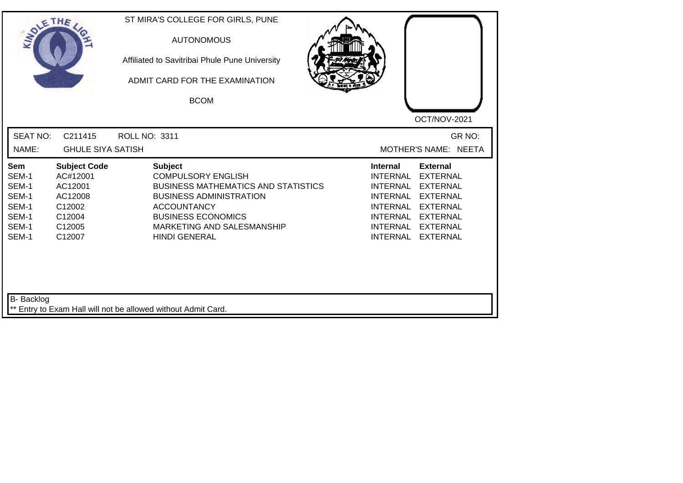| SOLETHE .                                                          |                                                                                               |                      | ST MIRA'S COLLEGE FOR GIRLS, PUNE<br><b>AUTONOMOUS</b><br>Affiliated to Savitribai Phule Pune University<br>ADMIT CARD FOR THE EXAMINATION<br><b>BCOM</b>                                                                            |                                                                                                                                                      | OCT/NOV-2021                                                                                                                                         |        |
|--------------------------------------------------------------------|-----------------------------------------------------------------------------------------------|----------------------|--------------------------------------------------------------------------------------------------------------------------------------------------------------------------------------------------------------------------------------|------------------------------------------------------------------------------------------------------------------------------------------------------|------------------------------------------------------------------------------------------------------------------------------------------------------|--------|
| <b>SEAT NO:</b>                                                    | C211415                                                                                       | <b>ROLL NO: 3311</b> |                                                                                                                                                                                                                                      |                                                                                                                                                      |                                                                                                                                                      | GR NO: |
| NAME:                                                              | <b>GHULE SIYA SATISH</b>                                                                      |                      |                                                                                                                                                                                                                                      |                                                                                                                                                      | MOTHER'S NAME: NEETA                                                                                                                                 |        |
| Sem<br>SEM-1<br>SEM-1<br>SEM-1<br>SEM-1<br>SEM-1<br>SEM-1<br>SEM-1 | <b>Subject Code</b><br>AC#12001<br>AC12001<br>AC12008<br>C12002<br>C12004<br>C12005<br>C12007 |                      | <b>Subject</b><br><b>COMPULSORY ENGLISH</b><br><b>BUSINESS MATHEMATICS AND STATISTICS</b><br><b>BUSINESS ADMINISTRATION</b><br><b>ACCOUNTANCY</b><br><b>BUSINESS ECONOMICS</b><br>MARKETING AND SALESMANSHIP<br><b>HINDI GENERAL</b> | <b>Internal</b><br><b>INTERNAL</b><br><b>INTERNAL</b><br><b>INTERNAL</b><br><b>INTERNAL</b><br><b>INTERNAL</b><br><b>INTERNAL</b><br><b>INTERNAL</b> | <b>External</b><br><b>EXTERNAL</b><br><b>EXTERNAL</b><br><b>EXTERNAL</b><br><b>EXTERNAL</b><br><b>EXTERNAL</b><br><b>EXTERNAL</b><br><b>EXTERNAL</b> |        |
| <b>B-</b> Backlog                                                  |                                                                                               |                      | Entry to Exam Hall will not be allowed without Admit Card.                                                                                                                                                                           |                                                                                                                                                      |                                                                                                                                                      |        |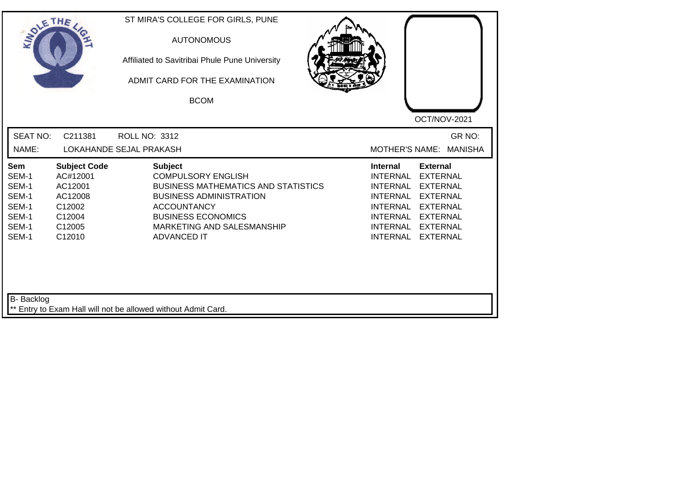| <b>SEAT NO:</b><br>GR NO:<br>C211381<br><b>ROLL NO: 3312</b><br>NAME:<br>LOKAHANDE SEJAL PRAKASH<br><b>MOTHER'S NAME:</b><br><b>MANISHA</b><br><b>Subject Code</b><br><b>Subject</b><br><b>Internal</b><br><b>External</b><br><b>Sem</b><br>SEM-1<br>AC#12001<br><b>COMPULSORY ENGLISH</b><br><b>INTERNAL</b><br><b>EXTERNAL</b><br>SEM-1<br>AC12001<br><b>BUSINESS MATHEMATICS AND STATISTICS</b><br><b>INTERNAL</b><br><b>EXTERNAL</b><br>SEM-1<br>AC12008<br><b>BUSINESS ADMINISTRATION</b><br><b>INTERNAL</b><br><b>EXTERNAL</b><br>SEM-1<br>C12002<br><b>ACCOUNTANCY</b><br><b>INTERNAL</b><br><b>EXTERNAL</b><br>SEM-1<br><b>BUSINESS ECONOMICS</b><br>C12004<br>INTERNAL<br><b>EXTERNAL</b><br>SEM-1<br>C12005<br>MARKETING AND SALESMANSHIP<br><b>INTERNAL</b><br><b>EXTERNAL</b><br>SEM-1<br>C12010<br><b>ADVANCED IT</b><br><b>INTERNAL</b><br><b>EXTERNAL</b> | SOLETHE . | ST MIRA'S COLLEGE FOR GIRLS, PUNE<br><b>AUTONOMOUS</b><br>Affiliated to Savitribai Phule Pune University<br>ADMIT CARD FOR THE EXAMINATION<br><b>BCOM</b> | OCT/NOV-2021 |
|--------------------------------------------------------------------------------------------------------------------------------------------------------------------------------------------------------------------------------------------------------------------------------------------------------------------------------------------------------------------------------------------------------------------------------------------------------------------------------------------------------------------------------------------------------------------------------------------------------------------------------------------------------------------------------------------------------------------------------------------------------------------------------------------------------------------------------------------------------------------------|-----------|-----------------------------------------------------------------------------------------------------------------------------------------------------------|--------------|
|                                                                                                                                                                                                                                                                                                                                                                                                                                                                                                                                                                                                                                                                                                                                                                                                                                                                          |           |                                                                                                                                                           |              |
|                                                                                                                                                                                                                                                                                                                                                                                                                                                                                                                                                                                                                                                                                                                                                                                                                                                                          |           |                                                                                                                                                           |              |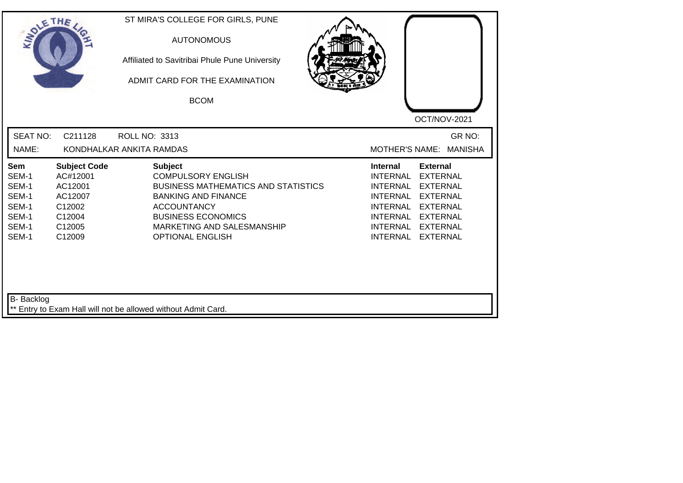| SOLETHE .                                                                 |                                                                                               | ST MIRA'S COLLEGE FOR GIRLS, PUNE<br><b>AUTONOMOUS</b><br>Affiliated to Savitribai Phule Pune University<br>ADMIT CARD FOR THE EXAMINATION<br><b>BCOM</b>                                                                           | OCT/NOV-2021                                                                                                                                                                                                                                                                                          |
|---------------------------------------------------------------------------|-----------------------------------------------------------------------------------------------|-------------------------------------------------------------------------------------------------------------------------------------------------------------------------------------------------------------------------------------|-------------------------------------------------------------------------------------------------------------------------------------------------------------------------------------------------------------------------------------------------------------------------------------------------------|
| <b>SEAT NO:</b><br>NAME:                                                  | C211128                                                                                       | <b>ROLL NO: 3313</b><br>KONDHALKAR ANKITA RAMDAS                                                                                                                                                                                    | GR NO:<br><b>MOTHER'S NAME:</b><br><b>MANISHA</b>                                                                                                                                                                                                                                                     |
| <b>Sem</b><br>SEM-1<br>SEM-1<br>SEM-1<br>SEM-1<br>SEM-1<br>SEM-1<br>SEM-1 | <b>Subject Code</b><br>AC#12001<br>AC12001<br>AC12007<br>C12002<br>C12004<br>C12005<br>C12009 | <b>Subject</b><br><b>COMPULSORY ENGLISH</b><br><b>BUSINESS MATHEMATICS AND STATISTICS</b><br><b>BANKING AND FINANCE</b><br><b>ACCOUNTANCY</b><br><b>BUSINESS ECONOMICS</b><br>MARKETING AND SALESMANSHIP<br><b>OPTIONAL ENGLISH</b> | <b>Internal</b><br><b>External</b><br><b>INTERNAL</b><br><b>EXTERNAL</b><br><b>INTERNAL</b><br><b>EXTERNAL</b><br><b>INTERNAL</b><br><b>EXTERNAL</b><br><b>INTERNAL</b><br><b>EXTERNAL</b><br>INTERNAL<br><b>EXTERNAL</b><br><b>INTERNAL</b><br><b>EXTERNAL</b><br><b>INTERNAL</b><br><b>EXTERNAL</b> |
| <b>B-</b> Backlog                                                         |                                                                                               | ** Entry to Exam Hall will not be allowed without Admit Card.                                                                                                                                                                       |                                                                                                                                                                                                                                                                                                       |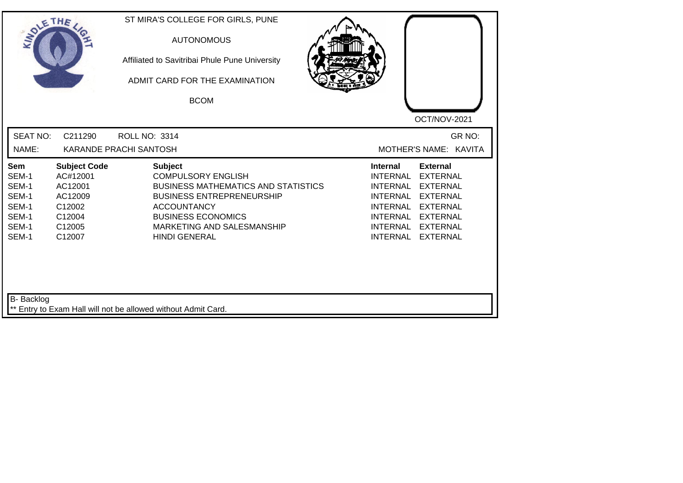| <b>SOLETHE</b>                                                     |                                                                                               | ST MIRA'S COLLEGE FOR GIRLS, PUNE<br><b>AUTONOMOUS</b><br>Affiliated to Savitribai Phule Pune University<br>ADMIT CARD FOR THE EXAMINATION<br><b>BCOM</b>                                                                              | OCT/NOV-2021                                                                                                                                                                                                                                                                                                 |
|--------------------------------------------------------------------|-----------------------------------------------------------------------------------------------|----------------------------------------------------------------------------------------------------------------------------------------------------------------------------------------------------------------------------------------|--------------------------------------------------------------------------------------------------------------------------------------------------------------------------------------------------------------------------------------------------------------------------------------------------------------|
| <b>SEAT NO:</b><br>NAME:                                           | C211290                                                                                       | <b>ROLL NO: 3314</b><br>KARANDE PRACHI SANTOSH                                                                                                                                                                                         | GR NO:<br>MOTHER'S NAME: KAVITA                                                                                                                                                                                                                                                                              |
| Sem<br>SEM-1<br>SEM-1<br>SEM-1<br>SEM-1<br>SEM-1<br>SEM-1<br>SEM-1 | <b>Subject Code</b><br>AC#12001<br>AC12001<br>AC12009<br>C12002<br>C12004<br>C12005<br>C12007 | <b>Subject</b><br><b>COMPULSORY ENGLISH</b><br><b>BUSINESS MATHEMATICS AND STATISTICS</b><br><b>BUSINESS ENTREPRENEURSHIP</b><br><b>ACCOUNTANCY</b><br><b>BUSINESS ECONOMICS</b><br>MARKETING AND SALESMANSHIP<br><b>HINDI GENERAL</b> | <b>Internal</b><br><b>External</b><br><b>INTERNAL</b><br><b>EXTERNAL</b><br><b>INTERNAL</b><br><b>EXTERNAL</b><br><b>EXTERNAL</b><br><b>INTERNAL</b><br><b>INTERNAL</b><br><b>EXTERNAL</b><br><b>INTERNAL</b><br><b>EXTERNAL</b><br><b>INTERNAL</b><br><b>EXTERNAL</b><br><b>INTERNAL</b><br><b>EXTERNAL</b> |
| <b>B-</b> Backlog                                                  |                                                                                               | ** Entry to Exam Hall will not be allowed without Admit Card.                                                                                                                                                                          |                                                                                                                                                                                                                                                                                                              |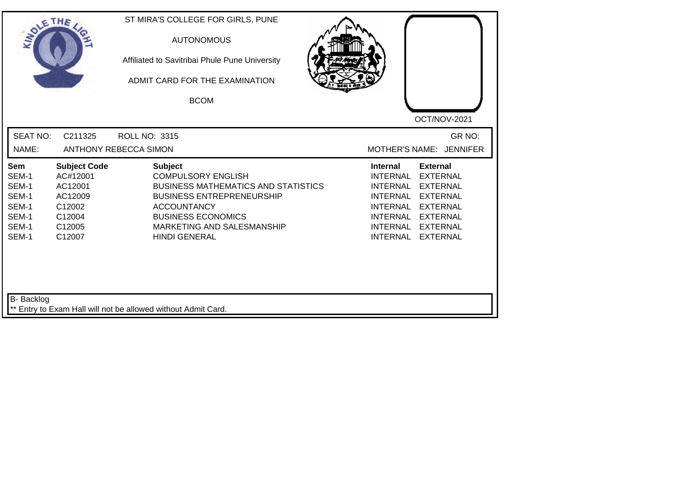| <b>SOLETHE</b>                                                     |                                                                                               | ST MIRA'S COLLEGE FOR GIRLS, PUNE<br><b>AUTONOMOUS</b><br>Affiliated to Savitribai Phule Pune University<br>ADMIT CARD FOR THE EXAMINATION<br><b>BCOM</b>                                                                              | OCT/NOV-2021                                                                                                                                                                                                                                                 |
|--------------------------------------------------------------------|-----------------------------------------------------------------------------------------------|----------------------------------------------------------------------------------------------------------------------------------------------------------------------------------------------------------------------------------------|--------------------------------------------------------------------------------------------------------------------------------------------------------------------------------------------------------------------------------------------------------------|
| <b>SEAT NO:</b><br>NAME:                                           | C211325                                                                                       | <b>ROLL NO: 3315</b><br>ANTHONY REBECCA SIMON                                                                                                                                                                                          | GR NO:<br>MOTHER'S NAME: JENNIFER                                                                                                                                                                                                                            |
| Sem<br>SEM-1<br>SEM-1<br>SEM-1<br>SEM-1<br>SEM-1<br>SEM-1<br>SEM-1 | <b>Subject Code</b><br>AC#12001<br>AC12001<br>AC12009<br>C12002<br>C12004<br>C12005<br>C12007 | <b>Subject</b><br><b>COMPULSORY ENGLISH</b><br><b>BUSINESS MATHEMATICS AND STATISTICS</b><br><b>BUSINESS ENTREPRENEURSHIP</b><br><b>ACCOUNTANCY</b><br><b>BUSINESS ECONOMICS</b><br>MARKETING AND SALESMANSHIP<br><b>HINDI GENERAL</b> | <b>External</b><br><b>Internal</b><br>INTERNAL<br><b>EXTERNAL</b><br><b>INTERNAL</b><br><b>EXTERNAL</b><br><b>EXTERNAL</b><br>INTERNAL<br><b>INTERNAL</b><br><b>EXTERNAL</b><br>INTERNAL EXTERNAL<br><b>INTERNAL</b><br><b>EXTERNAL</b><br>INTERNAL EXTERNAL |
| <b>B-</b> Backlog                                                  |                                                                                               | ** Entry to Exam Hall will not be allowed without Admit Card.                                                                                                                                                                          |                                                                                                                                                                                                                                                              |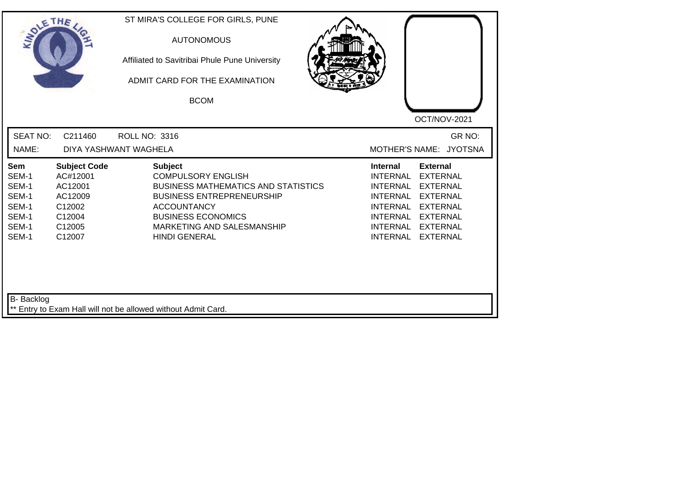| <b>SOLETHE</b>                                                     |                                                                                               | ST MIRA'S COLLEGE FOR GIRLS, PUNE<br><b>AUTONOMOUS</b><br>Affiliated to Savitribai Phule Pune University<br>ADMIT CARD FOR THE EXAMINATION<br><b>BCOM</b>                                                                              | OCT/NOV-2021                                                                                                                                                                                                                                                    |
|--------------------------------------------------------------------|-----------------------------------------------------------------------------------------------|----------------------------------------------------------------------------------------------------------------------------------------------------------------------------------------------------------------------------------------|-----------------------------------------------------------------------------------------------------------------------------------------------------------------------------------------------------------------------------------------------------------------|
| <b>SEAT NO:</b><br>NAME:                                           | C211460                                                                                       | <b>ROLL NO: 3316</b><br>DIYA YASHWANT WAGHELA                                                                                                                                                                                          | GR NO:<br>MOTHER'S NAME: JYOTSNA                                                                                                                                                                                                                                |
| Sem<br>SEM-1<br>SEM-1<br>SEM-1<br>SEM-1<br>SEM-1<br>SEM-1<br>SEM-1 | <b>Subject Code</b><br>AC#12001<br>AC12001<br>AC12009<br>C12002<br>C12004<br>C12005<br>C12007 | <b>Subject</b><br><b>COMPULSORY ENGLISH</b><br><b>BUSINESS MATHEMATICS AND STATISTICS</b><br><b>BUSINESS ENTREPRENEURSHIP</b><br><b>ACCOUNTANCY</b><br><b>BUSINESS ECONOMICS</b><br>MARKETING AND SALESMANSHIP<br><b>HINDI GENERAL</b> | <b>External</b><br>Internal<br>INTERNAL<br><b>EXTERNAL</b><br>INTERNAL<br><b>EXTERNAL</b><br>INTERNAL<br><b>EXTERNAL</b><br><b>INTERNAL</b><br><b>EXTERNAL</b><br>INTERNAL EXTERNAL<br><b>INTERNAL</b><br><b>EXTERNAL</b><br><b>INTERNAL</b><br><b>EXTERNAL</b> |
| <b>B-</b> Backlog                                                  |                                                                                               | ** Entry to Exam Hall will not be allowed without Admit Card.                                                                                                                                                                          |                                                                                                                                                                                                                                                                 |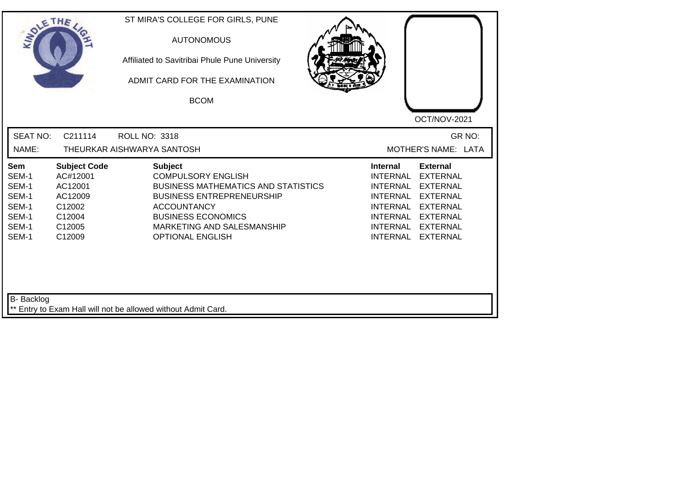| <b>SEAT NO:</b><br>GR NO:<br>C211114<br>ROLL NO: 3318<br>MOTHER'S NAME: LATA<br>NAME:<br>THEURKAR AISHWARYA SANTOSH<br><b>Subject Code</b><br><b>Subject</b><br><b>Internal</b><br><b>External</b><br>Sem<br>SEM-1<br><b>COMPULSORY ENGLISH</b><br><b>INTERNAL</b><br><b>EXTERNAL</b><br>AC#12001<br>SEM-1<br><b>BUSINESS MATHEMATICS AND STATISTICS</b><br>AC12001<br><b>INTERNAL</b><br><b>EXTERNAL</b><br>SEM-1<br><b>BUSINESS ENTREPRENEURSHIP</b><br><b>INTERNAL</b><br><b>EXTERNAL</b><br>AC12009<br>SEM-1<br>C12002<br><b>ACCOUNTANCY</b><br><b>INTERNAL</b><br><b>EXTERNAL</b><br>SEM-1<br><b>BUSINESS ECONOMICS</b><br>C12004<br><b>INTERNAL</b><br><b>EXTERNAL</b><br>SEM-1<br>C12005<br>MARKETING AND SALESMANSHIP<br><b>INTERNAL</b><br><b>EXTERNAL</b><br>SEM-1<br>C12009<br><b>OPTIONAL ENGLISH</b><br><b>INTERNAL</b><br><b>EXTERNAL</b> | SOLETHE , | ST MIRA'S COLLEGE FOR GIRLS, PUNE<br><b>AUTONOMOUS</b><br>Affiliated to Savitribai Phule Pune University<br>ADMIT CARD FOR THE EXAMINATION<br><b>BCOM</b> | OCT/NOV-2021 |
|---------------------------------------------------------------------------------------------------------------------------------------------------------------------------------------------------------------------------------------------------------------------------------------------------------------------------------------------------------------------------------------------------------------------------------------------------------------------------------------------------------------------------------------------------------------------------------------------------------------------------------------------------------------------------------------------------------------------------------------------------------------------------------------------------------------------------------------------------------|-----------|-----------------------------------------------------------------------------------------------------------------------------------------------------------|--------------|
|                                                                                                                                                                                                                                                                                                                                                                                                                                                                                                                                                                                                                                                                                                                                                                                                                                                         |           |                                                                                                                                                           |              |
|                                                                                                                                                                                                                                                                                                                                                                                                                                                                                                                                                                                                                                                                                                                                                                                                                                                         |           |                                                                                                                                                           |              |

┙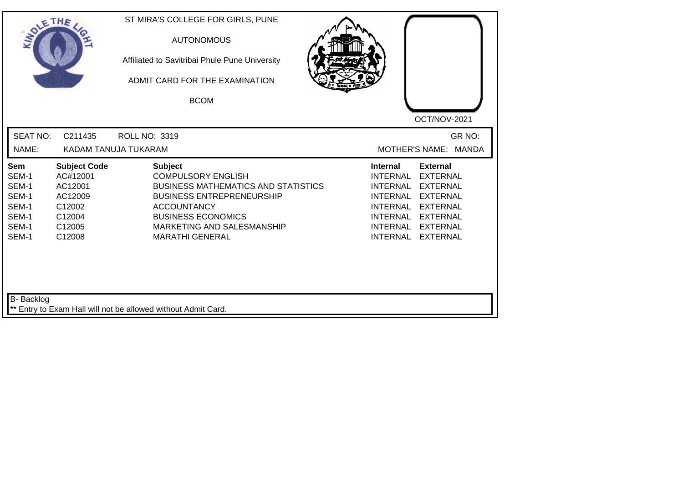| <b>SEAT NO:</b><br>GR NO:<br>C211435<br>ROLL NO: 3319<br>NAME:<br>KADAM TANUJA TUKARAM<br>MOTHER'S NAME: MANDA<br><b>Subject Code</b><br><b>Subject</b><br><b>Internal</b><br><b>External</b><br>Sem<br>AC#12001<br><b>COMPULSORY ENGLISH</b><br><b>INTERNAL</b><br><b>EXTERNAL</b><br>SEM-1<br>SEM-1<br>AC12001<br><b>BUSINESS MATHEMATICS AND STATISTICS</b><br><b>INTERNAL</b><br><b>EXTERNAL</b><br>SEM-1<br>AC12009<br><b>BUSINESS ENTREPRENEURSHIP</b><br><b>INTERNAL</b><br><b>EXTERNAL</b><br>SEM-1<br>C12002<br><b>ACCOUNTANCY</b><br><b>INTERNAL</b><br><b>EXTERNAL</b><br>SEM-1<br><b>BUSINESS ECONOMICS</b><br>C12004<br>INTERNAL<br><b>EXTERNAL</b><br>SEM-1<br>C12005<br>MARKETING AND SALESMANSHIP<br><b>INTERNAL</b><br><b>EXTERNAL</b><br>SEM-1<br><b>INTERNAL</b><br>C12008<br><b>MARATHI GENERAL</b><br><b>EXTERNAL</b> | SOLETHE . | ST MIRA'S COLLEGE FOR GIRLS, PUNE<br><b>AUTONOMOUS</b><br>Affiliated to Savitribai Phule Pune University<br>ADMIT CARD FOR THE EXAMINATION<br><b>BCOM</b> | OCT/NOV-2021 |
|--------------------------------------------------------------------------------------------------------------------------------------------------------------------------------------------------------------------------------------------------------------------------------------------------------------------------------------------------------------------------------------------------------------------------------------------------------------------------------------------------------------------------------------------------------------------------------------------------------------------------------------------------------------------------------------------------------------------------------------------------------------------------------------------------------------------------------------------|-----------|-----------------------------------------------------------------------------------------------------------------------------------------------------------|--------------|
|                                                                                                                                                                                                                                                                                                                                                                                                                                                                                                                                                                                                                                                                                                                                                                                                                                            |           |                                                                                                                                                           |              |
|                                                                                                                                                                                                                                                                                                                                                                                                                                                                                                                                                                                                                                                                                                                                                                                                                                            |           |                                                                                                                                                           |              |

┙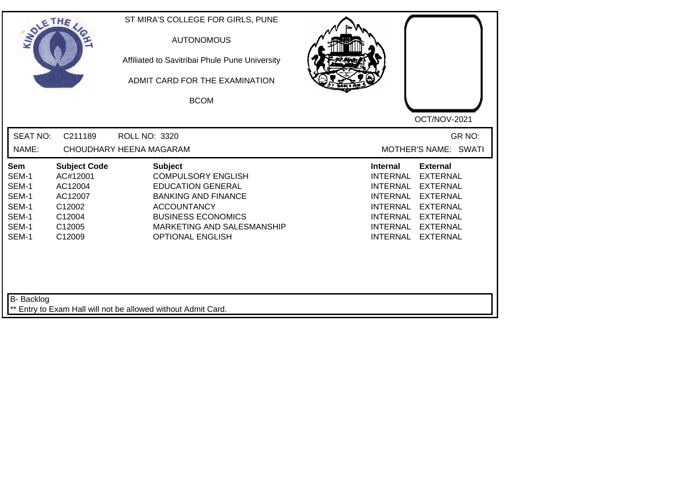| SOLETHE .                                                          |                                                                                               | ST MIRA'S COLLEGE FOR GIRLS, PUNE<br><b>AUTONOMOUS</b><br>Affiliated to Savitribai Phule Pune University<br>ADMIT CARD FOR THE EXAMINATION<br><b>BCOM</b>                                                         |                                                                                                                                                                                                                                                                                                              |
|--------------------------------------------------------------------|-----------------------------------------------------------------------------------------------|-------------------------------------------------------------------------------------------------------------------------------------------------------------------------------------------------------------------|--------------------------------------------------------------------------------------------------------------------------------------------------------------------------------------------------------------------------------------------------------------------------------------------------------------|
|                                                                    |                                                                                               |                                                                                                                                                                                                                   | OCT/NOV-2021                                                                                                                                                                                                                                                                                                 |
| <b>SEAT NO:</b>                                                    | C211189                                                                                       | <b>ROLL NO: 3320</b>                                                                                                                                                                                              | GR NO:                                                                                                                                                                                                                                                                                                       |
| NAME:                                                              |                                                                                               | CHOUDHARY HEENA MAGARAM                                                                                                                                                                                           | MOTHER'S NAME: SWATI                                                                                                                                                                                                                                                                                         |
| Sem<br>SEM-1<br>SEM-1<br>SEM-1<br>SEM-1<br>SEM-1<br>SEM-1<br>SEM-1 | <b>Subject Code</b><br>AC#12001<br>AC12004<br>AC12007<br>C12002<br>C12004<br>C12005<br>C12009 | <b>Subject</b><br><b>COMPULSORY ENGLISH</b><br><b>EDUCATION GENERAL</b><br><b>BANKING AND FINANCE</b><br><b>ACCOUNTANCY</b><br><b>BUSINESS ECONOMICS</b><br>MARKETING AND SALESMANSHIP<br><b>OPTIONAL ENGLISH</b> | <b>External</b><br><b>Internal</b><br><b>EXTERNAL</b><br><b>INTERNAL</b><br><b>INTERNAL</b><br><b>EXTERNAL</b><br><b>INTERNAL</b><br><b>EXTERNAL</b><br><b>EXTERNAL</b><br><b>INTERNAL</b><br><b>INTERNAL</b><br><b>EXTERNAL</b><br><b>INTERNAL</b><br><b>EXTERNAL</b><br><b>INTERNAL</b><br><b>EXTERNAL</b> |
| B- Backlog                                                         |                                                                                               | ** Entry to Exam Hall will not be allowed without Admit Card.                                                                                                                                                     |                                                                                                                                                                                                                                                                                                              |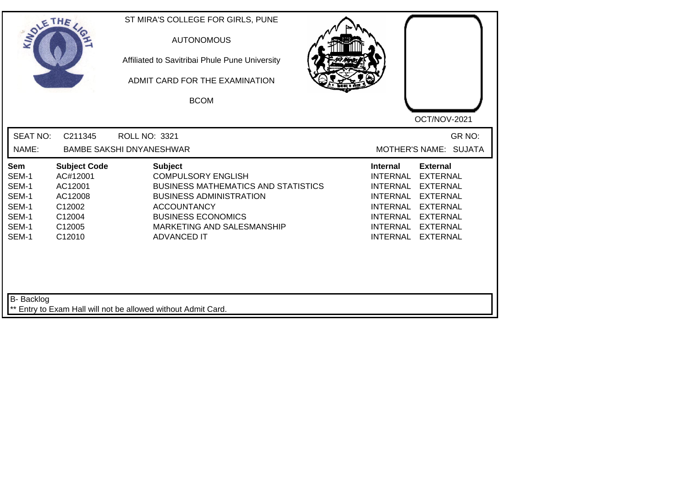| <b>SEAT NO:</b><br>C211345<br>ROLL NO: 3321<br>NAME:<br><b>BAMBE SAKSHI DNYANESHWAR</b><br><b>Subject</b><br><b>Subject Code</b><br><b>Internal</b><br><b>External</b><br><b>Sem</b><br>AC#12001<br><b>COMPULSORY ENGLISH</b><br><b>INTERNAL</b><br><b>EXTERNAL</b><br>SEM-1<br>SEM-1<br>AC12001<br><b>BUSINESS MATHEMATICS AND STATISTICS</b><br><b>INTERNAL</b><br><b>EXTERNAL</b><br>SEM-1<br>AC12008<br><b>BUSINESS ADMINISTRATION</b><br><b>INTERNAL</b><br><b>EXTERNAL</b><br>SEM-1<br>C12002<br><b>ACCOUNTANCY</b><br><b>INTERNAL</b><br><b>EXTERNAL</b><br>SEM-1<br><b>BUSINESS ECONOMICS</b><br>C12004<br>INTERNAL<br><b>EXTERNAL</b><br>SEM-1<br>C12005<br>MARKETING AND SALESMANSHIP<br><b>INTERNAL</b><br><b>EXTERNAL</b> | SOLETHE . |        | ST MIRA'S COLLEGE FOR GIRLS, PUNE<br><b>AUTONOMOUS</b><br>Affiliated to Savitribai Phule Pune University<br>ADMIT CARD FOR THE EXAMINATION<br><b>BCOM</b> | OCT/NOV-2021                       |
|---------------------------------------------------------------------------------------------------------------------------------------------------------------------------------------------------------------------------------------------------------------------------------------------------------------------------------------------------------------------------------------------------------------------------------------------------------------------------------------------------------------------------------------------------------------------------------------------------------------------------------------------------------------------------------------------------------------------------------------|-----------|--------|-----------------------------------------------------------------------------------------------------------------------------------------------------------|------------------------------------|
|                                                                                                                                                                                                                                                                                                                                                                                                                                                                                                                                                                                                                                                                                                                                       |           |        |                                                                                                                                                           | GR NO:<br>MOTHER'S NAME: SUJATA    |
|                                                                                                                                                                                                                                                                                                                                                                                                                                                                                                                                                                                                                                                                                                                                       | SEM-1     | C12010 | <b>ADVANCED IT</b>                                                                                                                                        | <b>INTERNAL</b><br><b>EXTERNAL</b> |

 $\Box$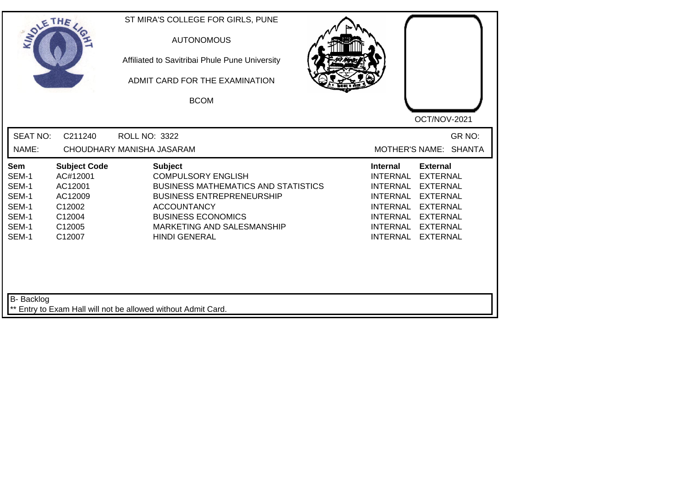| <b>SEAT NO:</b><br>C211240<br>ROLL NO: 3322<br>NAME:<br>CHOUDHARY MANISHA JASARAM<br>MOTHER'S NAME: SHANTA<br><b>Subject Code</b><br><b>Subject</b><br>Sem<br>Internal<br><b>External</b><br><b>COMPULSORY ENGLISH</b><br>SEM-1<br>AC#12001<br><b>INTERNAL</b><br><b>EXTERNAL</b><br>SEM-1<br>AC12001<br><b>BUSINESS MATHEMATICS AND STATISTICS</b><br><b>EXTERNAL</b><br>INTERNAL<br>SEM-1<br>AC12009<br><b>BUSINESS ENTREPRENEURSHIP</b><br><b>INTERNAL</b><br><b>EXTERNAL</b><br>SEM-1<br>C12002<br><b>ACCOUNTANCY</b><br><b>INTERNAL</b><br><b>EXTERNAL</b> | ST MIRA'S COLLEGE FOR GIRLS, PUNE<br>SOLETHE .<br>Affiliated to Savitribai Phule Pune University<br>ADMIT CARD FOR THE EXAMINATION | OCT/NOV-2021 |
|-----------------------------------------------------------------------------------------------------------------------------------------------------------------------------------------------------------------------------------------------------------------------------------------------------------------------------------------------------------------------------------------------------------------------------------------------------------------------------------------------------------------------------------------------------------------|------------------------------------------------------------------------------------------------------------------------------------|--------------|
|                                                                                                                                                                                                                                                                                                                                                                                                                                                                                                                                                                 |                                                                                                                                    | GR NO:       |
| SEM-1<br><b>BUSINESS ECONOMICS</b><br><b>INTERNAL</b><br>C12004<br><b>EXTERNAL</b><br>SEM-1<br>C12005<br>MARKETING AND SALESMANSHIP<br><b>INTERNAL</b><br><b>EXTERNAL</b><br>SEM-1<br><b>HINDI GENERAL</b><br><b>INTERNAL</b><br><b>EXTERNAL</b><br>C12007                                                                                                                                                                                                                                                                                                      |                                                                                                                                    |              |

 $\Box$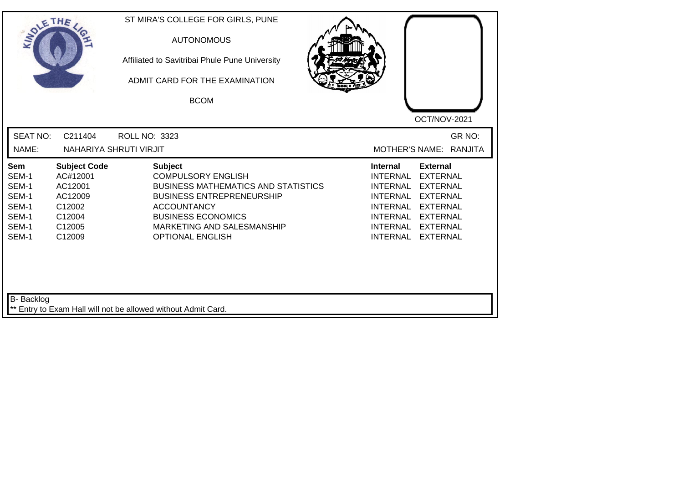| SOLETHE ,                                                          |                                                                                               | ST MIRA'S COLLEGE FOR GIRLS, PUNE<br><b>AUTONOMOUS</b><br>Affiliated to Savitribai Phule Pune University<br>ADMIT CARD FOR THE EXAMINATION<br><b>BCOM</b>                                                                                 | OCT/NOV-2021                                                                                                                                                                                                                                                                                                 |
|--------------------------------------------------------------------|-----------------------------------------------------------------------------------------------|-------------------------------------------------------------------------------------------------------------------------------------------------------------------------------------------------------------------------------------------|--------------------------------------------------------------------------------------------------------------------------------------------------------------------------------------------------------------------------------------------------------------------------------------------------------------|
| <b>SEAT NO:</b><br>NAME:                                           | C211404                                                                                       | <b>ROLL NO: 3323</b><br>NAHARIYA SHRUTI VIRJIT                                                                                                                                                                                            | GR NO:<br>MOTHER'S NAME: RANJITA                                                                                                                                                                                                                                                                             |
| Sem<br>SEM-1<br>SEM-1<br>SEM-1<br>SEM-1<br>SEM-1<br>SEM-1<br>SEM-1 | <b>Subject Code</b><br>AC#12001<br>AC12001<br>AC12009<br>C12002<br>C12004<br>C12005<br>C12009 | <b>Subject</b><br><b>COMPULSORY ENGLISH</b><br><b>BUSINESS MATHEMATICS AND STATISTICS</b><br><b>BUSINESS ENTREPRENEURSHIP</b><br><b>ACCOUNTANCY</b><br><b>BUSINESS ECONOMICS</b><br>MARKETING AND SALESMANSHIP<br><b>OPTIONAL ENGLISH</b> | <b>External</b><br><b>Internal</b><br><b>INTERNAL</b><br><b>EXTERNAL</b><br><b>EXTERNAL</b><br><b>INTERNAL</b><br><b>EXTERNAL</b><br><b>INTERNAL</b><br><b>INTERNAL</b><br><b>EXTERNAL</b><br><b>INTERNAL</b><br><b>EXTERNAL</b><br><b>INTERNAL</b><br><b>EXTERNAL</b><br><b>INTERNAL</b><br><b>EXTERNAL</b> |
| <b>B-</b> Backlog                                                  |                                                                                               | ** Entry to Exam Hall will not be allowed without Admit Card.                                                                                                                                                                             |                                                                                                                                                                                                                                                                                                              |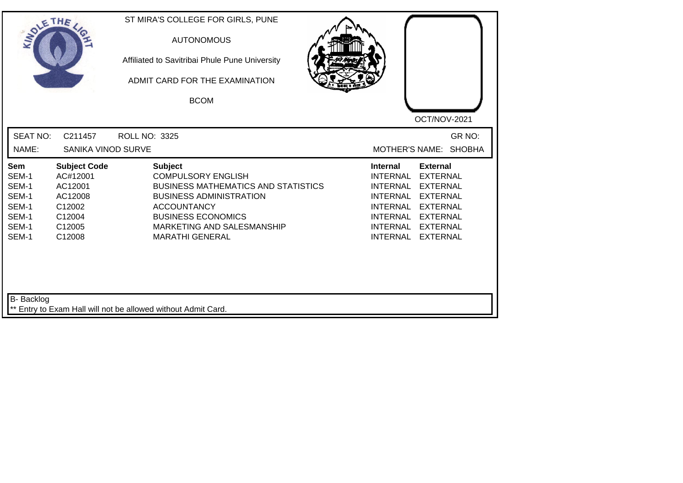| SOLETHE ,                                                          |                                                                                               | ST MIRA'S COLLEGE FOR GIRLS, PUNE<br><b>AUTONOMOUS</b><br>Affiliated to Savitribai Phule Pune University<br>ADMIT CARD FOR THE EXAMINATION<br><b>BCOM</b>                                                                              | OCT/NOV-2021                                                                                                                                                                                                                                                                                                 |
|--------------------------------------------------------------------|-----------------------------------------------------------------------------------------------|----------------------------------------------------------------------------------------------------------------------------------------------------------------------------------------------------------------------------------------|--------------------------------------------------------------------------------------------------------------------------------------------------------------------------------------------------------------------------------------------------------------------------------------------------------------|
| <b>SEAT NO:</b><br>NAME:                                           | C211457<br><b>SANIKA VINOD SURVE</b>                                                          | <b>ROLL NO: 3325</b>                                                                                                                                                                                                                   | GR NO:<br>MOTHER'S NAME: SHOBHA                                                                                                                                                                                                                                                                              |
| Sem<br>SEM-1<br>SEM-1<br>SEM-1<br>SEM-1<br>SEM-1<br>SEM-1<br>SEM-1 | <b>Subject Code</b><br>AC#12001<br>AC12001<br>AC12008<br>C12002<br>C12004<br>C12005<br>C12008 | <b>Subject</b><br><b>COMPULSORY ENGLISH</b><br><b>BUSINESS MATHEMATICS AND STATISTICS</b><br><b>BUSINESS ADMINISTRATION</b><br><b>ACCOUNTANCY</b><br><b>BUSINESS ECONOMICS</b><br>MARKETING AND SALESMANSHIP<br><b>MARATHI GENERAL</b> | <b>External</b><br><b>Internal</b><br><b>INTERNAL</b><br><b>EXTERNAL</b><br><b>INTERNAL</b><br><b>EXTERNAL</b><br><b>INTERNAL</b><br><b>EXTERNAL</b><br><b>INTERNAL</b><br><b>EXTERNAL</b><br><b>INTERNAL</b><br><b>EXTERNAL</b><br><b>INTERNAL</b><br><b>EXTERNAL</b><br><b>INTERNAL</b><br><b>EXTERNAL</b> |
| <b>B-</b> Backlog                                                  |                                                                                               | ** Entry to Exam Hall will not be allowed without Admit Card.                                                                                                                                                                          |                                                                                                                                                                                                                                                                                                              |